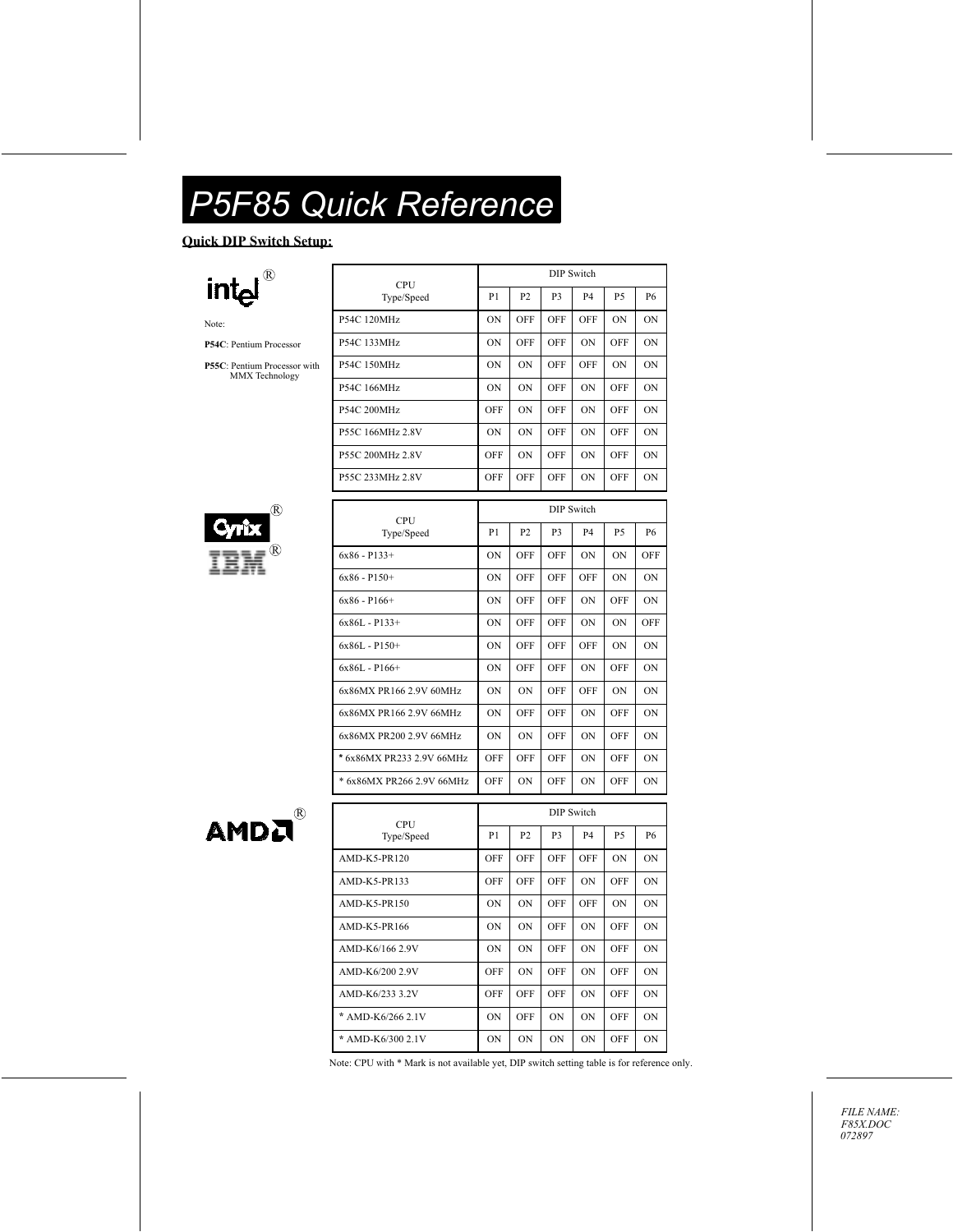# P5F85 Quick Reference

#### **Quick DIP Switch Setup:**



Note:

P54C: Pentium Processor

P55C: Pentium Processor with MMX Technology



| CPU<br>Type/Speed         | P <sub>1</sub> | P <sub>2</sub> | P <sub>3</sub> | P <sub>4</sub>    | P <sub>5</sub> | P6             |
|---------------------------|----------------|----------------|----------------|-------------------|----------------|----------------|
| P54C 120MHz               | ON             | <b>OFF</b>     | OFF            | OFF               | ON             | <b>ON</b>      |
| P54C 133MHz               | ON             | OFF            | OFF            | ON                | OFF            | 0 <sub>N</sub> |
| P54C 150MHz               | ON             | <b>ON</b>      | OFF            | OFF               | ON             | <b>ON</b>      |
| P54C 166MHz               | ΟN             | <b>ON</b>      | OFF            | ON                | <b>OFF</b>     | <b>ON</b>      |
| P54C 200MHz               | OFF            | <b>ON</b>      | OFF            | ON                | <b>OFF</b>     | <b>ON</b>      |
| P55C 166MHz 2.8V          | ON             | ON             | OFF            | ON                | OFF            | ON             |
| P55C 200MHz 2.8V          | OFF            | ON             | OFF            | ON                | OFF            | ON             |
| P55C 233MHz 2.8V          | OFF            | OFF            | OFF            | ON                | OFF            | ON             |
|                           |                |                |                | <b>DIP</b> Switch |                |                |
| <b>CPU</b><br>Type/Speed  | P <sub>1</sub> | P <sub>2</sub> | P <sub>3</sub> | P <sub>4</sub>    | P <sub>5</sub> | P6             |
| $6x86 - P133+$            | ON             | <b>OFF</b>     | OFF            | ON                | ON             | OFF            |
| $6x86 - P150+$            | ON             | OFF            | OFF            | OFF               | ON             | <b>ON</b>      |
| $6x86 - P166+$            | <b>ON</b>      | <b>OFF</b>     | OFF            | <b>ON</b>         | <b>OFF</b>     | <b>ON</b>      |
| $6x86L - P133+$           | ΟN             | <b>OFF</b>     | OFF            | ON                | ON             | OFF            |
| $6x86L - P150+$           | ON             | <b>OFF</b>     | OFF            | OFF               | <b>ON</b>      | <b>ON</b>      |
| $6x86L - P166+$           | ON             | OFF            | OFF            | <b>ON</b>         | <b>OFF</b>     | ON             |
| 6x86MX PR166 2.9V 60MHz   | ΟN             | ON             | OFF            | OFF               | ON             | ON             |
| 6x86MX PR166 2.9V 66MHz   | <b>ON</b>      | OFF            | OFF            | ON                | <b>OFF</b>     | ΟN             |
| 6x86MX PR200 2.9V 66MHz   | <b>ON</b>      | <b>ON</b>      | <b>OFF</b>     | ON                | <b>OFF</b>     | ON             |
| * 6x86MX PR233 2.9V 66MHz | OFF            | OFF            | OFF            | <b>ON</b>         | <b>OFF</b>     | <b>ON</b>      |
| * 6x86MX PR266 2.9V 66MHz | OFF            | ON             | OFF            | <b>ON</b>         | OFF            | ON             |

DIP Switch

| $\mathbf{R}$<br>AMDJ |  |
|----------------------|--|
|                      |  |

Í

| <b>CPU</b>        | DIP Switch     |                |                |           |            |           |
|-------------------|----------------|----------------|----------------|-----------|------------|-----------|
| Type/Speed        | P <sub>1</sub> | P <sub>2</sub> | P <sub>3</sub> | <b>P4</b> | <b>P5</b>  | <b>P6</b> |
| AMD-K5-PR120      | OFF            | OFF            | OFF            | OFF       | ON         | <b>ON</b> |
| AMD-K5-PR133      | <b>OFF</b>     | <b>OFF</b>     | OFF            | <b>ON</b> | <b>OFF</b> | <b>ON</b> |
| AMD-K5-PR150      | 0N             | ON             | OFF            | OFF       | <b>ON</b>  | <b>ON</b> |
| AMD-K5-PR166      | <b>ON</b>      | ON             | OFF            | <b>ON</b> | OFF        | <b>ON</b> |
| AMD-K6/166 2.9V   | 0N             | 0 <sub>N</sub> | <b>OFF</b>     | 0N        | <b>OFF</b> | <b>ON</b> |
| AMD-K6/200 2.9V   | OFF            | <b>ON</b>      | OFF            | <b>ON</b> | OFF        | <b>ON</b> |
| AMD-K6/233 3.2V   | OFF            | OFF            | OFF            | <b>ON</b> | OFF        | <b>ON</b> |
| * AMD-K6/266 2.1V | <b>ON</b>      | OFF            | ON             | ON        | <b>OFF</b> | ON        |
| * AMD-K6/300 2.1V | 0N             | 0 <sub>N</sub> | 0N             | 0N        | <b>OFF</b> | <b>ON</b> |

the CDU saids \* Mark is not conjlished up DID mainly action to ble in foundation  $\overline{a}$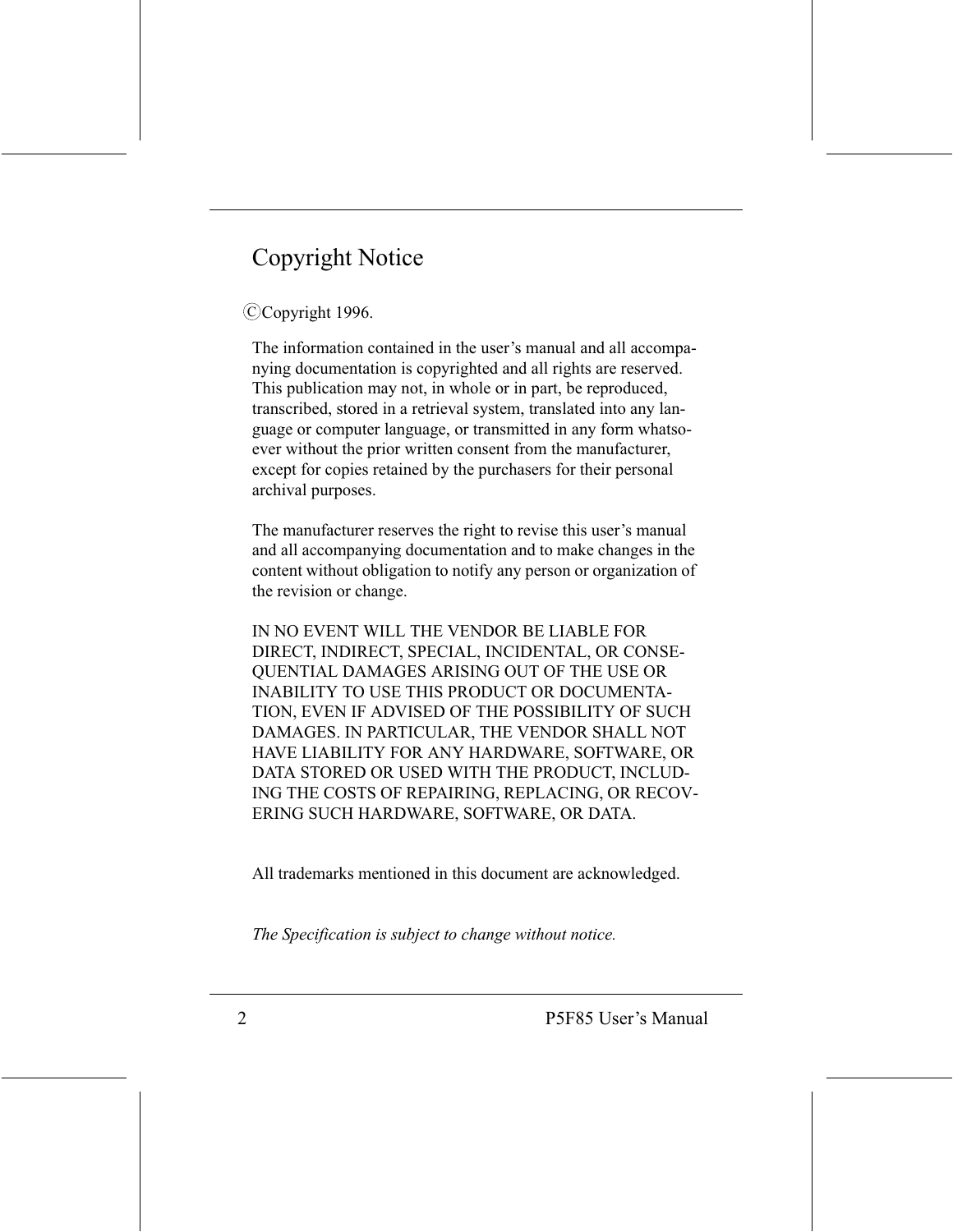# **Copyright Notice**

#### CCopyright 1996.

The information contained in the user's manual and all accompanying documentation is copyrighted and all rights are reserved. This publication may not, in whole or in part, be reproduced, transcribed, stored in a retrieval system, translated into any language or computer language, or transmitted in any form whatsoever without the prior written consent from the manufacturer, except for copies retained by the purchasers for their personal archival purposes.

The manufacturer reserves the right to revise this user's manual and all accompanying documentation and to make changes in the content without obligation to notify any person or organization of the revision or change.

IN NO EVENT WILL THE VENDOR BE LIABLE FOR DIRECT, INDIRECT, SPECIAL, INCIDENTAL, OR CONSE-**OUENTIAL DAMAGES ARISING OUT OF THE USE OR INABILITY TO USE THIS PRODUCT OR DOCUMENTA-**TION, EVEN IF ADVISED OF THE POSSIBILITY OF SUCH DAMAGES. IN PARTICULAR, THE VENDOR SHALL NOT HAVE LIABILITY FOR ANY HARDWARE, SOFTWARE, OR DATA STORED OR USED WITH THE PRODUCT, INCLUD-ING THE COSTS OF REPAIRING, REPLACING, OR RECOV-ERING SUCH HARDWARE, SOFTWARE, OR DATA.

All trademarks mentioned in this document are acknowledged.

The Specification is subject to change without notice.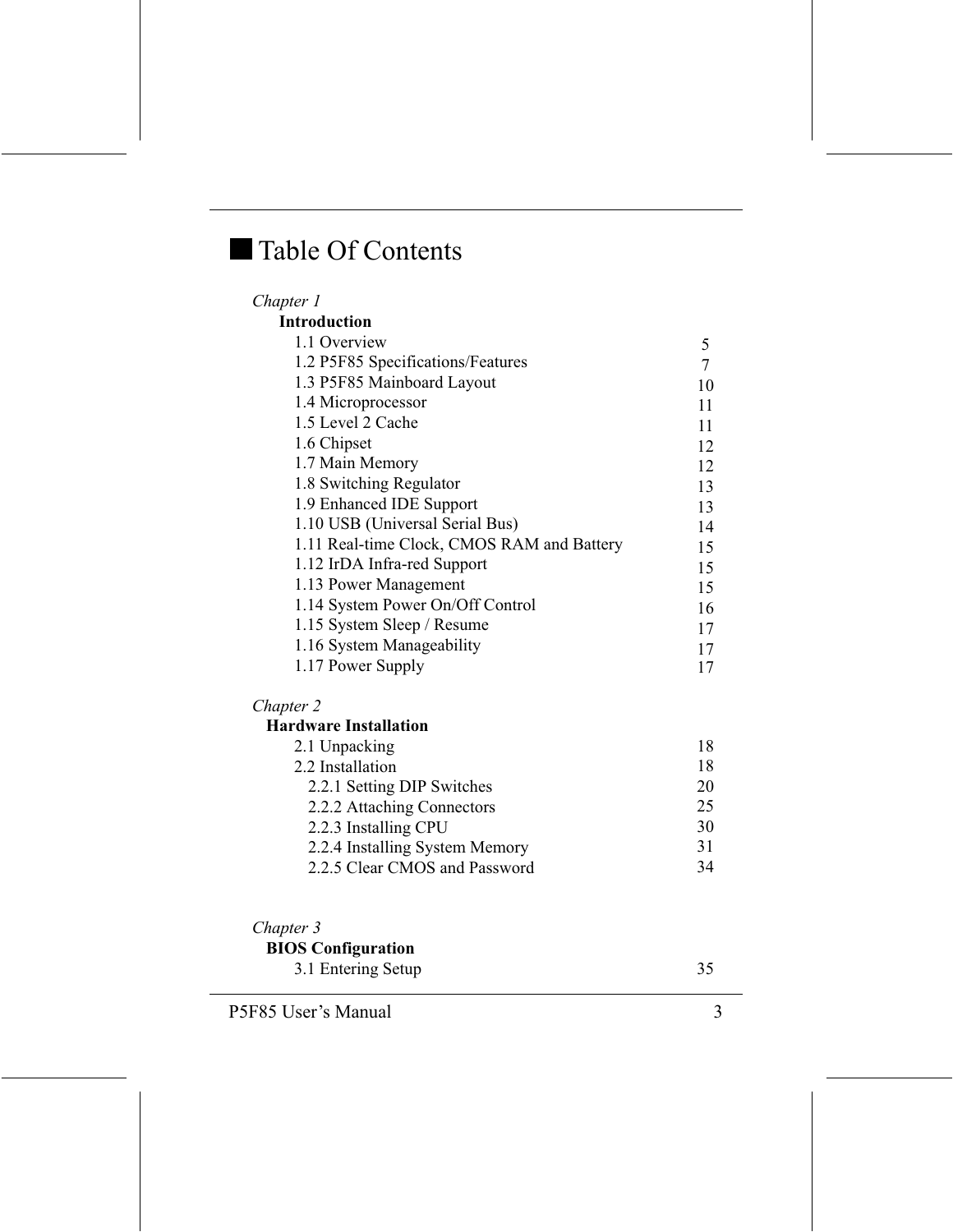# Table Of Contents

| Chapter 1                                  |    |
|--------------------------------------------|----|
| <b>Introduction</b>                        |    |
| 1.1 Overview                               | 5  |
| 1.2 P5F85 Specifications/Features          | 7  |
| 1.3 P5F85 Mainboard Layout                 | 10 |
| 1.4 Microprocessor                         | 11 |
| 1.5 Level 2 Cache                          | 11 |
| 1.6 Chipset                                | 12 |
| 1.7 Main Memory                            | 12 |
| 1.8 Switching Regulator                    | 13 |
| 1.9 Enhanced IDE Support                   | 13 |
| 1.10 USB (Universal Serial Bus)            | 14 |
| 1.11 Real-time Clock, CMOS RAM and Battery | 15 |
| 1.12 IrDA Infra-red Support                | 15 |
| 1.13 Power Management                      | 15 |
| 1.14 System Power On/Off Control           | 16 |
| 1.15 System Sleep / Resume                 | 17 |
| 1.16 System Manageability                  | 17 |
| 1.17 Power Supply                          | 17 |
|                                            |    |

#### Chapter 2

#### **Hardware Installation**

| 2.1 Unpacking                  | 18 |
|--------------------------------|----|
| 2.2 Installation               | 18 |
| 2.2.1 Setting DIP Switches     | 20 |
| 2.2.2 Attaching Connectors     | 25 |
| 2.2.3 Installing CPU           | 30 |
| 2.2.4 Installing System Memory | 31 |
| 2.2.5 Clear CMOS and Password  | 34 |

| Chapter 3 |  |
|-----------|--|
|-----------|--|

#### **BIOS** Configuration

| 3.1 Entering Setup |  |
|--------------------|--|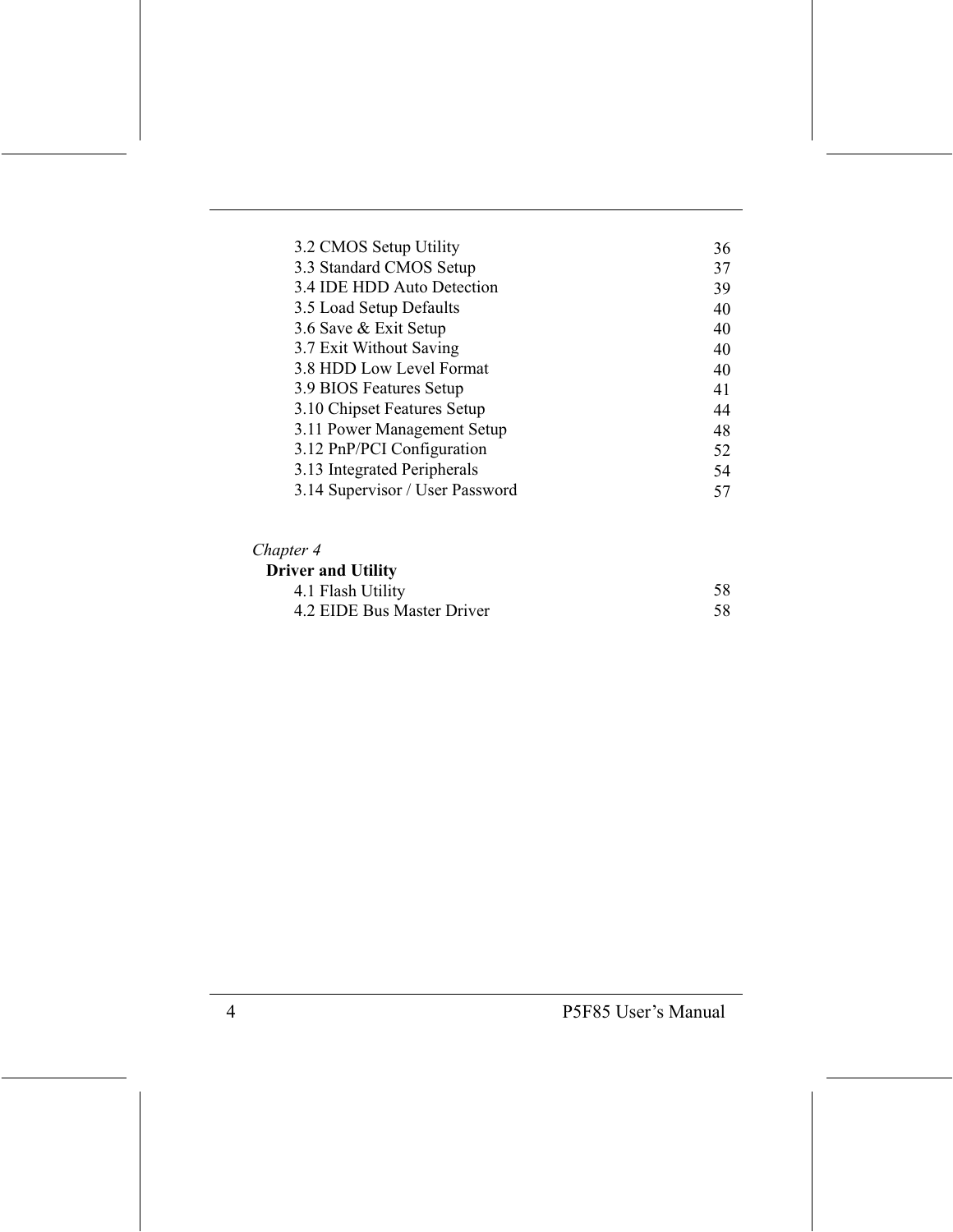| 3.2 CMOS Setup Utility          | 36 |
|---------------------------------|----|
| 3.3 Standard CMOS Setup         | 37 |
| 3.4 IDE HDD Auto Detection      | 39 |
| 3.5 Load Setup Defaults         | 40 |
| 3.6 Save & Exit Setup           | 40 |
| 3.7 Exit Without Saving         | 40 |
| 3.8 HDD Low Level Format        | 40 |
| 3.9 BIOS Features Setup         | 41 |
| 3.10 Chipset Features Setup     | 44 |
| 3.11 Power Management Setup     | 48 |
| 3.12 PnP/PCI Configuration      | 52 |
| 3.13 Integrated Peripherals     | 54 |
| 3.14 Supervisor / User Password | 57 |

#### Chapter 4

| <b>Driver and Utility</b>  |    |
|----------------------------|----|
| 4.1 Flash Utility          | 58 |
| 4.2 EIDE Bus Master Driver | 58 |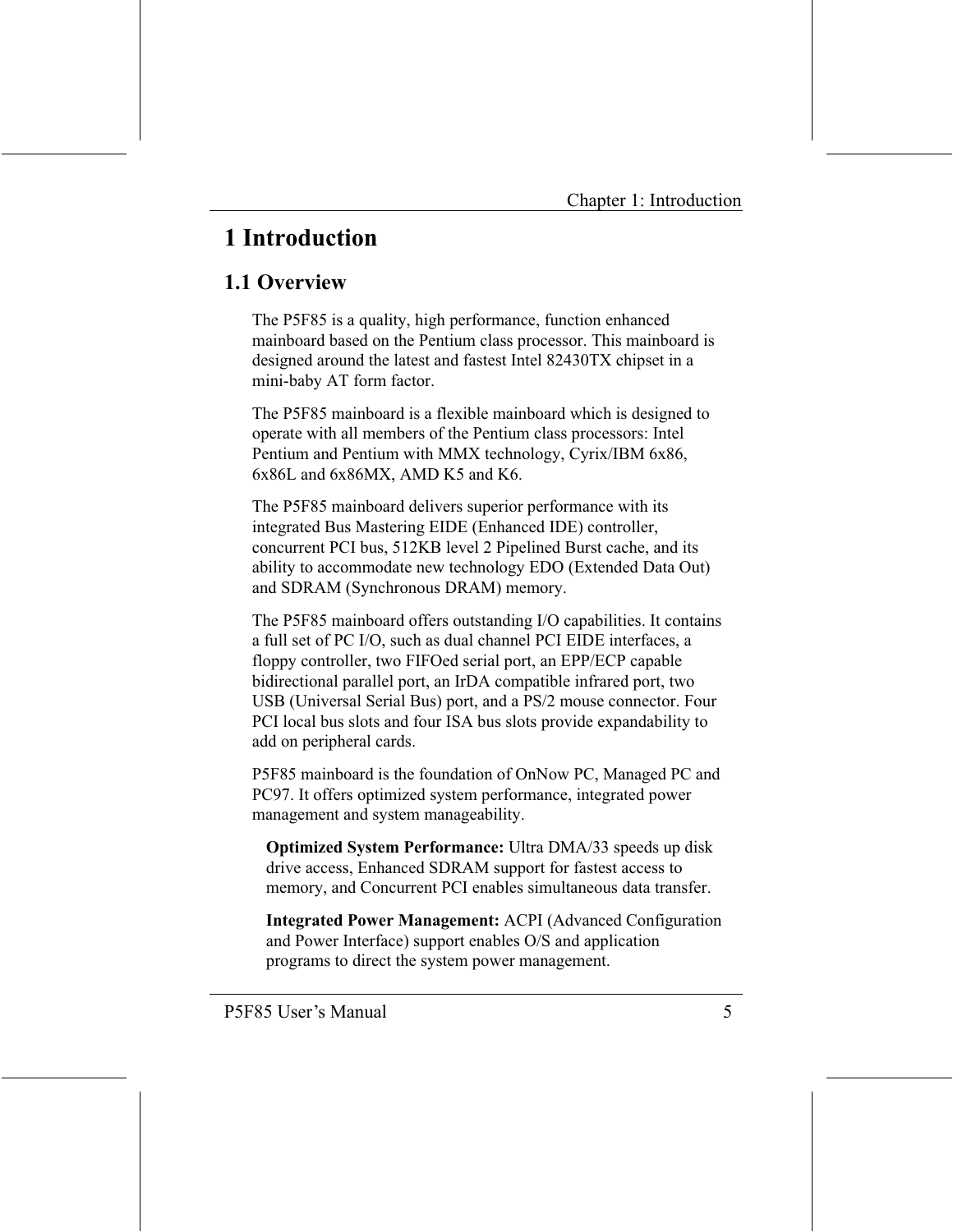## 1 Introduction

## 1.1 Overview

The P5F85 is a quality, high performance, function enhanced mainboard based on the Pentium class processor. This mainboard is designed around the latest and fastest Intel 82430TX chipset in a mini-baby AT form factor.

The P5F85 mainboard is a flexible mainboard which is designed to operate with all members of the Pentium class processors: Intel Pentium and Pentium with MMX technology, Cyrix/IBM 6x86, 6x86L and 6x86MX, AMD K5 and K6.

The P5F85 mainboard delivers superior performance with its integrated Bus Mastering EIDE (Enhanced IDE) controller, concurrent PCI bus, 512KB level 2 Pipelined Burst cache, and its ability to accommodate new technology EDO (Extended Data Out) and SDRAM (Synchronous DRAM) memory.

The P5F85 mainboard offers outstanding I/O capabilities. It contains a full set of PC I/O, such as dual channel PCI EIDE interfaces, a floppy controller, two FIFOed serial port, an EPP/ECP capable bidirectional parallel port, an IrDA compatible infrared port, two USB (Universal Serial Bus) port, and a PS/2 mouse connector. Four PCI local bus slots and four ISA bus slots provide expandability to add on peripheral cards.

P5F85 mainboard is the foundation of OnNow PC, Managed PC and PC97. It offers optimized system performance, integrated power management and system manageability.

**Optimized System Performance:** Ultra DMA/33 speeds up disk drive access, Enhanced SDRAM support for fastest access to memory, and Concurrent PCI enables simultaneous data transfer.

**Integrated Power Management:** ACPI (Advanced Configuration and Power Interface) support enables O/S and application programs to direct the system power management.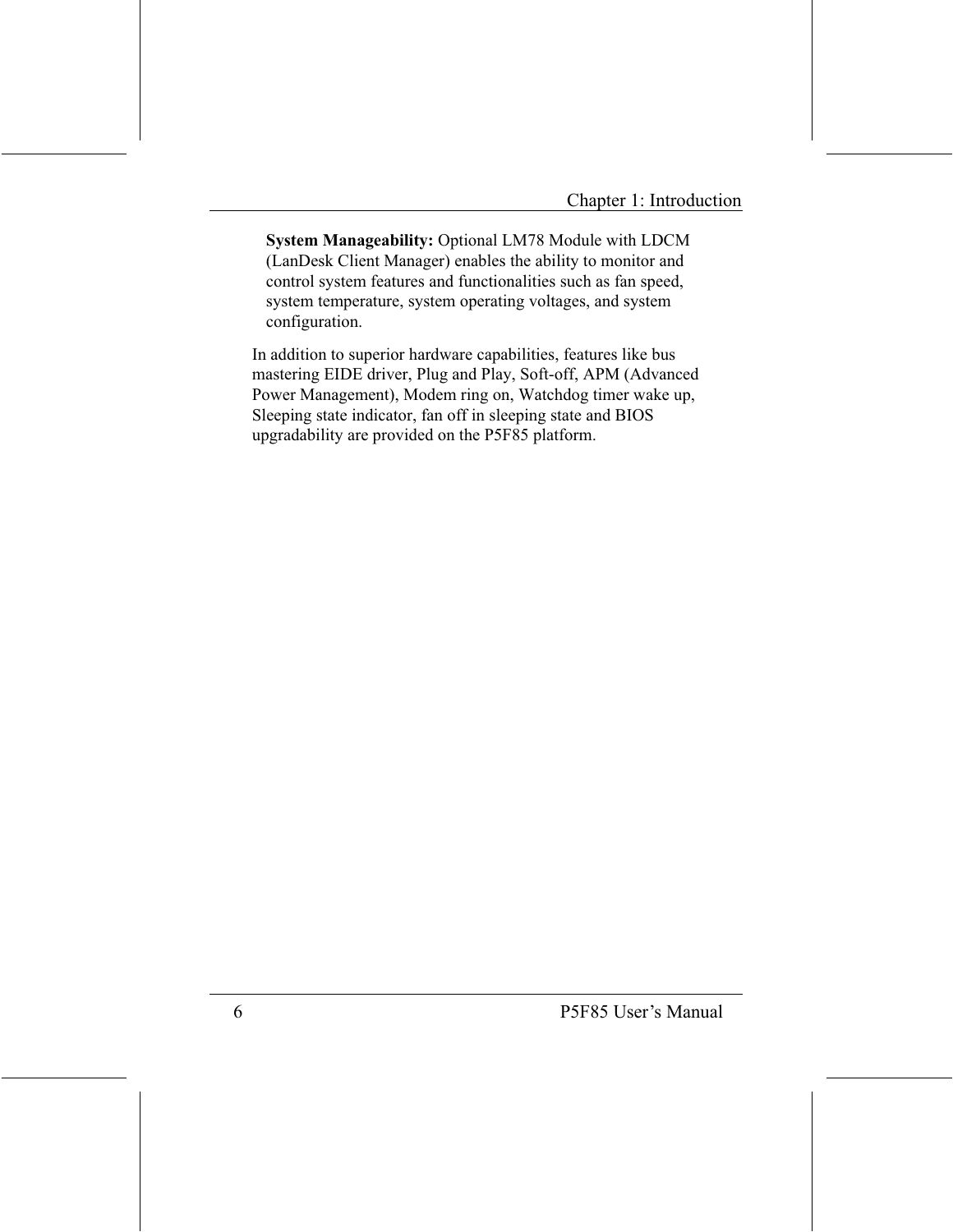System Manageability: Optional LM78 Module with LDCM (LanDesk Client Manager) enables the ability to monitor and control system features and functionalities such as fan speed, system temperature, system operating voltages, and system configuration.

In addition to superior hardware capabilities, features like bus mastering EIDE driver, Plug and Play, Soft-off, APM (Advanced Power Management), Modem ring on, Watchdog timer wake up, Sleeping state indicator, fan off in sleeping state and BIOS upgradability are provided on the P5F85 platform.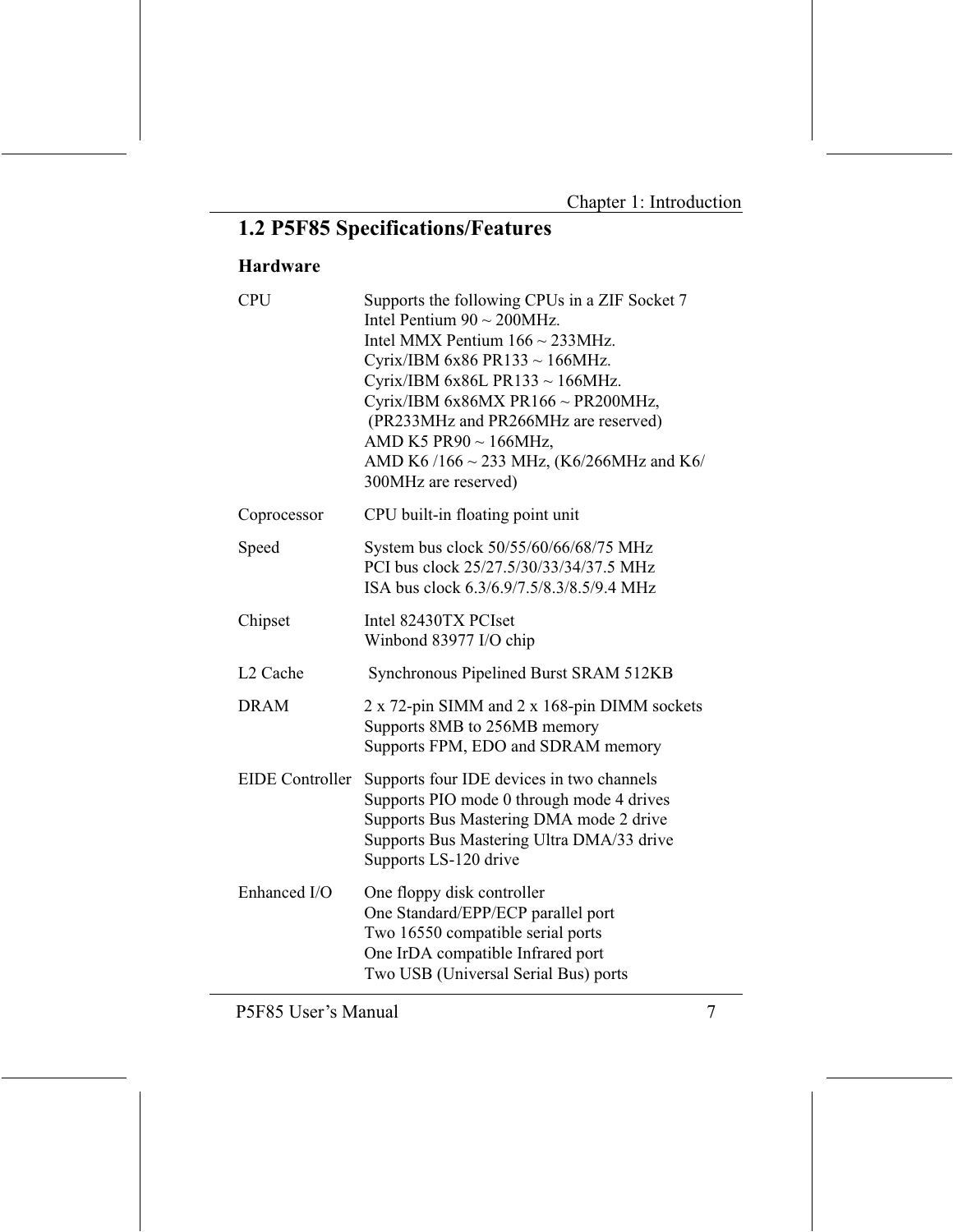## 1.2 P5F85 Specifications/Features

### Hardware

| <b>CPU</b>             | Supports the following CPUs in a ZIF Socket 7<br>Intel Pentium $90 \sim 200$ MHz.<br>Intel MMX Pentium $166 \sim 233$ MHz.<br>Cyrix/IBM 6x86 PR133 $\sim$ 166MHz.<br>Cyrix/IBM 6x86L PR133 $\sim$ 166MHz.<br>Cyrix/IBM 6x86MX PR166 ~ PR200MHz,<br>(PR233MHz and PR266MHz are reserved)<br>AMD K5 PR90 ~ 166MHz,<br>AMD K6/166 ~ 233 MHz, (K6/266MHz and K6/<br>300MHz are reserved) |
|------------------------|--------------------------------------------------------------------------------------------------------------------------------------------------------------------------------------------------------------------------------------------------------------------------------------------------------------------------------------------------------------------------------------|
| Coprocessor            | CPU built-in floating point unit                                                                                                                                                                                                                                                                                                                                                     |
| Speed                  | System bus clock 50/55/60/66/68/75 MHz<br>PCI bus clock 25/27.5/30/33/34/37.5 MHz<br>ISA bus clock 6.3/6.9/7.5/8.3/8.5/9.4 MHz                                                                                                                                                                                                                                                       |
| Chipset                | Intel 82430TX PCIset<br>Winbond 83977 I/O chip                                                                                                                                                                                                                                                                                                                                       |
| L <sub>2</sub> Cache   | Synchronous Pipelined Burst SRAM 512KB                                                                                                                                                                                                                                                                                                                                               |
| <b>DRAM</b>            | 2 x 72-pin SIMM and 2 x 168-pin DIMM sockets<br>Supports 8MB to 256MB memory<br>Supports FPM, EDO and SDRAM memory                                                                                                                                                                                                                                                                   |
| <b>EIDE</b> Controller | Supports four IDE devices in two channels<br>Supports PIO mode 0 through mode 4 drives<br>Supports Bus Mastering DMA mode 2 drive<br>Supports Bus Mastering Ultra DMA/33 drive<br>Supports LS-120 drive                                                                                                                                                                              |
| Enhanced I/O           | One floppy disk controller<br>One Standard/EPP/ECP parallel port<br>Two 16550 compatible serial ports<br>One IrDA compatible Infrared port<br>Two USB (Universal Serial Bus) ports                                                                                                                                                                                                   |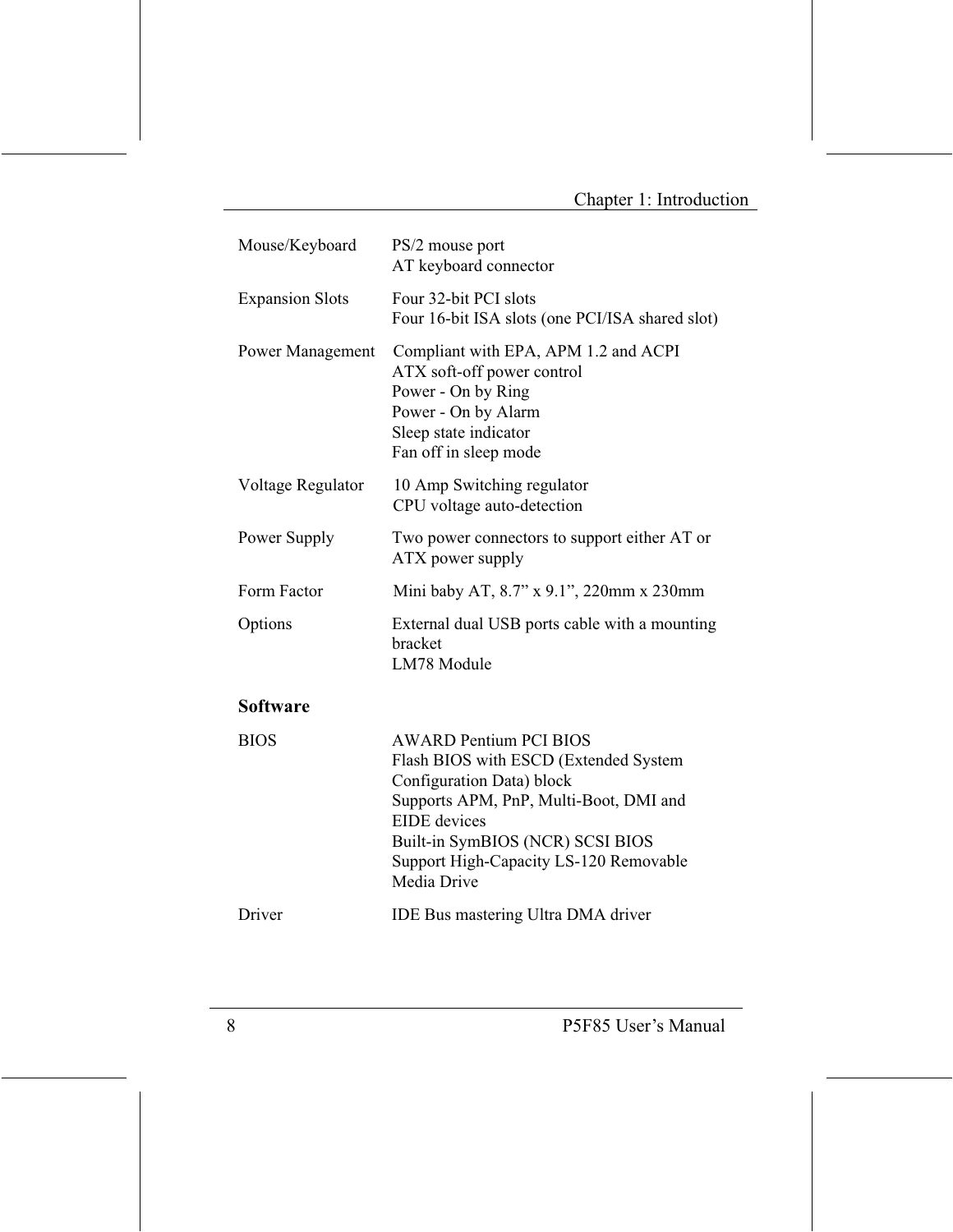| Mouse/Keyboard         | PS/2 mouse port<br>AT keyboard connector                                                                                                                                                                                                                          |
|------------------------|-------------------------------------------------------------------------------------------------------------------------------------------------------------------------------------------------------------------------------------------------------------------|
| <b>Expansion Slots</b> | Four 32-bit PCI slots<br>Four 16-bit ISA slots (one PCI/ISA shared slot)                                                                                                                                                                                          |
| Power Management       | Compliant with EPA, APM 1.2 and ACPI<br>ATX soft-off power control<br>Power - On by Ring<br>Power - On by Alarm<br>Sleep state indicator<br>Fan off in sleep mode                                                                                                 |
| Voltage Regulator      | 10 Amp Switching regulator<br>CPU voltage auto-detection                                                                                                                                                                                                          |
| Power Supply           | Two power connectors to support either AT or<br>ATX power supply                                                                                                                                                                                                  |
| Form Factor            | Mini baby AT, 8.7" x 9.1", 220mm x 230mm                                                                                                                                                                                                                          |
| Options                | External dual USB ports cable with a mounting<br>bracket<br>LM78 Module                                                                                                                                                                                           |
| <b>Software</b>        |                                                                                                                                                                                                                                                                   |
| <b>BIOS</b>            | <b>AWARD Pentium PCI BIOS</b><br>Flash BIOS with ESCD (Extended System<br>Configuration Data) block<br>Supports APM, PnP, Multi-Boot, DMI and<br><b>EIDE</b> devices<br>Built-in SymBIOS (NCR) SCSI BIOS<br>Support High-Capacity LS-120 Removable<br>Media Drive |
| Driver                 | IDE Bus mastering Ultra DMA driver                                                                                                                                                                                                                                |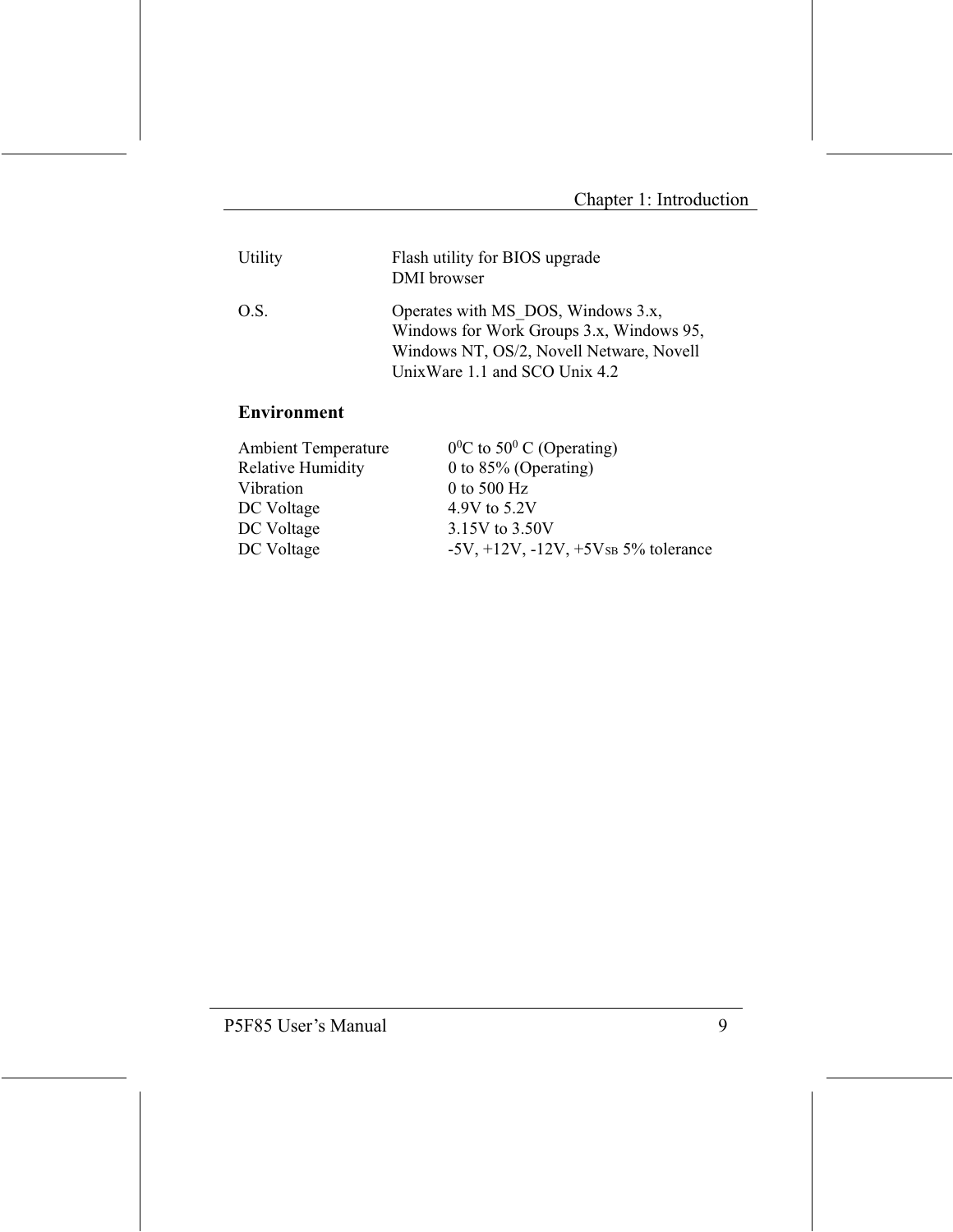| Utility | Flash utility for BIOS upgrade<br>DMI browser                                                                                                               |
|---------|-------------------------------------------------------------------------------------------------------------------------------------------------------------|
| O.S.    | Operates with MS DOS, Windows 3.x,<br>Windows for Work Groups 3.x, Windows 95,<br>Windows NT, OS/2, Novell Netware, Novell<br>UnixWare 1.1 and SCO Unix 4.2 |

#### **Environment**

| <b>Ambient Temperature</b> | $0^0$ C to 50 <sup>0</sup> C (Operating)         |
|----------------------------|--------------------------------------------------|
| Relative Humidity          | 0 to $85\%$ (Operating)                          |
| Vibration                  | 0 to 500 $Hz$                                    |
| DC Voltage                 | 4.9V to 5.2V                                     |
| DC Voltage                 | 3.15V to 3.50V                                   |
| DC Voltage                 | $-5V$ , $+12V$ , $-12V$ , $+5V$ s $5%$ tolerance |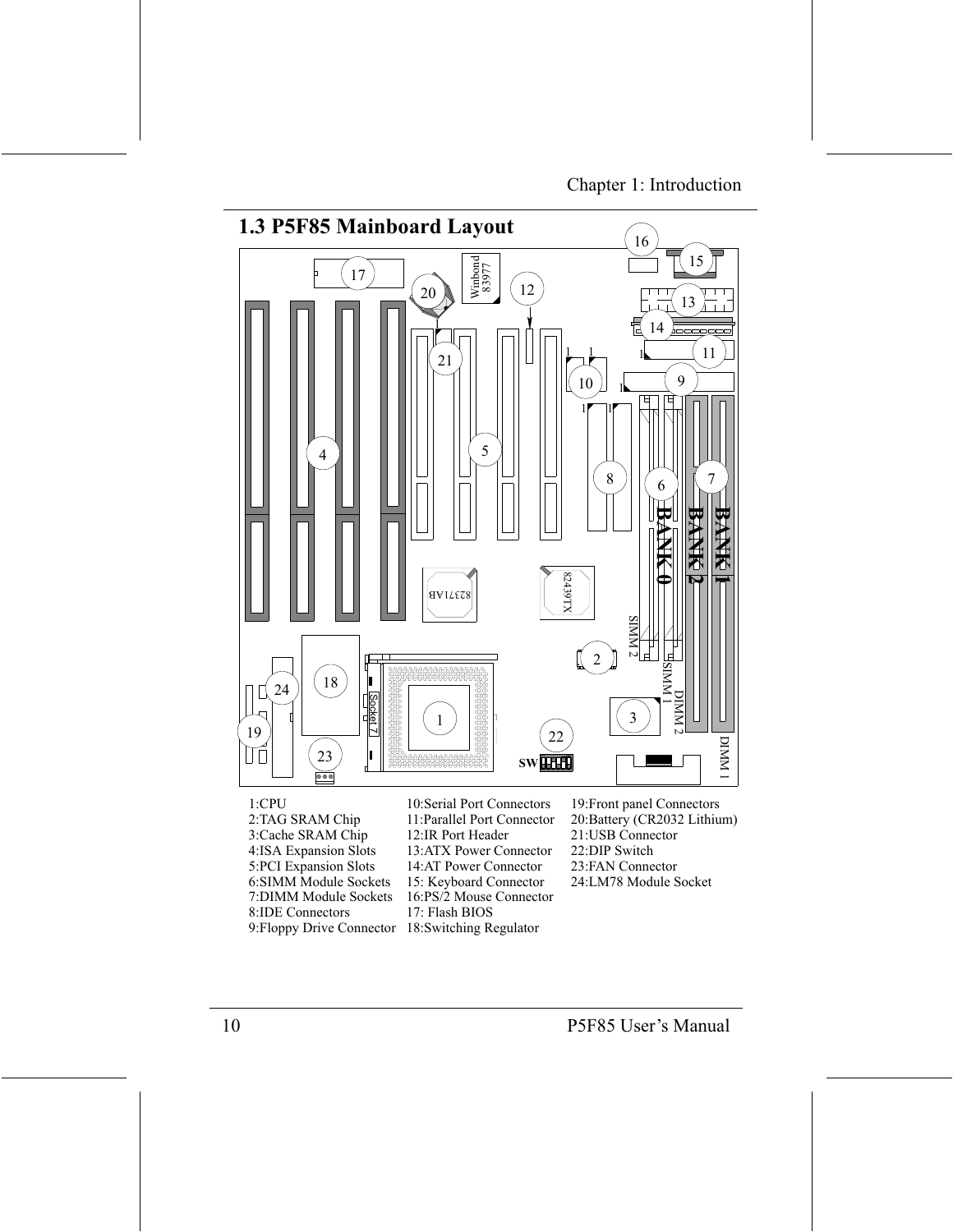

 $1:$ CPU 2:TAG SRAM Chip 3:Cache SRAM Chip 4:ISA Expansion Slots 5:PCI Expansion Slots 6:SIMM Module Sockets 7:DIMM Module Sockets

8:IDE Connectors

10:Serial Port Connectors 11: Parallel Port Connector 12:IR Port Header 13:ATX Power Connector 14:AT Power Connector 15: Keyboard Connector 16:PS/2 Mouse Connector 17: Flash BIOS 9:Floppy Drive Connector 18:Switching Regulator

19: Front panel Connectors 20:Battery (CR2032 Lithium) 21:USB Connector 22:DIP Switch 23:FAN Connector 24:LM78 Module Socket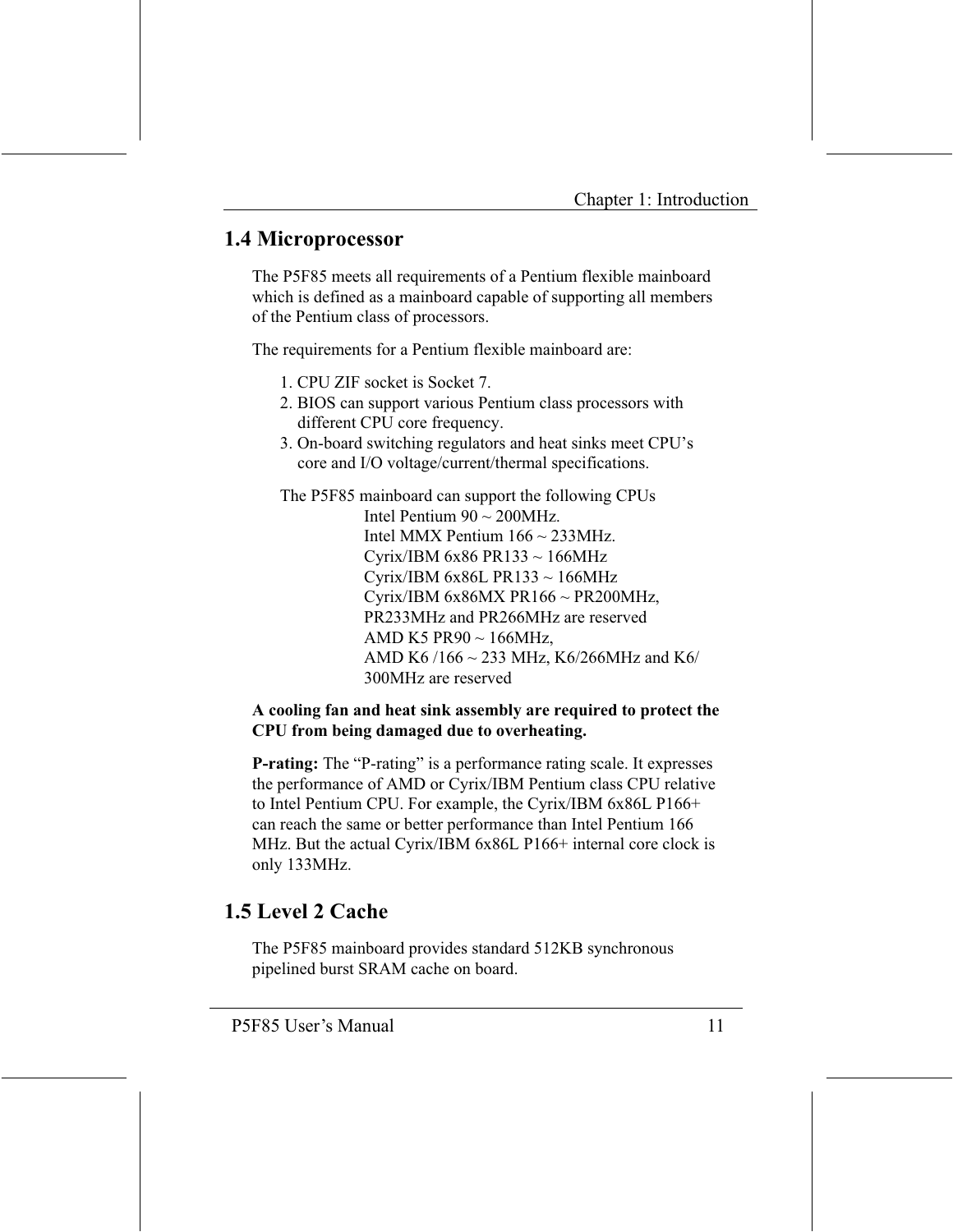## **1.4 Microprocessor**

The P5F85 meets all requirements of a Pentium flexible mainboard which is defined as a mainboard capable of supporting all members of the Pentium class of processors.

The requirements for a Pentium flexible mainboard are:

- 1. CPU ZIF socket is Socket 7.
- 2. BIOS can support various Pentium class processors with different CPU core frequency.
- 3. On-board switching regulators and heat sinks meet CPU's core and I/O voltage/current/thermal specifications.

The P5F85 mainboard can support the following CPUs Intel Pentium  $90 \sim 200 MHz$ . Intel MMX Pentium  $166 \sim 233 \text{MHz}$ . Cyrix/IBM 6x86 PR133  $\sim$  166MHz Cyrix/IBM 6x86L PR133  $\sim$  166MHz Cyrix/IBM 6x86MX PR166 ~ PR200MHz, PR233MHz and PR266MHz are reserved AMD K5 PR90 ~ 166MHz. AMD K6/166 ~ 233 MHz, K6/266MHz and K6/ 300MHz are reserved

#### A cooling fan and heat sink assembly are required to protect the CPU from being damaged due to overheating.

**P-rating:** The "P-rating" is a performance rating scale. It expresses the performance of AMD or Cyrix/IBM Pentium class CPU relative to Intel Pentium CPU. For example, the Cyrix/IBM 6x86L P166+ can reach the same or better performance than Intel Pentium 166 MHz. But the actual Cyrix/IBM 6x86L P166+ internal core clock is only 133MHz.

## 1.5 Level 2 Cache

The P5F85 mainboard provides standard 512KB synchronous pipelined burst SRAM cache on board.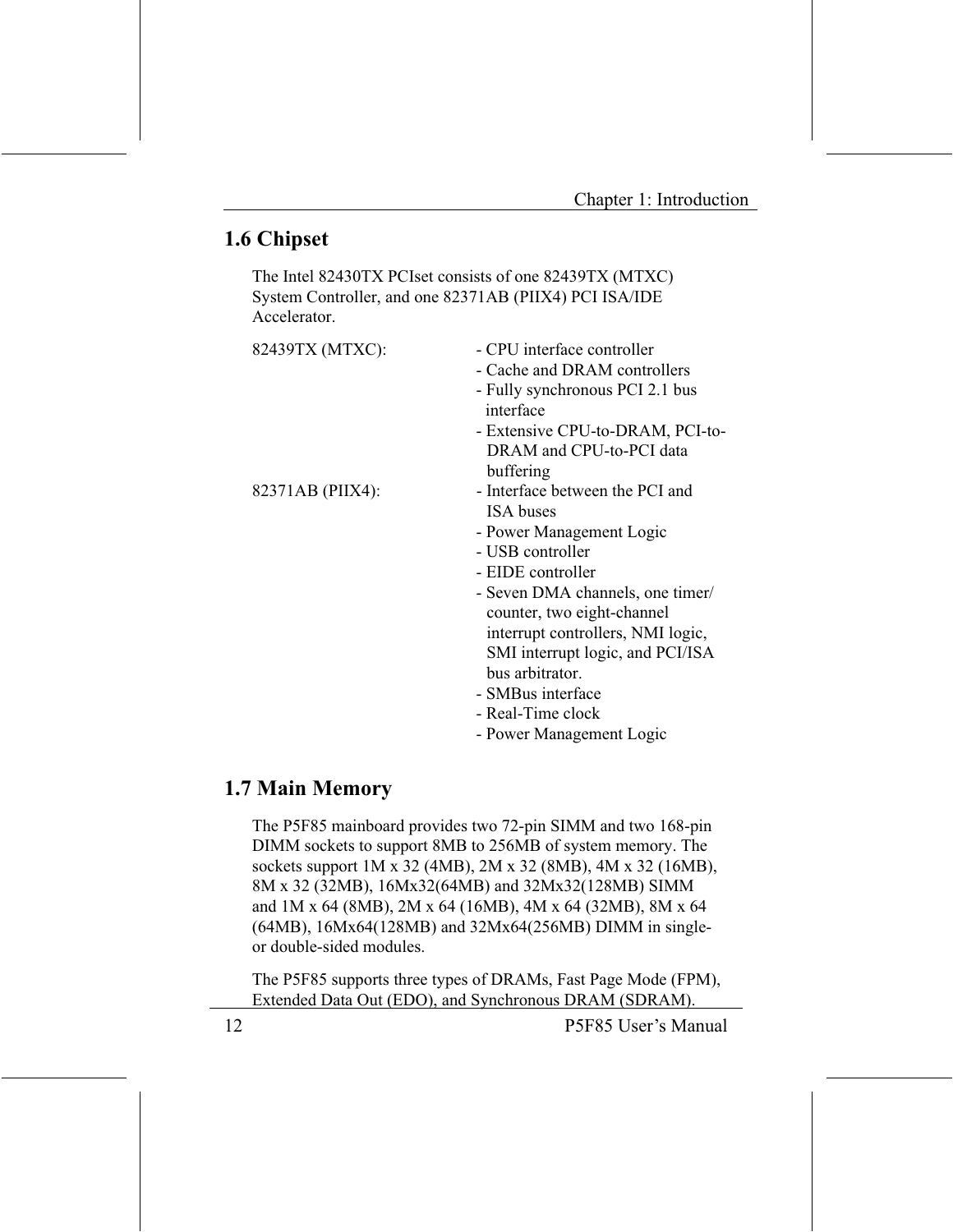## 1.6 Chipset

The Intel 82430TX PCIset consists of one 82439TX (MTXC) System Controller, and one 82371AB (PIIX4) PCI ISA/IDE Accelerator

| 82439TX (MTXC):  | - CPU interface controller<br>- Cache and DRAM controllers |
|------------------|------------------------------------------------------------|
|                  | - Fully synchronous PCI 2.1 bus<br>interface               |
|                  | - Extensive CPU-to-DRAM, PCI-to-                           |
|                  | DRAM and CPU-to-PCI data                                   |
|                  | buffering                                                  |
| 82371AB (PIIX4): | - Interface between the PCI and                            |
|                  | <b>ISA</b> buses                                           |
|                  | - Power Management Logic                                   |
|                  | - USB controller                                           |
|                  | - EIDE controller                                          |
|                  | - Seven DMA channels, one timer/                           |
|                  | counter, two eight-channel                                 |
|                  | interrupt controllers, NMI logic,                          |
|                  | SMI interrupt logic, and PCI/ISA                           |
|                  | bus arbitrator.                                            |
|                  | - SMBus interface                                          |
|                  | - Real-Time clock                                          |
|                  | - Power Management Logic                                   |

## 1.7 Main Memory

The P5F85 mainboard provides two 72-pin SIMM and two 168-pin DIMM sockets to support 8MB to 256MB of system memory. The sockets support 1M x 32 (4MB), 2M x 32 (8MB), 4M x 32 (16MB), 8M x 32 (32MB), 16Mx32(64MB) and 32Mx32(128MB) SIMM and 1M x 64 (8MB), 2M x 64 (16MB), 4M x 64 (32MB), 8M x 64 (64MB), 16Mx64(128MB) and 32Mx64(256MB) DIMM in singleor double-sided modules.

The P5F85 supports three types of DRAMs, Fast Page Mode (FPM), Extended Data Out (EDO), and Synchronous DRAM (SDRAM).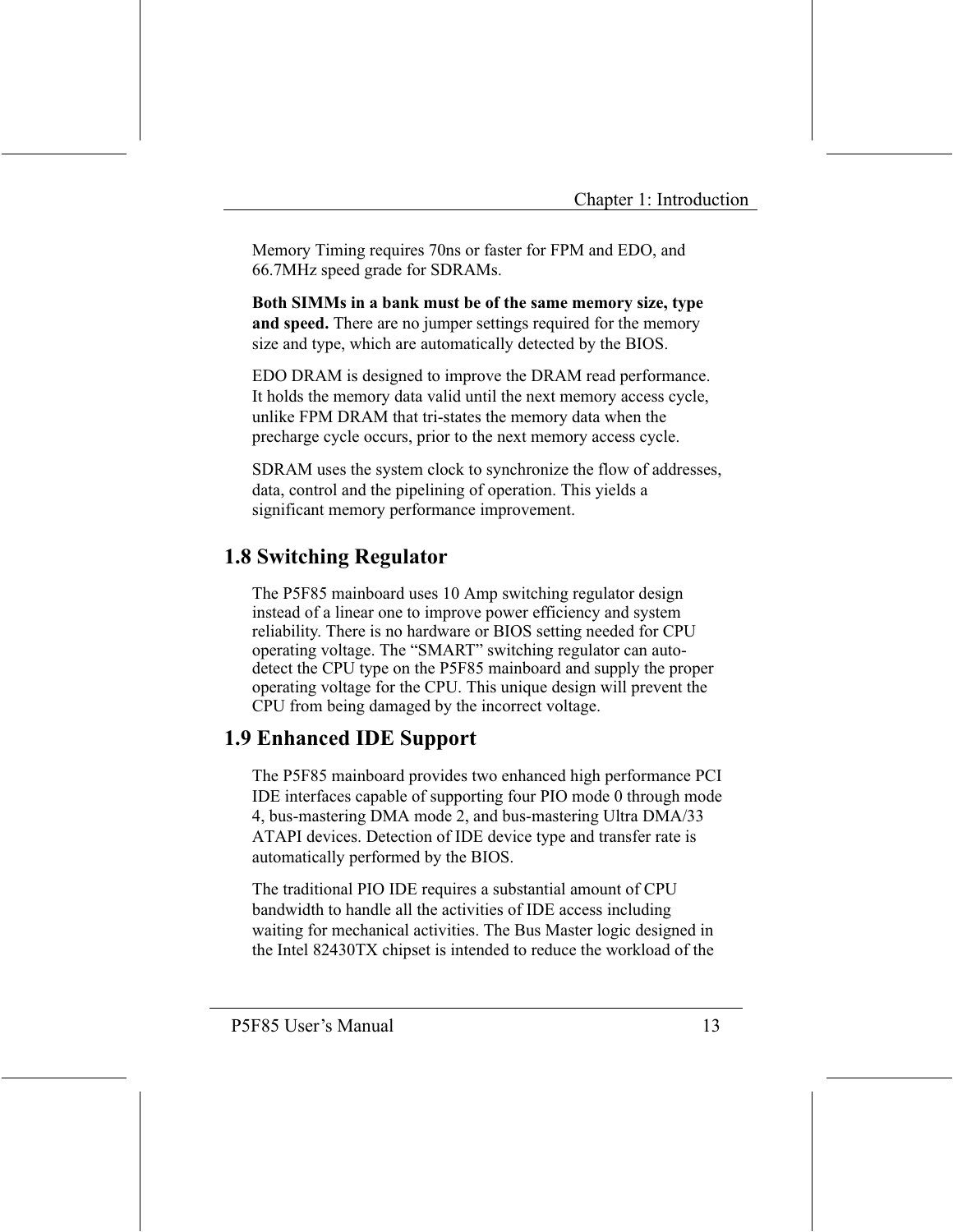Memory Timing requires 70ns or faster for FPM and EDO, and 66.7MHz speed grade for SDRAMs.

Both SIMMs in a bank must be of the same memory size, type and speed. There are no jumper settings required for the memory size and type, which are automatically detected by the BIOS.

EDO DRAM is designed to improve the DRAM read performance. It holds the memory data valid until the next memory access cycle, unlike FPM DRAM that tri-states the memory data when the precharge cycle occurs, prior to the next memory access cycle.

SDRAM uses the system clock to synchronize the flow of addresses, data, control and the pipelining of operation. This yields a significant memory performance improvement.

## **1.8 Switching Regulator**

The P5F85 mainboard uses 10 Amp switching regulator design instead of a linear one to improve power efficiency and system reliability. There is no hardware or BIOS setting needed for CPU operating voltage. The "SMART" switching regulator can autodetect the CPU type on the P5F85 mainboard and supply the proper operating voltage for the CPU. This unique design will prevent the CPU from being damaged by the incorrect voltage.

## **1.9 Enhanced IDE Support**

The P5F85 mainboard provides two enhanced high performance PCI IDE interfaces capable of supporting four PIO mode 0 through mode 4, bus-mastering DMA mode 2, and bus-mastering Ultra DMA/33 ATAPI devices. Detection of IDE device type and transfer rate is automatically performed by the BIOS.

The traditional PIO IDE requires a substantial amount of CPU bandwidth to handle all the activities of IDE access including waiting for mechanical activities. The Bus Master logic designed in the Intel 82430TX chipset is intended to reduce the workload of the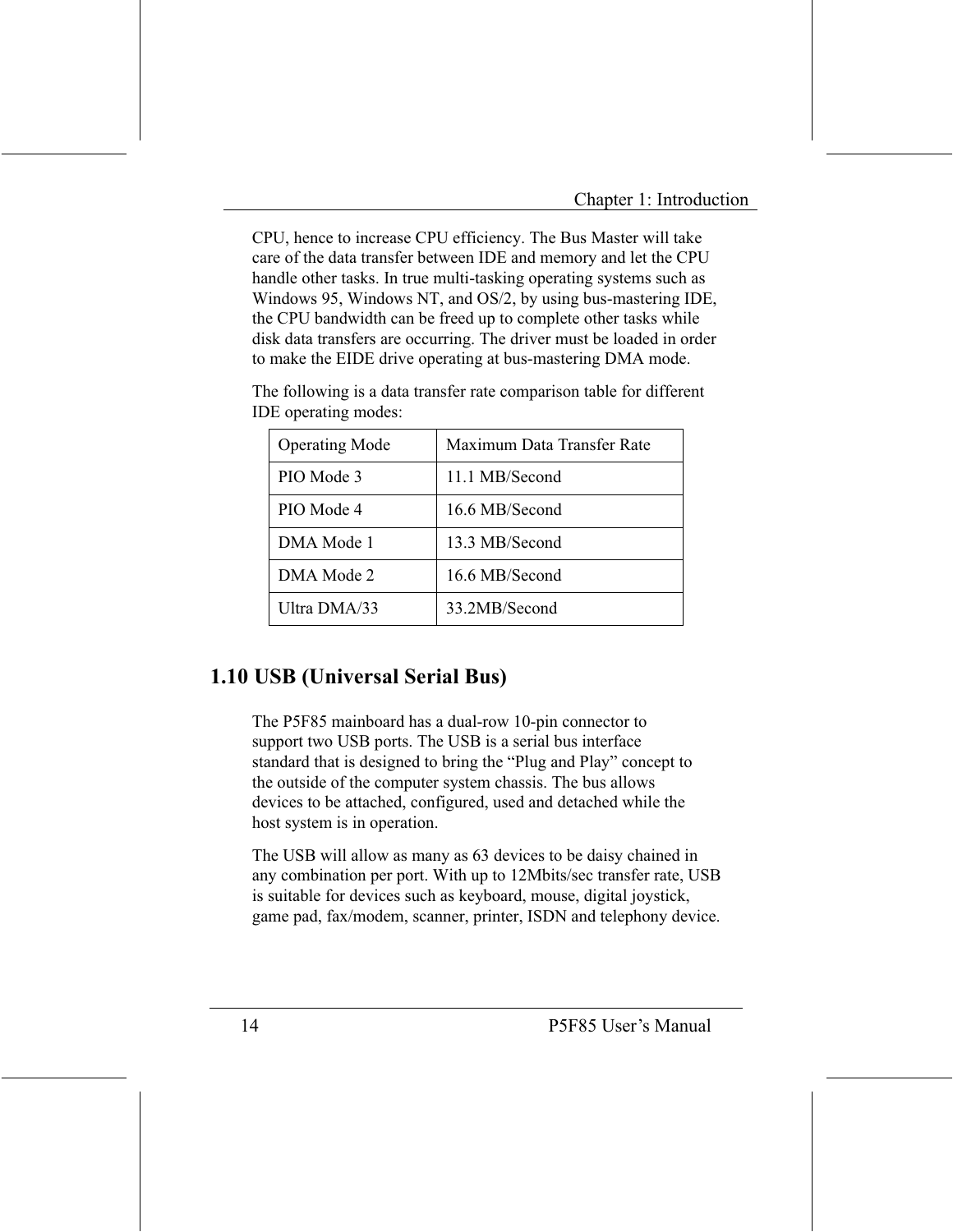CPU, hence to increase CPU efficiency. The Bus Master will take care of the data transfer between IDE and memory and let the CPU handle other tasks. In true multi-tasking operating systems such as Windows 95, Windows NT, and OS/2, by using bus-mastering IDE, the CPU bandwidth can be freed up to complete other tasks while disk data transfers are occurring. The driver must be loaded in order to make the EIDE drive operating at bus-mastering DMA mode.

The following is a data transfer rate comparison table for different IDE operating modes:

| <b>Operating Mode</b> | Maximum Data Transfer Rate |
|-----------------------|----------------------------|
| PIO Mode 3            | 11.1 MB/Second             |
| PIO Mode 4            | 16.6 MB/Second             |
| DMA Mode 1            | 13.3 MB/Second             |
| DMA Mode 2            | 16.6 MB/Second             |
| Ultra DMA/33          | 33.2MB/Second              |

## 1.10 USB (Universal Serial Bus)

The P5F85 mainboard has a dual-row 10-pin connector to support two USB ports. The USB is a serial bus interface standard that is designed to bring the "Plug and Play" concept to the outside of the computer system chassis. The bus allows devices to be attached, configured, used and detached while the host system is in operation.

The USB will allow as many as 63 devices to be daisy chained in any combination per port. With up to 12Mbits/sec transfer rate, USB is suitable for devices such as keyboard, mouse, digital joystick, game pad, fax/modem, scanner, printer, ISDN and telephony device.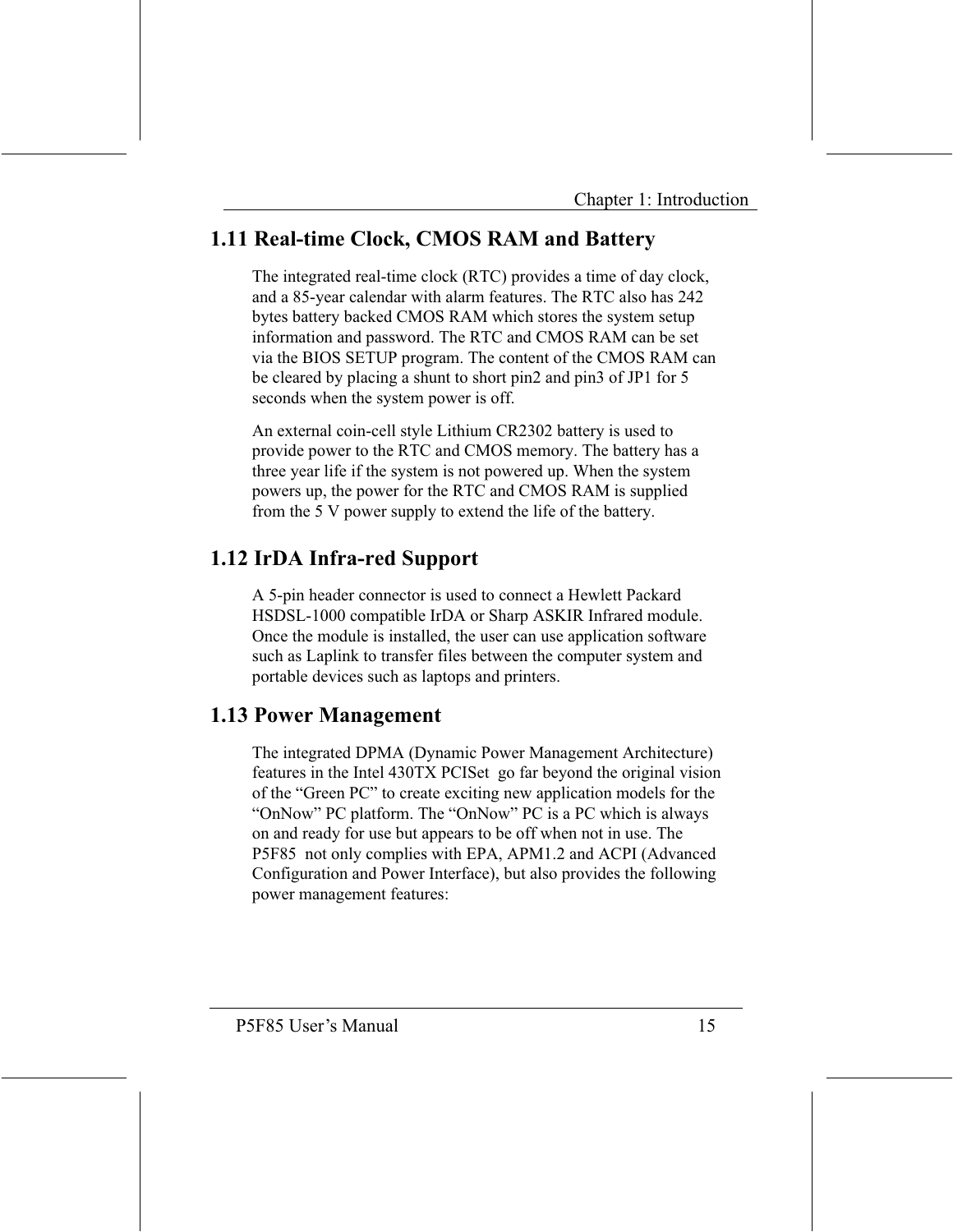## 1.11 Real-time Clock, CMOS RAM and Battery

The integrated real-time clock (RTC) provides a time of day clock, and a 85-year calendar with alarm features. The RTC also has 242 bytes battery backed CMOS RAM which stores the system setup information and password. The RTC and CMOS RAM can be set via the BIOS SETUP program. The content of the CMOS RAM can be cleared by placing a shunt to short pin2 and pin3 of JP1 for 5 seconds when the system power is off.

An external coin-cell style Lithium CR2302 battery is used to provide power to the RTC and CMOS memory. The battery has a three year life if the system is not powered up. When the system powers up, the power for the RTC and CMOS RAM is supplied from the 5 V power supply to extend the life of the battery.

## 1.12 IrDA Infra-red Support

A 5-pin header connector is used to connect a Hewlett Packard HSDSL-1000 compatible IrDA or Sharp ASKIR Infrared module. Once the module is installed, the user can use application software such as Laplink to transfer files between the computer system and portable devices such as laptops and printers.

## **1.13 Power Management**

The integrated DPMA (Dynamic Power Management Architecture) features in the Intel 430TX PCISet go far beyond the original vision of the "Green PC" to create exciting new application models for the "OnNow" PC platform. The "OnNow" PC is a PC which is always on and ready for use but appears to be off when not in use. The P5F85 not only complies with EPA, APM1.2 and ACPI (Advanced Configuration and Power Interface), but also provides the following power management features: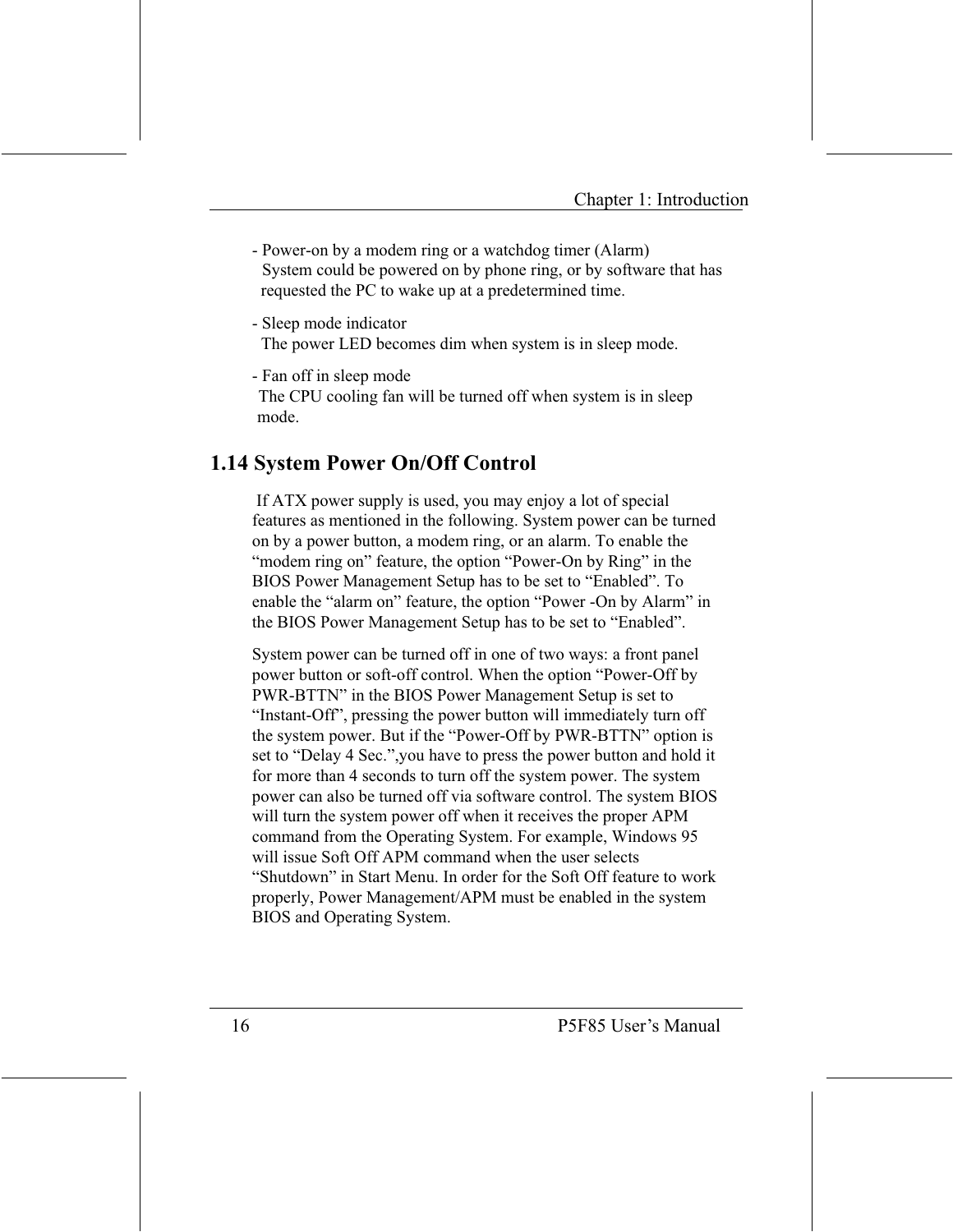- Power-on by a modem ring or a watchdog timer (Alarm) System could be powered on by phone ring, or by software that has requested the PC to wake up at a predetermined time.

- Sleep mode indicator

The power LED becomes dim when system is in sleep mode.

- Fan off in sleep mode

The CPU cooling fan will be turned off when system is in sleep mode.

## **1.14 System Power On/Off Control**

If ATX power supply is used, you may enjoy a lot of special features as mentioned in the following. System power can be turned on by a power button, a modem ring, or an alarm. To enable the "modem ring on" feature, the option "Power-On by Ring" in the BIOS Power Management Setup has to be set to "Enabled". To enable the "alarm on" feature, the option "Power -On by Alarm" in the BIOS Power Management Setup has to be set to "Enabled".

System power can be turned off in one of two ways: a front panel power button or soft-off control. When the option "Power-Off by PWR-BTTN" in the BIOS Power Management Setup is set to "Instant-Off", pressing the power button will immediately turn off the system power. But if the "Power-Off by PWR-BTTN" option is set to "Delay 4 Sec.", you have to press the power button and hold it for more than 4 seconds to turn off the system power. The system power can also be turned off via software control. The system BIOS will turn the system power off when it receives the proper APM command from the Operating System. For example, Windows 95 will issue Soft Off APM command when the user selects "Shutdown" in Start Menu. In order for the Soft Off feature to work properly, Power Management/APM must be enabled in the system BIOS and Operating System.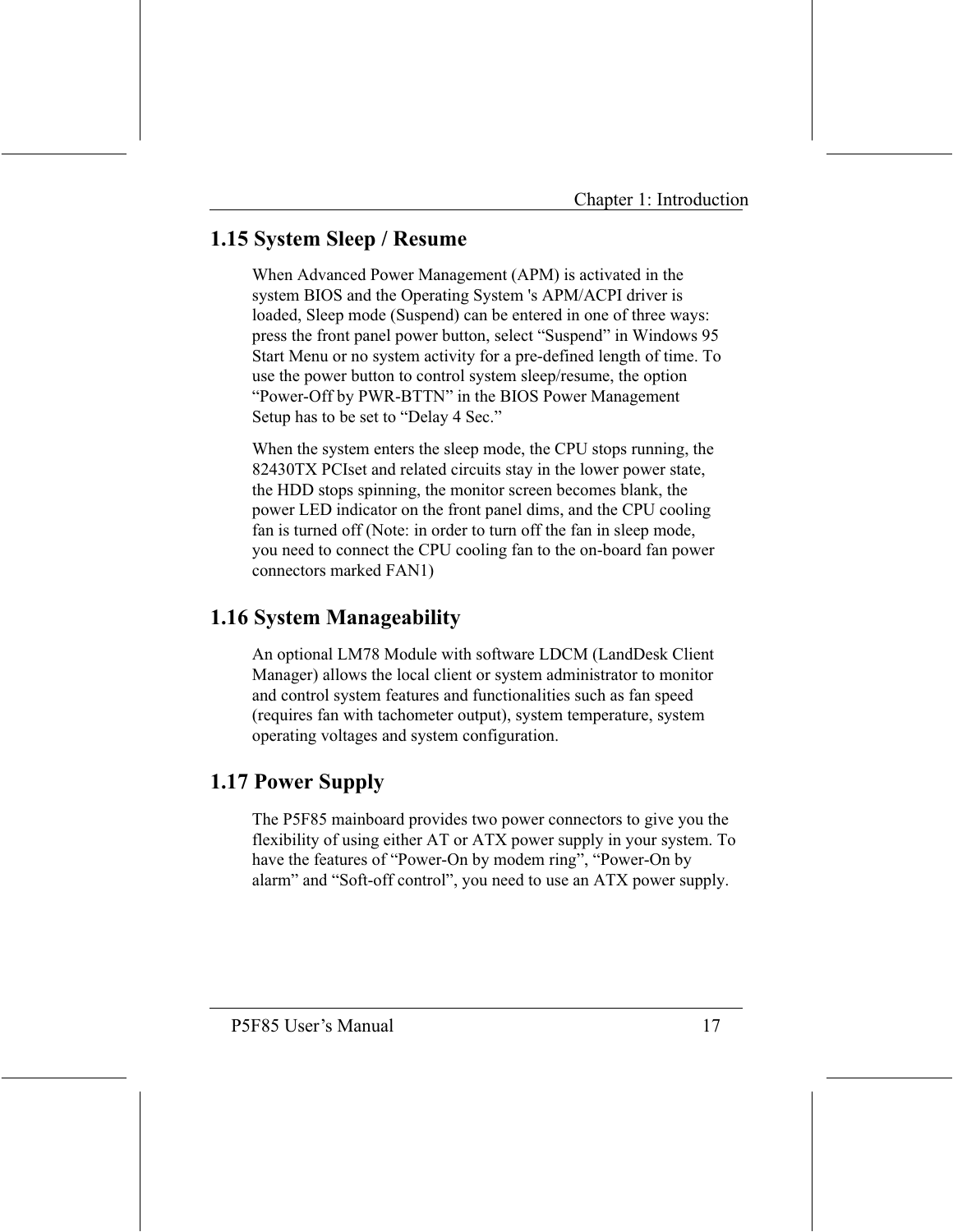## 1.15 System Sleep / Resume

When Advanced Power Management (APM) is activated in the system BIOS and the Operating System 's APM/ACPI driver is loaded, Sleep mode (Suspend) can be entered in one of three ways: press the front panel power button, select "Suspend" in Windows 95 Start Menu or no system activity for a pre-defined length of time. To use the power button to control system sleep/resume, the option "Power-Off by PWR-BTTN" in the BIOS Power Management Setup has to be set to "Delay 4 Sec."

When the system enters the sleep mode, the CPU stops running, the 82430TX PCIset and related circuits stay in the lower power state, the HDD stops spinning, the monitor screen becomes blank, the power LED indicator on the front panel dims, and the CPU cooling fan is turned off (Note: in order to turn off the fan in sleep mode, you need to connect the CPU cooling fan to the on-board fan power connectors marked FAN1)

## **1.16 System Manageability**

An optional LM78 Module with software LDCM (LandDesk Client Manager) allows the local client or system administrator to monitor and control system features and functionalities such as fan speed (requires fan with tachometer output), system temperature, system operating voltages and system configuration.

## 1.17 Power Supply

The P5F85 mainboard provides two power connectors to give you the flexibility of using either AT or ATX power supply in your system. To have the features of "Power-On by modem ring", "Power-On by alarm" and "Soft-off control", you need to use an ATX power supply.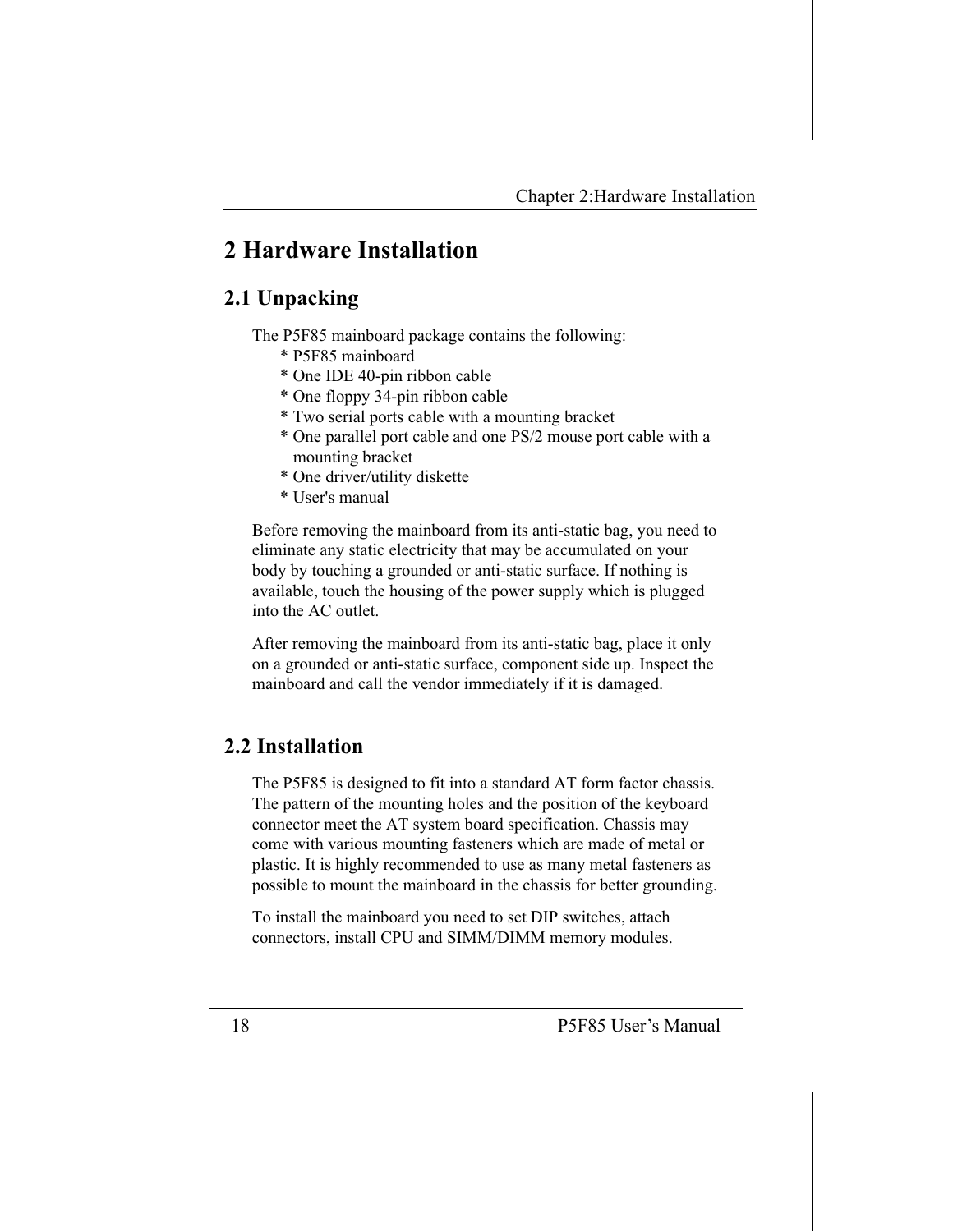## 2 Hardware Installation

## 2.1 Unpacking

The P5F85 mainboard package contains the following:

- \* P5F85 mainboard
- \* One IDE 40-pin ribbon cable
- \* One floppy 34-pin ribbon cable
- \* Two serial ports cable with a mounting bracket
- \* One parallel port cable and one PS/2 mouse port cable with a mounting bracket
- \* One driver/utility diskette
- \* User's manual

Before removing the mainboard from its anti-static bag, you need to eliminate any static electricity that may be accumulated on your body by touching a grounded or anti-static surface. If nothing is available, touch the housing of the power supply which is plugged into the AC outlet.

After removing the mainboard from its anti-static bag, place it only on a grounded or anti-static surface, component side up. Inspect the mainboard and call the vendor immediately if it is damaged.

## 2.2 Installation

The P5F85 is designed to fit into a standard AT form factor chassis. The pattern of the mounting holes and the position of the keyboard connector meet the AT system board specification. Chassis may come with various mounting fasteners which are made of metal or plastic. It is highly recommended to use as many metal fasteners as possible to mount the mainboard in the chassis for better grounding.

To install the mainboard you need to set DIP switches, attach connectors, install CPU and SIMM/DIMM memory modules.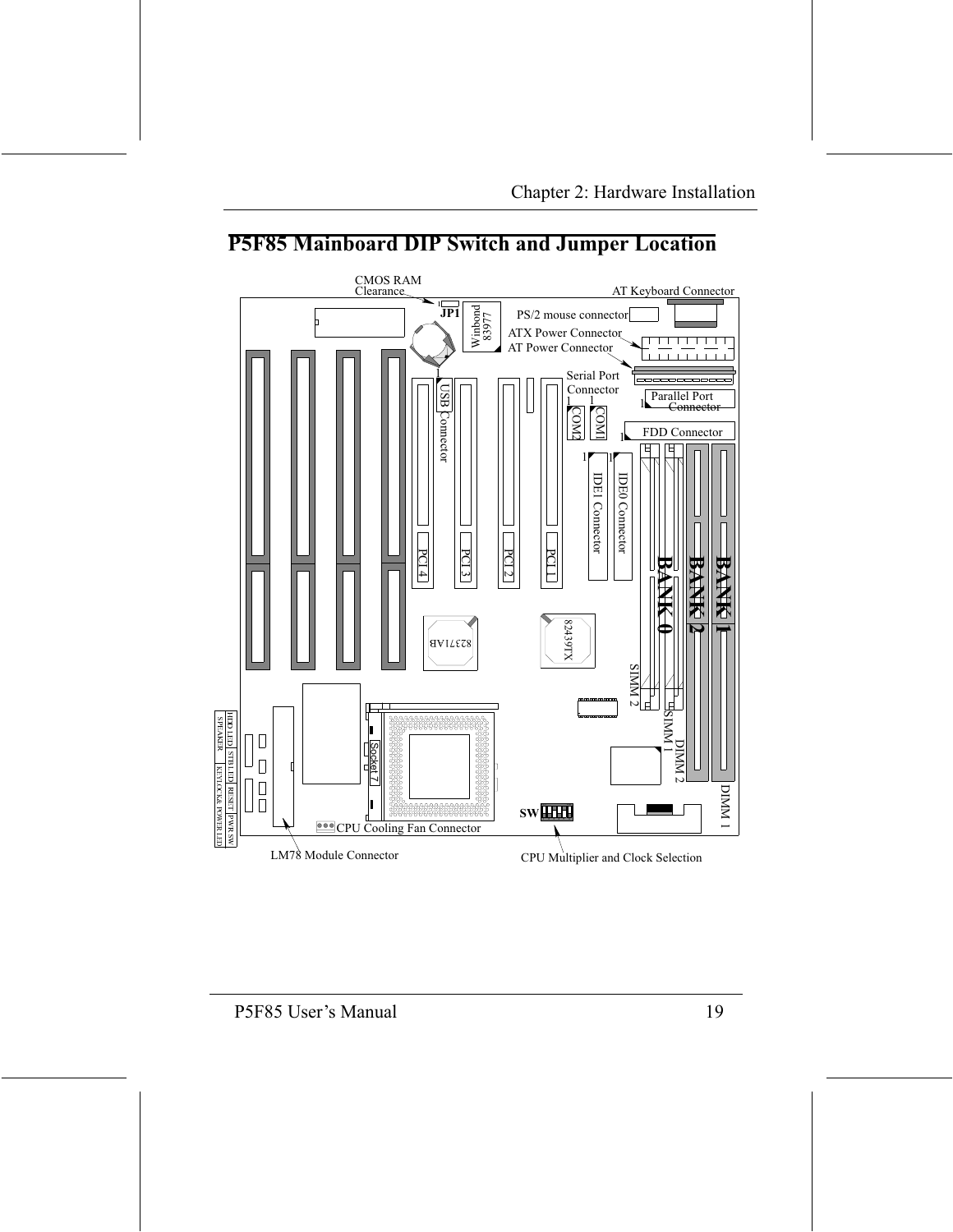#### P5F85 Mainboard DIP Switch and Jumper Location

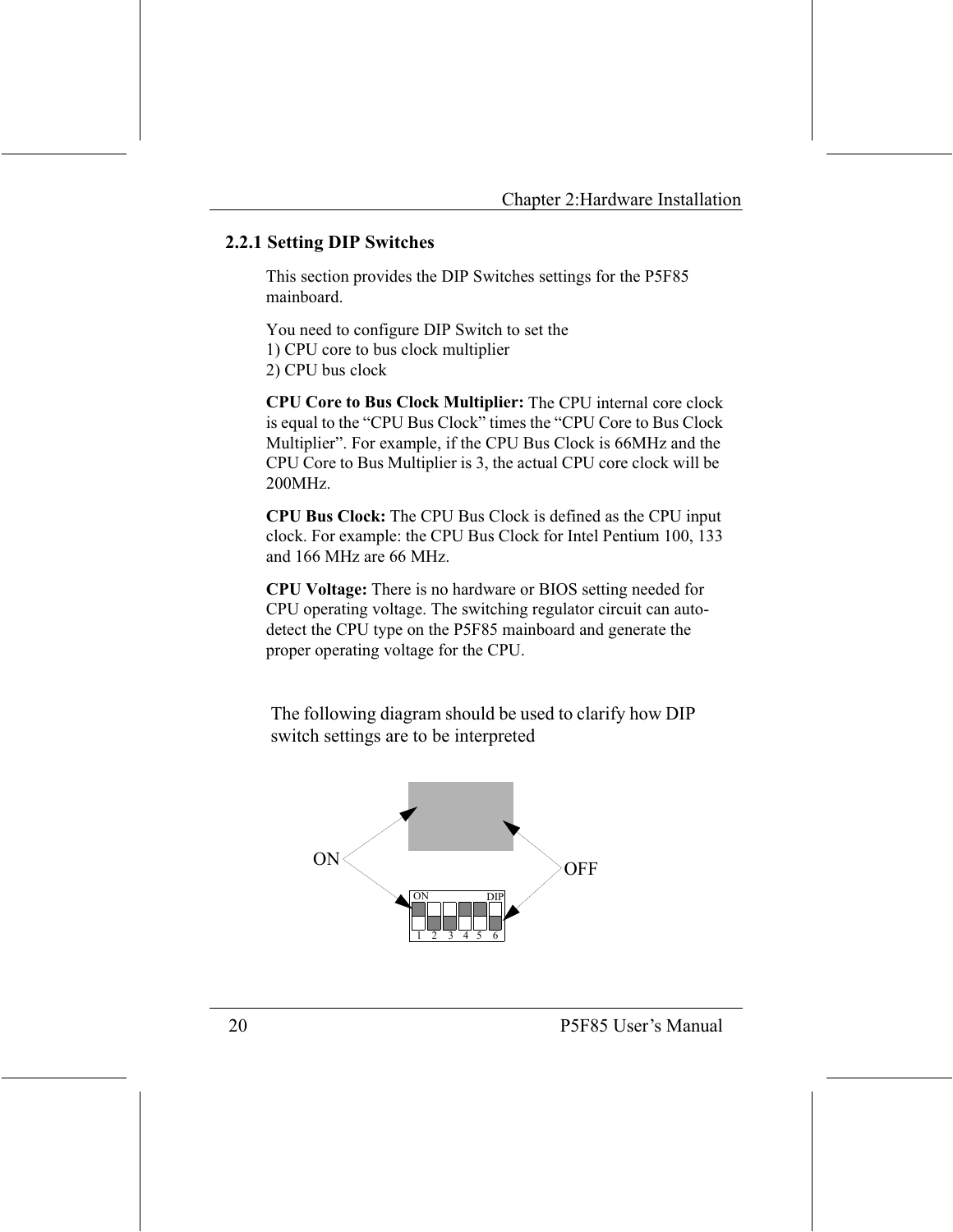#### 2.2.1 Setting DIP Switches

This section provides the DIP Switches settings for the P5F85 mainhoard

You need to configure DIP Switch to set the

- 1) CPU core to bus clock multiplier
- 2) CPU bus clock

**CPU Core to Bus Clock Multiplier:** The CPU internal core clock is equal to the "CPU Bus Clock" times the "CPU Core to Bus Clock" Multiplier". For example, if the CPU Bus Clock is 66MHz and the CPU Core to Bus Multiplier is 3, the actual CPU core clock will be  $200MHz$ 

**CPU Bus Clock:** The CPU Bus Clock is defined as the CPU input clock. For example: the CPU Bus Clock for Intel Pentium 100, 133 and 166 MHz are 66 MHz.

**CPU Voltage:** There is no hardware or BIOS setting needed for CPU operating voltage. The switching regulator circuit can autodetect the CPU type on the P5F85 mainboard and generate the proper operating voltage for the CPU.

The following diagram should be used to clarify how DIP switch settings are to be interpreted

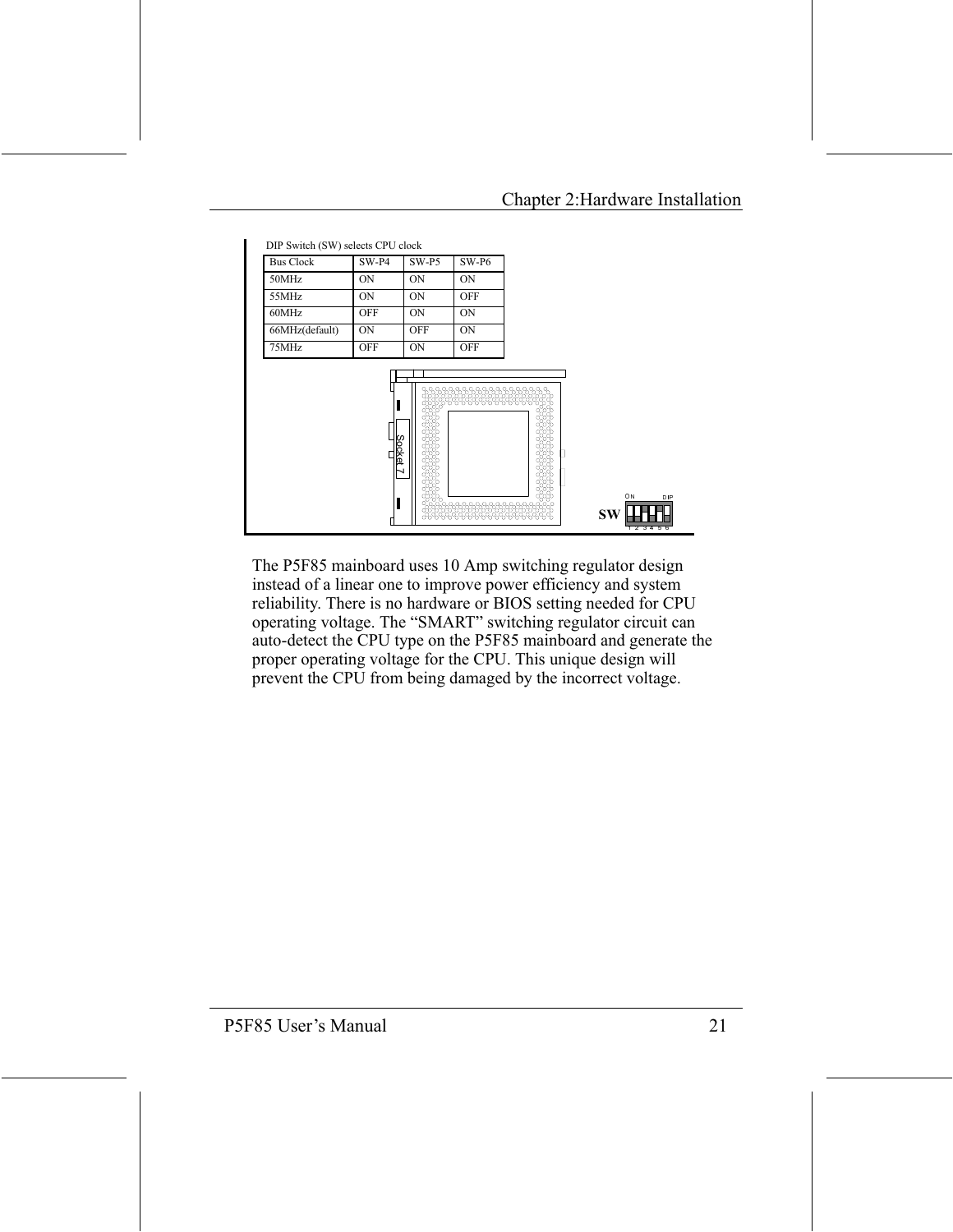

The P5F85 mainboard uses 10 Amp switching regulator design instead of a linear one to improve power efficiency and system reliability. There is no hardware or BIOS setting needed for CPU operating voltage. The "SMART" switching regulator circuit can auto-detect the CPU type on the P5F85 mainboard and generate the proper operating voltage for the CPU. This unique design will prevent the CPU from being damaged by the incorrect voltage.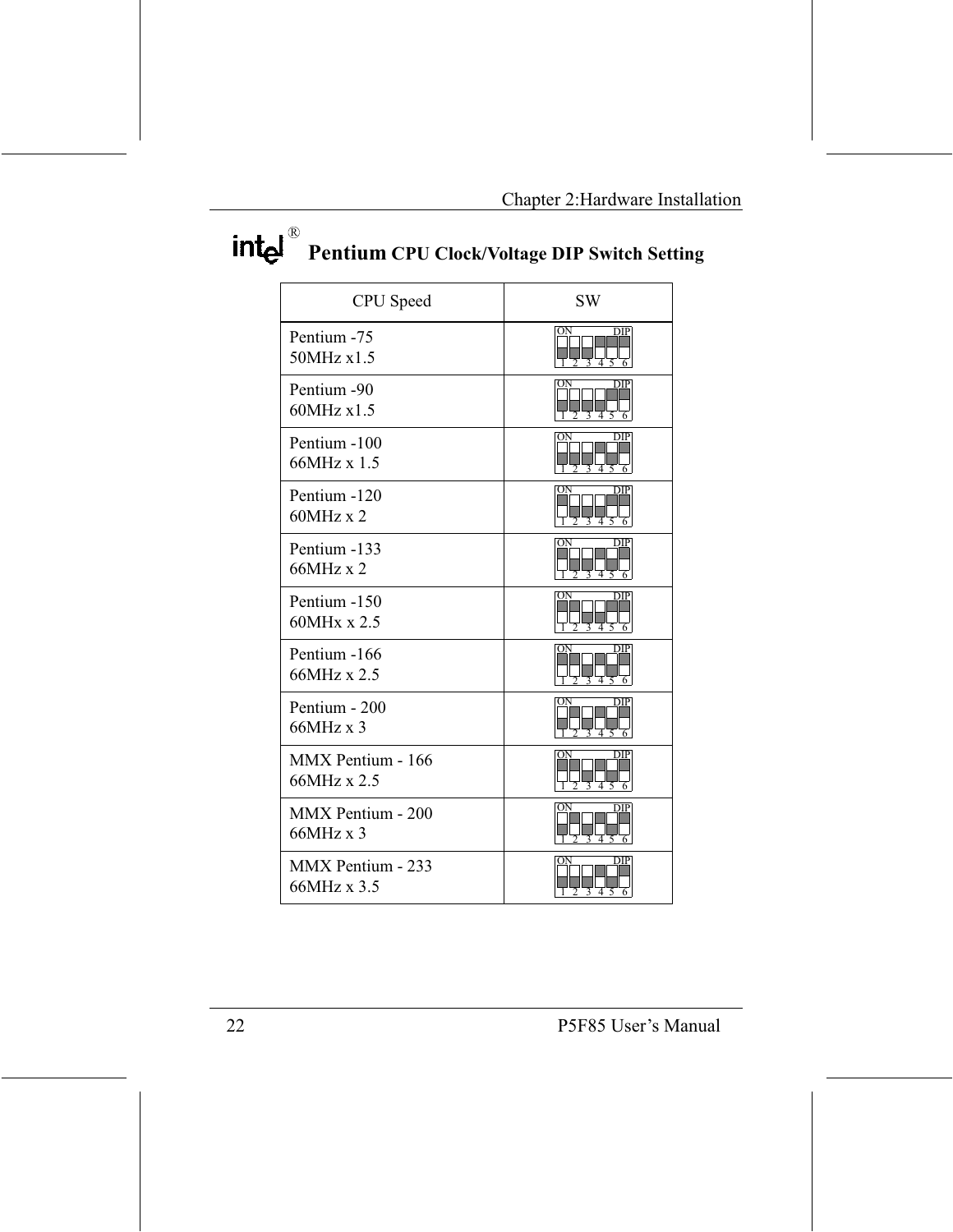# intel **Pentium CPU Clock/Voltage DIP Switch Setting**

| CPU Speed                             | <b>SW</b>                      |
|---------------------------------------|--------------------------------|
| Pentium -75<br>50MHz x1.5             | Oì<br>DIP                      |
| Pentium -90<br>60MHz x1.5             | DIP<br>ОŊ<br>4                 |
| Pentium -100<br>$66MHz \times 1.5$    | ОN<br>4                        |
| Pentium -120<br>$60MHz \times 2$      | ОÞ<br>DР<br>4                  |
| Pentium -133<br>$66MHz \times 2$      | ON<br>$\overline{4}$ 5         |
| Pentium -150<br>60MHx x 2.5           | DIP<br>OΝ                      |
| Pentium -166<br>66MHz x 2.5           | ΟN<br>DIP<br>4                 |
| Pentium - 200<br>$66MHz \times 3$     | 4<br>5<br>3                    |
| MMX Pentium - 166<br>66MHz x 2.5      | Oì                             |
| MMX Pentium - 200<br>$66MHz \times 3$ | ОŅ<br>DIP<br>$\overline{4}$ 5  |
| MMX Pentium - 233<br>66MHz x 3.5      | ΟN<br>DIP<br>$\overline{4\,5}$ |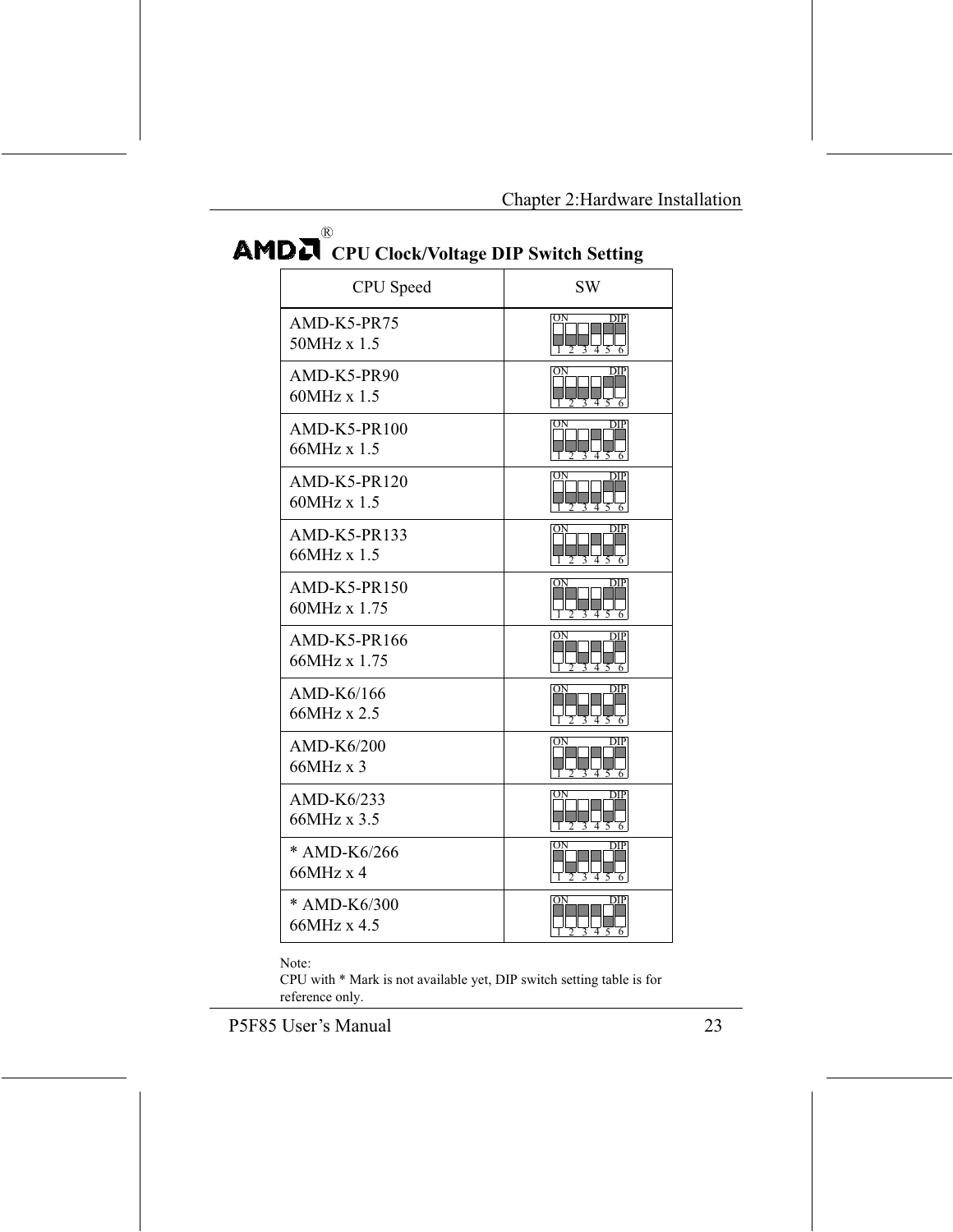#### $^\circledR$ **AMDN** CPU Clock/Voltage DIP Switch Setting

| CPU Speed                          | <b>SW</b>                                               |
|------------------------------------|---------------------------------------------------------|
| AMD-K5-PR75<br>50MHz x 1.5         |                                                         |
| AMD-K5-PR90<br>$60MHz \times 1.5$  | DIP<br>$\overline{4}$                                   |
| AMD-K5-PR100<br>66MHz x 1.5        |                                                         |
| AMD-K5-PR120<br>$60MHz \times 1.5$ | $\overline{4}$<br>3                                     |
| $AMD-K5-PR133$<br>66MHz x 1.5      | DIP<br>য়<br>$\overline{4}$<br>$\sim$<br>6              |
| AMD-K5-PR150<br>60MHz x 1.75       | DIP<br>$\overline{4}$                                   |
| AMD-K5-PR166<br>66MHz x 1.75       | $\frac{1}{3}$ 4 $\frac{1}{5}$<br>6                      |
| $AMD-K6/166$<br>66MHz x 2.5        | $\frac{2}{3}$ $\frac{1}{4}$ $\frac{1}{5}$ $\frac{1}{6}$ |
| $AMD-K6/200$<br>$66MHz \times 3$   | $\frac{1}{3}$ 4 $\frac{1}{5}$                           |
| AMD- $K6/233$<br>66MHz x 3.5       | ОN<br>DIP                                               |
| * AMD-K6/266<br>$66MHz \times 4$   | Оì                                                      |
| * AMD-K6/300<br>66MHz x 4.5        | Oř                                                      |

#### Note:

CPU with \* Mark is not available yet, DIP switch setting table is for reference only.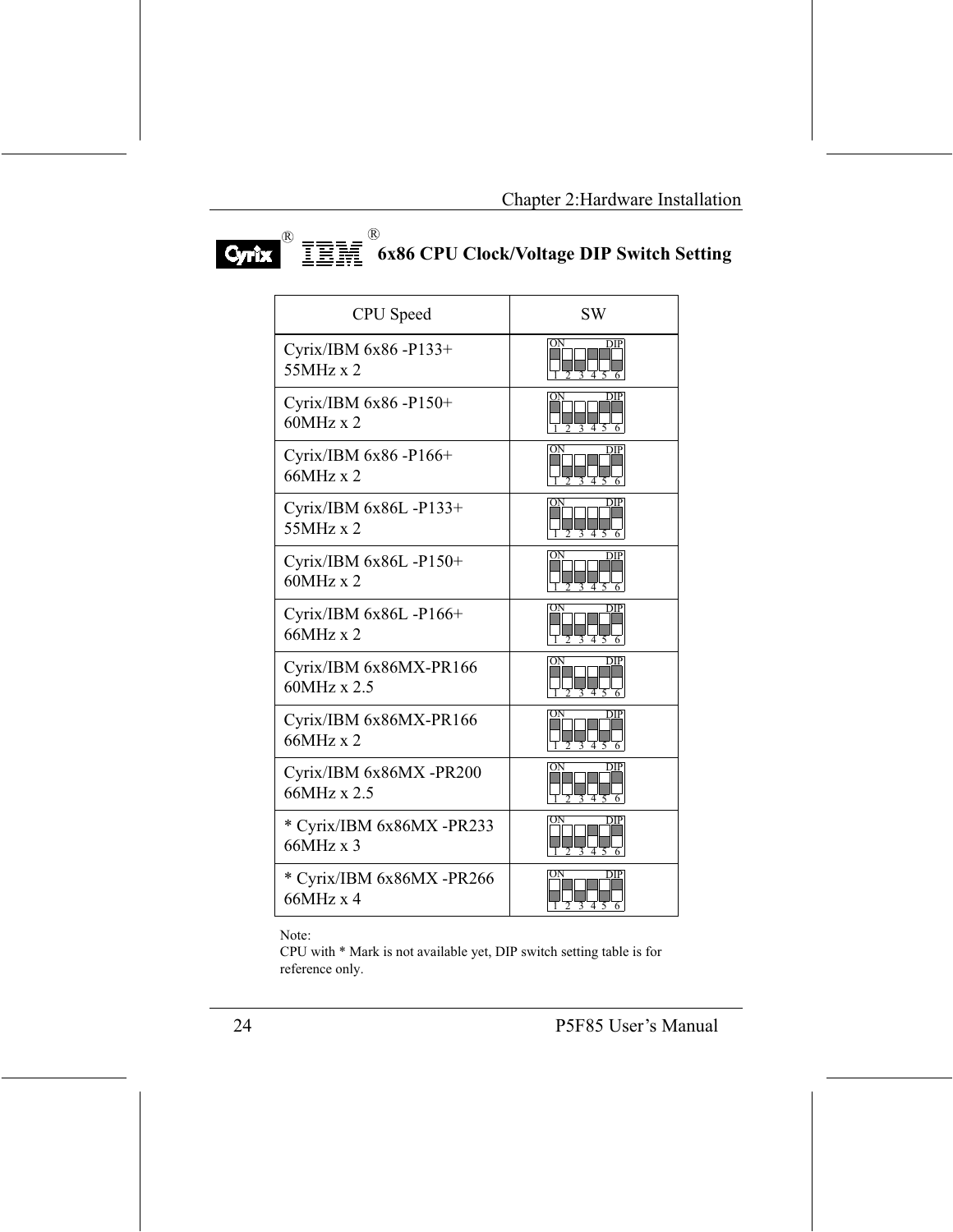

**Cyrix**  $\overline{\mathbb{E}}$   $\overline{\mathbb{E}}$   $\overline{\mathbb{E}}$  6x86 CPU Clock/Voltage DIP Switch Setting

| CPU Speed                                     | <b>SW</b>                     |
|-----------------------------------------------|-------------------------------|
| Cyrix/IBM 6x86 -P133+<br>55MHz x 2            | ON                            |
| Cyrix/IBM 6x86 -P150+<br>$60MHz \times 2$     | ОÞ                            |
| Cyrix/IBM 6x86 -P166+<br>66MHz x 2            | OΝ                            |
| Cyrix/IBM 6x86L -P133+<br>$55MHz \times 2$    | ON<br>DIP<br>73               |
| Cyrix/IBM 6x86L -P150+<br>$60MHz \times 2$    | ON<br>34                      |
| Cyrix/IBM 6x86L -P166+<br>$66MHz \times 2$    |                               |
| Cyrix/IBM 6x86MX-PR166<br>$60MHz \times 2.5$  | ОŅ<br>DIP                     |
| Cyrix/IBM 6x86MX-PR166<br>66MHz x 2           | ON<br>4                       |
| Cyrix/IBM 6x86MX -PR200<br>66MHz x 2.5        | ON                            |
| * Cyrix/IBM 6x86MX -PR233<br>$66MHz \times 3$ |                               |
| * Cyrix/IBM 6x86MX -PR266<br>66MHz x 4        | $\overline{4}$ $\overline{5}$ |

Note:

CPU with \* Mark is not available yet, DIP switch setting table is for reference only.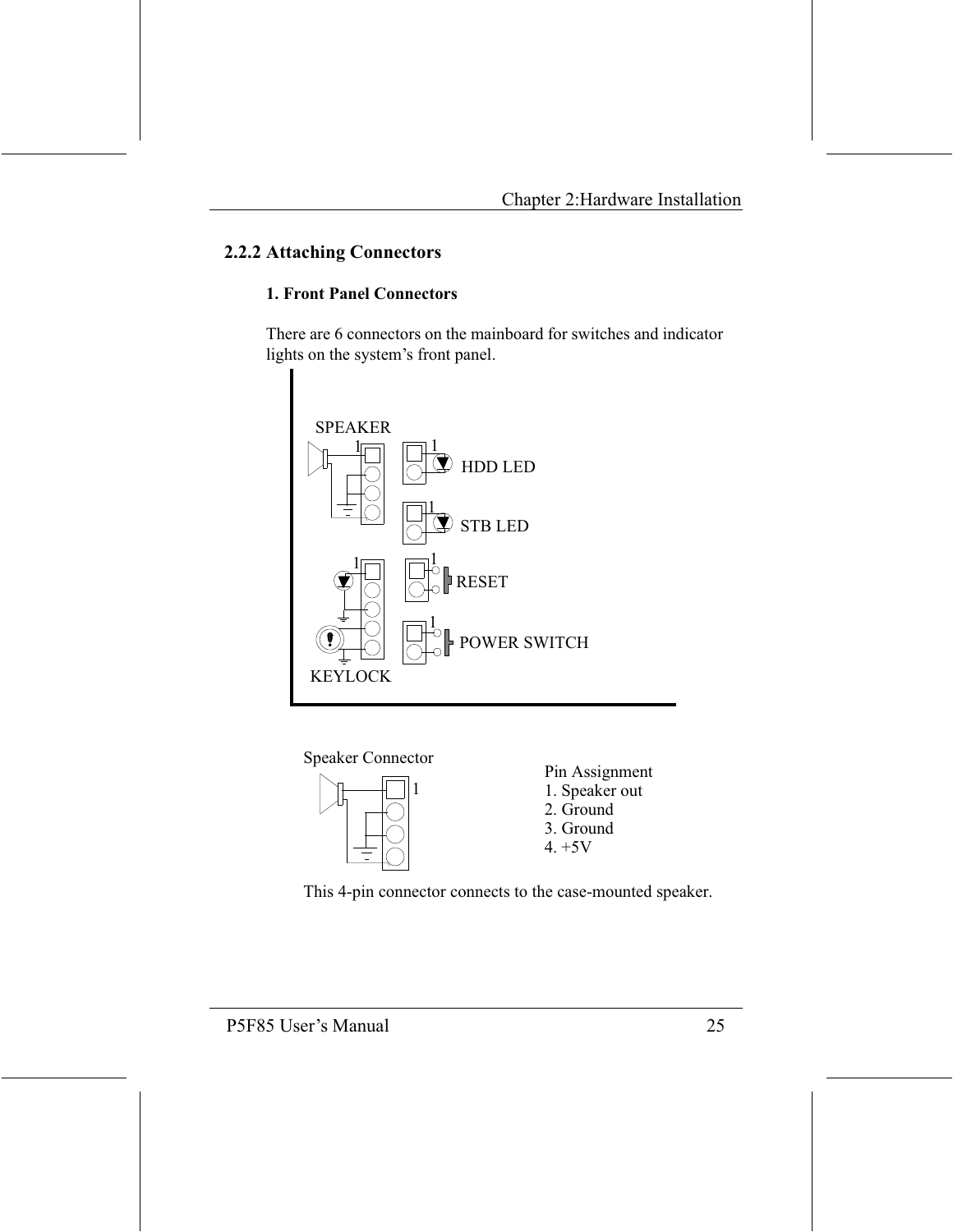#### 2.2.2 Attaching Connectors

#### **1. Front Panel Connectors**

There are 6 connectors on the mainboard for switches and indicator lights on the system's front panel.



**Speaker Connector** 



Pin Assignment 1. Speaker out

- 
- 2. Ground
- 3. Ground
- $4. +5V$

This 4-pin connector connects to the case-mounted speaker.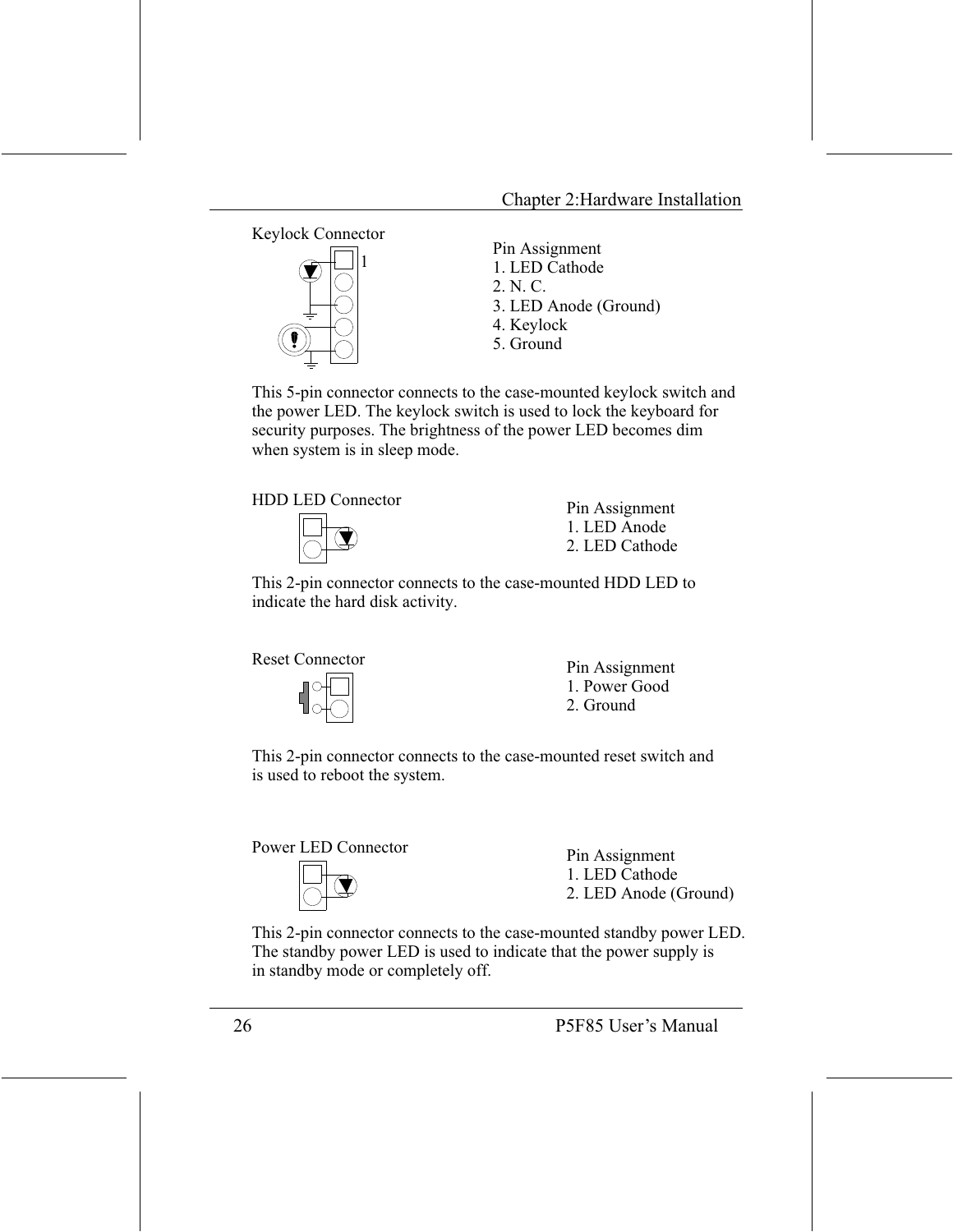Keylock Connector Pin Assignment 1. LED Cathode 2. N. C. 3. LED Anode (Ground) 4. Keylock 5. Ground

This 5-pin connector connects to the case-mounted keylock switch and the power LED. The keylock switch is used to lock the keyboard for security purposes. The brightness of the power LED becomes dim when system is in sleep mode.

**HDD LED Connector** 



Pin Assignment 1 LED Anode 2. LED Cathode

This 2-pin connector connects to the case-mounted HDD LED to indicate the hard disk activity.

**Reset Connector** 



Pin Assignment 1. Power Good 2. Ground

This 2-pin connector connects to the case-mounted reset switch and is used to reboot the system.





Pin Assignment 1. LED Cathode 2. LED Anode (Ground)

This 2-pin connector connects to the case-mounted standby power LED. The standby power LED is used to indicate that the power supply is in standby mode or completely off.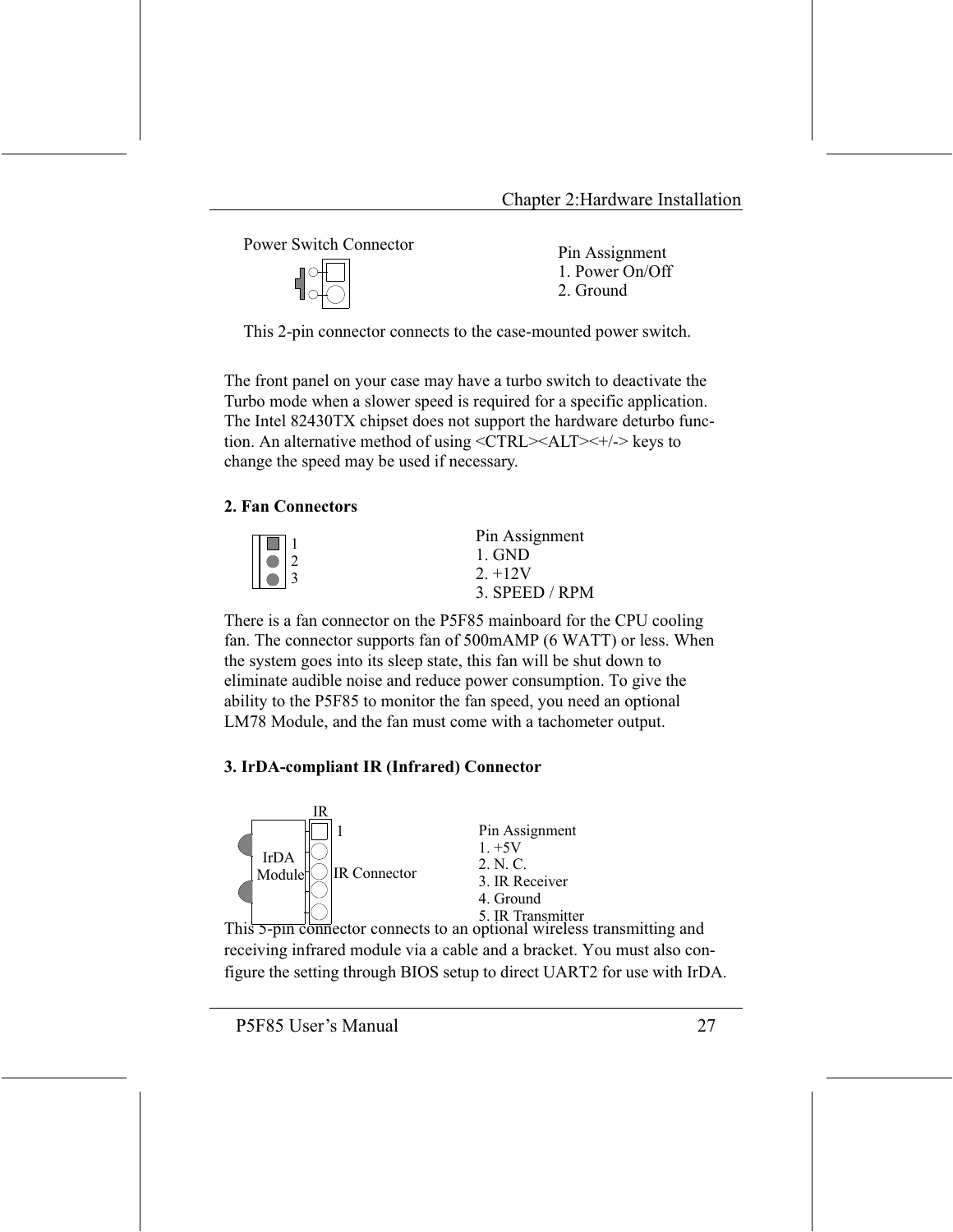



Pin Assignment 1. Power On/Off 2. Ground

This 2-pin connector connects to the case-mounted power switch.

The front panel on your case may have a turbo switch to deactivate the Turbo mode when a slower speed is required for a specific application. The Intel 82430TX chipset does not support the hardware deturbo function. An alternative method of using <CTRL><ALT><+/-> keys to change the speed may be used if necessary.

#### 2. Fan Connectors

Pin Assignment  $1.$  GND  $2. + 12V$ 3. SPEED / RPM

There is a fan connector on the P5F85 mainboard for the CPU cooling fan. The connector supports fan of 500mAMP (6 WATT) or less. When the system goes into its sleep state, this fan will be shut down to eliminate audible noise and reduce power consumption. To give the ability to the P5F85 to monitor the fan speed, you need an optional LM78 Module, and the fan must come with a tachometer output.

#### 3. IrDA-compliant IR (Infrared) Connector



This 5-pin connector connects to an optional wireless transmitting and receiving infrared module via a cable and a bracket. You must also configure the setting through BIOS setup to direct UART2 for use with IrDA.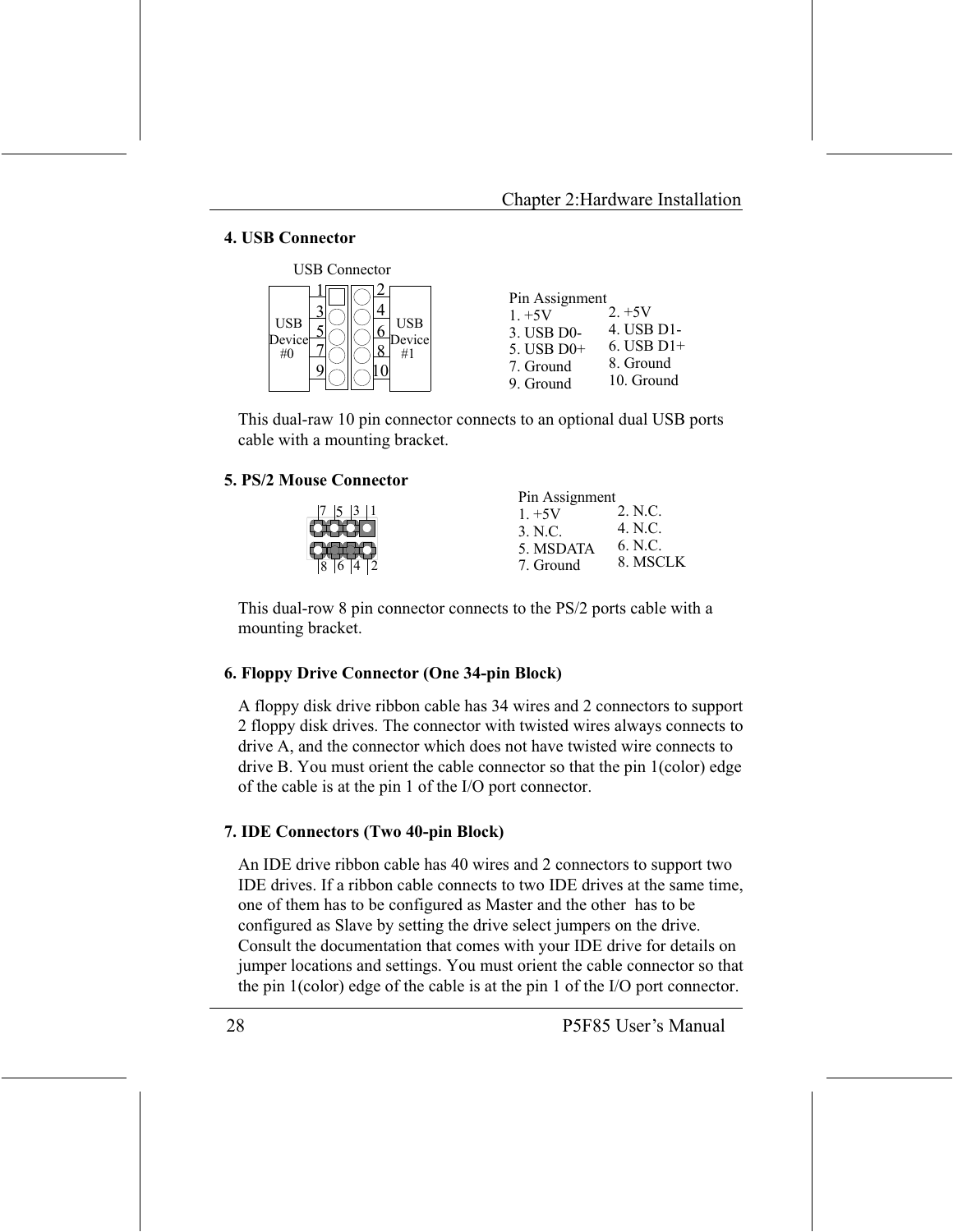#### **4. USB Connector**



This dual-raw 10 pin connector connects to an optional dual USB ports cable with a mounting bracket.

#### **5. PS/2 Mouse Connector**

| Pin Assignment |
|----------------|
| 2. N.C.        |
| 4. N.C.        |
| 6. N.C.        |
| 8. MSCLK       |
|                |

This dual-row 8 pin connector connects to the PS/2 ports cable with a mounting bracket.

#### 6. Floppy Drive Connector (One 34-pin Block)

A floppy disk drive ribbon cable has 34 wires and 2 connectors to support 2 floppy disk drives. The connector with twisted wires always connects to drive A, and the connector which does not have twisted wire connects to drive B. You must orient the cable connector so that the pin 1(color) edge of the cable is at the pin 1 of the I/O port connector.

#### 7. IDE Connectors (Two 40-pin Block)

An IDE drive ribbon cable has 40 wires and 2 connectors to support two IDE drives. If a ribbon cable connects to two IDE drives at the same time, one of them has to be configured as Master and the other has to be configured as Slave by setting the drive select jumpers on the drive. Consult the documentation that comes with your IDE drive for details on jumper locations and settings. You must orient the cable connector so that the pin 1(color) edge of the cable is at the pin 1 of the I/O port connector.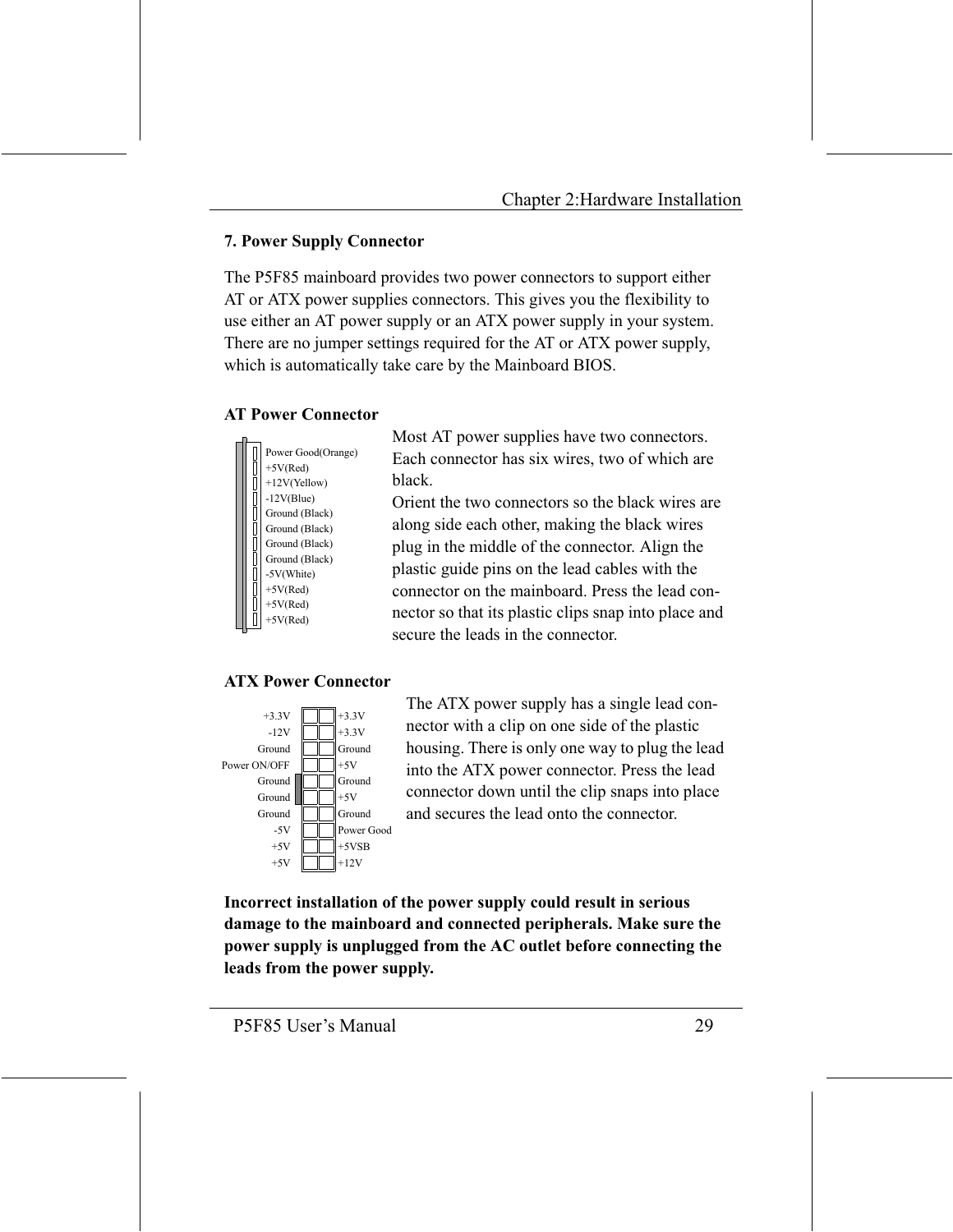#### **7. Power Supply Connector**

The P5F85 mainboard provides two power connectors to support either AT or ATX power supplies connectors. This gives you the flexibility to use either an AT power supply or an ATX power supply in your system. There are no jumper settings required for the AT or ATX power supply, which is automatically take care by the Mainboard BIOS.

#### **AT Power Connector**



Most AT power supplies have two connectors. Each connector has six wires, two of which are black.

Orient the two connectors so the black wires are along side each other, making the black wires plug in the middle of the connector. Align the plastic guide pins on the lead cables with the connector on the mainboard. Press the lead connector so that its plastic clips snap into place and secure the leads in the connector.



The ATX power supply has a single lead connector with a clip on one side of the plastic housing. There is only one way to plug the lead into the ATX power connector. Press the lead connector down until the clip snaps into place and secures the lead onto the connector.

Incorrect installation of the power supply could result in serious damage to the mainboard and connected peripherals. Make sure the power supply is unplugged from the AC outlet before connecting the leads from the power supply.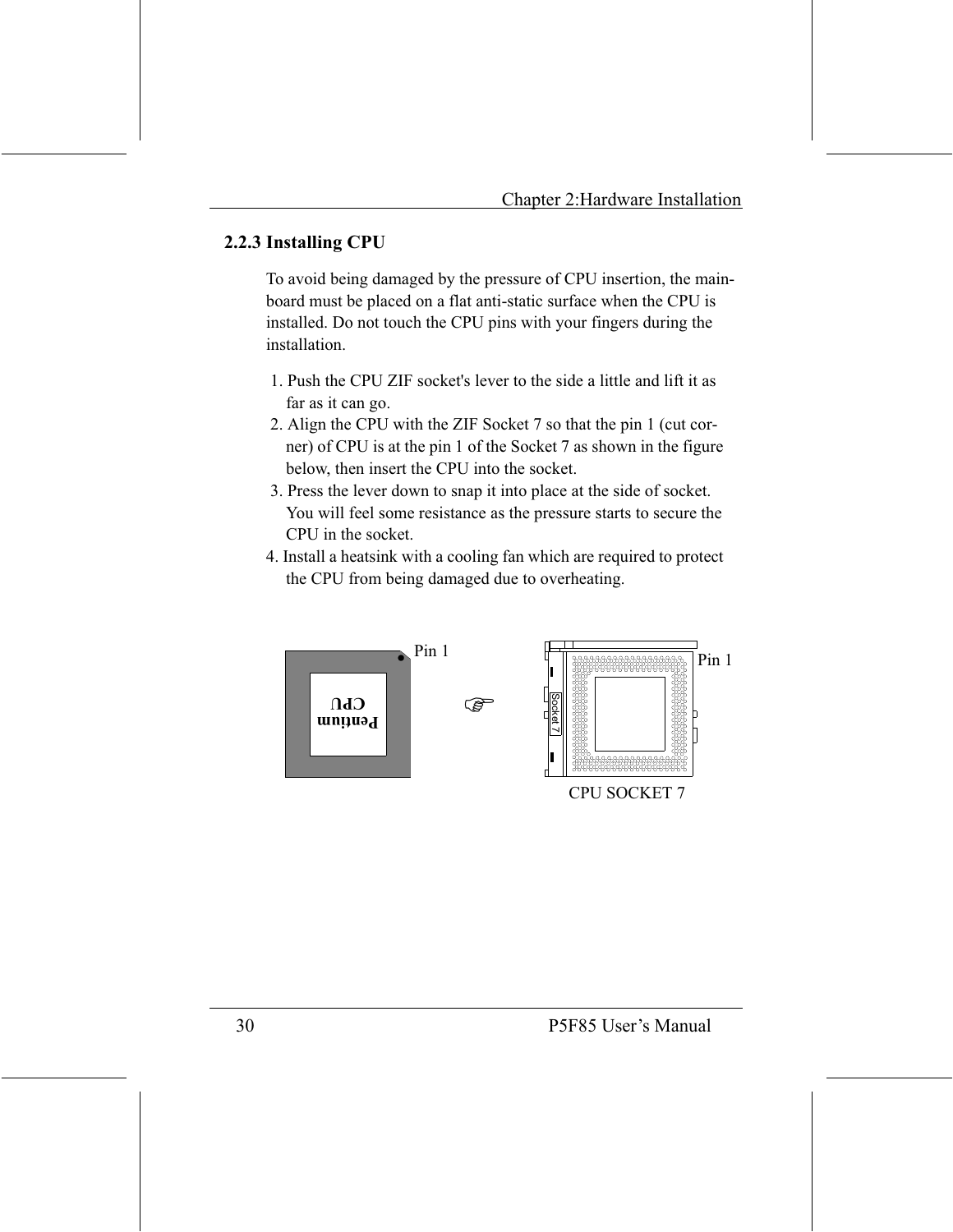#### 2.2.3 Installing CPU

To avoid being damaged by the pressure of CPU insertion, the mainboard must be placed on a flat anti-static surface when the CPU is installed. Do not touch the CPU pins with your fingers during the installation

- 1. Push the CPU ZIF socket's lever to the side a little and lift it as far as it can go.
- 2. Align the CPU with the ZIF Socket 7 so that the pin 1 (cut corner) of CPU is at the pin 1 of the Socket 7 as shown in the figure below, then insert the CPU into the socket.
- 3. Press the lever down to snap it into place at the side of socket. You will feel some resistance as the pressure starts to secure the CPU in the socket.
- 4. Install a heatsink with a cooling fan which are required to protect the CPU from being damaged due to overheating.

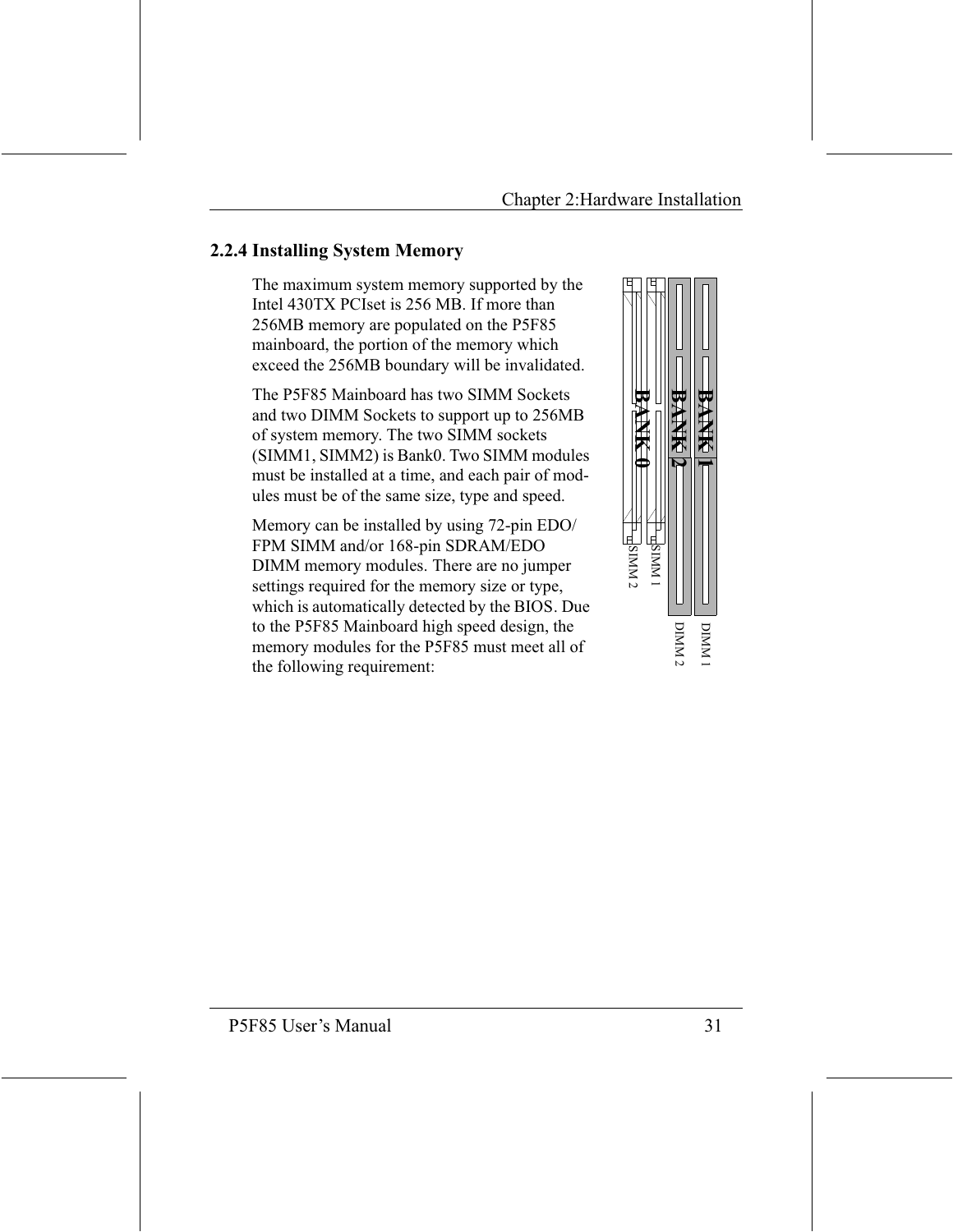#### 2.2.4 Installing System Memory

The maximum system memory supported by the Intel 430TX PCIset is 256 MB. If more than 256MB memory are populated on the P5F85 mainboard, the portion of the memory which exceed the 256MB boundary will be invalidated.

The P5F85 Mainboard has two SIMM Sockets and two DIMM Sockets to support up to 256MB of system memory. The two SIMM sockets (SIMM1, SIMM2) is Bank0. Two SIMM modules must be installed at a time, and each pair of modules must be of the same size, type and speed.

Memory can be installed by using 72-pin EDO/ FPM SIMM and/or 168-pin SDRAM/EDO DIMM memory modules. There are no jumper settings required for the memory size or type. which is automatically detected by the BIOS. Due to the P5F85 Mainboard high speed design, the memory modules for the P5F85 must meet all of the following requirement:

![](_page_30_Figure_5.jpeg)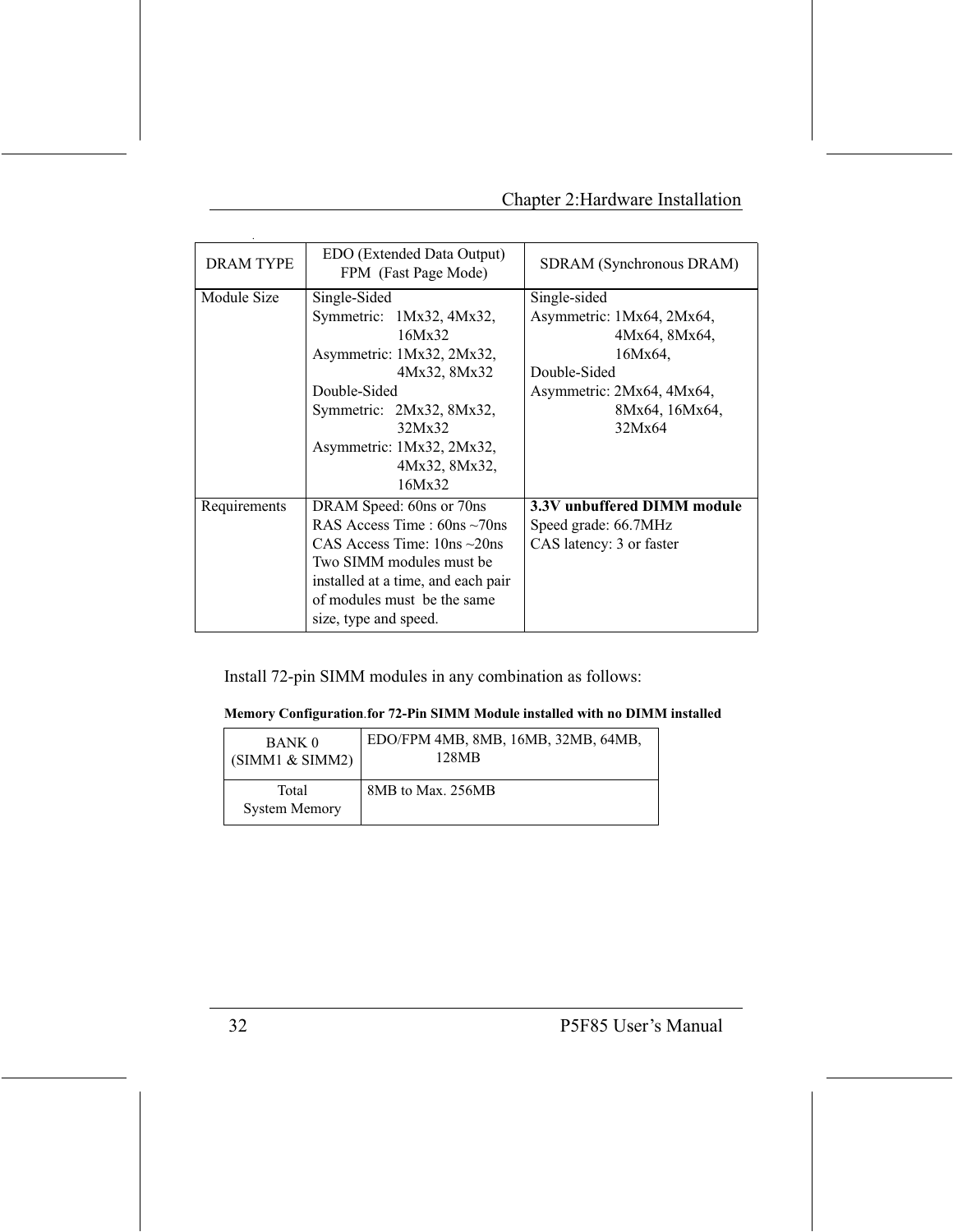| <b>DRAM TYPE</b> | EDO (Extended Data Output)<br>FPM (Fast Page Mode)                                                                                                                                                                            | SDRAM (Synchronous DRAM)                                                                                                                       |
|------------------|-------------------------------------------------------------------------------------------------------------------------------------------------------------------------------------------------------------------------------|------------------------------------------------------------------------------------------------------------------------------------------------|
| Module Size      | Single-Sided<br>Symmetric: 1Mx32, 4Mx32,<br>16Mx32<br>Asymmetric: 1Mx32, 2Mx32,<br>4Mx32, 8Mx32<br>Double-Sided<br>Symmetric: 2Mx32, 8Mx32,<br>32Mx32<br>Asymmetric: 1Mx32, 2Mx32,<br>4Mx32, 8Mx32,                           | Single-sided<br>Asymmetric: 1Mx64, 2Mx64,<br>4Mx64, 8Mx64,<br>16Mx64.<br>Double-Sided<br>Asymmetric: 2Mx64, 4Mx64,<br>8Mx64, 16Mx64,<br>32Mx64 |
|                  | 16Mx32                                                                                                                                                                                                                        |                                                                                                                                                |
| Requirements     | DRAM Speed: 60ns or 70ns<br>RAS Access Time : $60ns \sim 70ns$<br>CAS Access Time: $10ns \sim 20ns$<br>Two SIMM modules must be<br>installed at a time, and each pair<br>of modules must be the same<br>size, type and speed. | 3.3V unbuffered DIMM module<br>Speed grade: 66.7MHz<br>CAS latency: 3 or faster                                                                |

Install 72-pin SIMM modules in any combination as follows:

#### Memory Configuration for 72-Pin SIMM Module installed with no DIMM installed

| <b>BANK 0</b>                 | EDO/FPM 4MB, 8MB, 16MB, 32MB, 64MB, |
|-------------------------------|-------------------------------------|
| (SIMM1 & SIMM2)               | 128MB                               |
| Total<br><b>System Memory</b> | 8MB to Max. 256MB                   |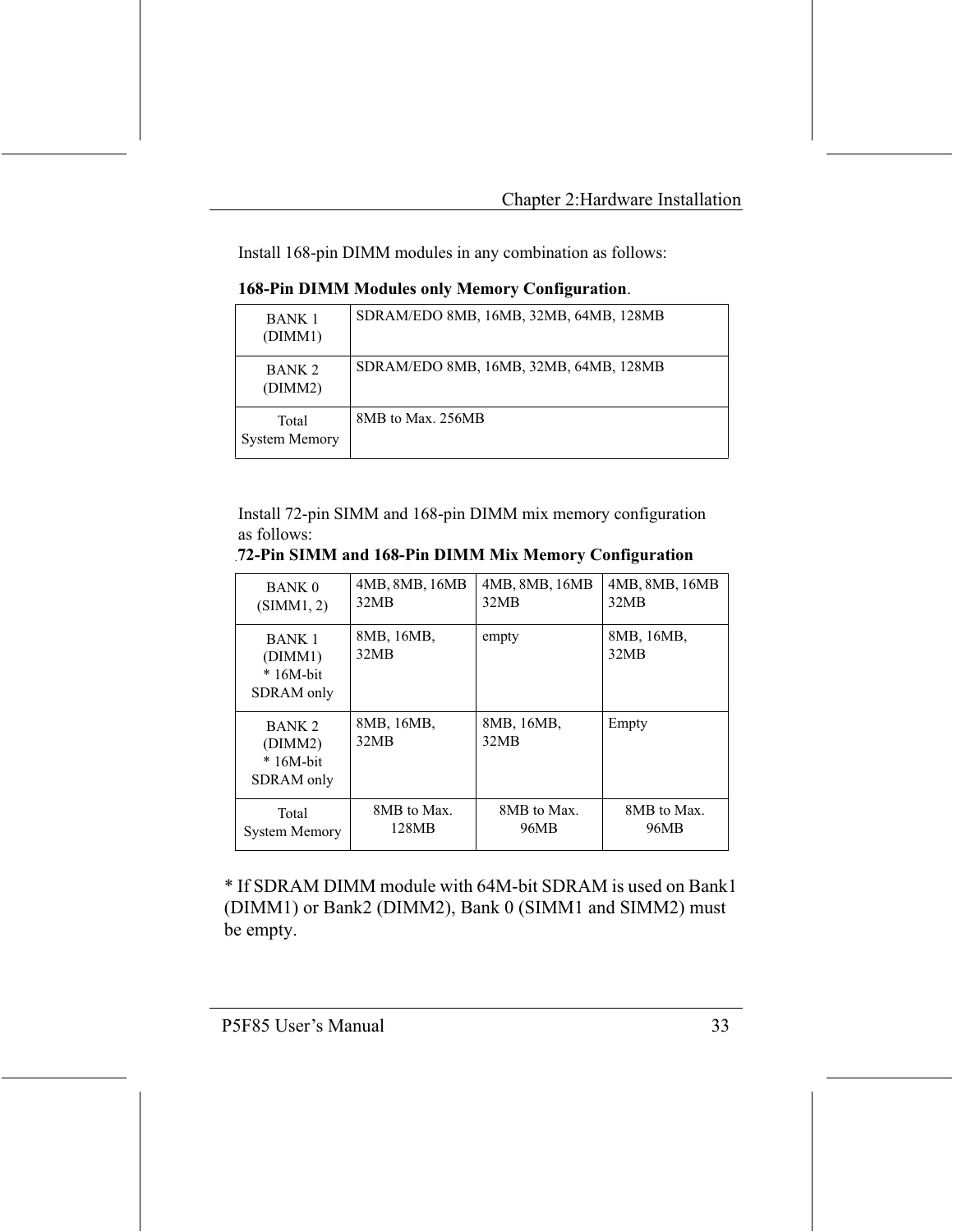Install 168-pin DIMM modules in any combination as follows:

| BANK 1<br>(DIMM1)             | SDRAM/EDO 8MB, 16MB, 32MB, 64MB, 128MB |
|-------------------------------|----------------------------------------|
| BANK <sub>2</sub><br>(DIMM2)  | SDRAM/EDO 8MB, 16MB, 32MB, 64MB, 128MB |
| Total<br><b>System Memory</b> | 8MB to Max. 256MB                      |

#### 168-Pin DIMM Modules only Memory Configuration.

Install 72-pin SIMM and 168-pin DIMM mix memory configuration as follows:

.72-Pin SIMM and 168-Pin DIMM Mix Memory Configuration

| BANK <sub>0</sub>                                         | 4MB, 8MB, 16MB     | 4MB, 8MB, 16MB     | 4MB, 8MB, 16MB     |
|-----------------------------------------------------------|--------------------|--------------------|--------------------|
| (SIMM1, 2)                                                | 32MB               | 32MB               | 32MB               |
| <b>BANK 1</b><br>(DIMM1)<br>$*16M$ -bit<br>SDRAM only     | 8MB, 16MB,<br>32MB | empty              | 8MB, 16MB,<br>32MB |
| BANK <sub>2</sub><br>(DIMM2)<br>$*16M$ -bit<br>SDRAM only | 8MB, 16MB,<br>32MB | 8MB, 16MB,<br>32MB | Empty              |
| Total                                                     | 8MB to Max.        | 8MB to Max.        | 8MB to Max.        |
| <b>System Memory</b>                                      | 128MB              | 96MB               | 96MB               |

\* If SDRAM DIMM module with 64M-bit SDRAM is used on Bank1 (DIMM1) or Bank2 (DIMM2), Bank 0 (SIMM1 and SIMM2) must be empty.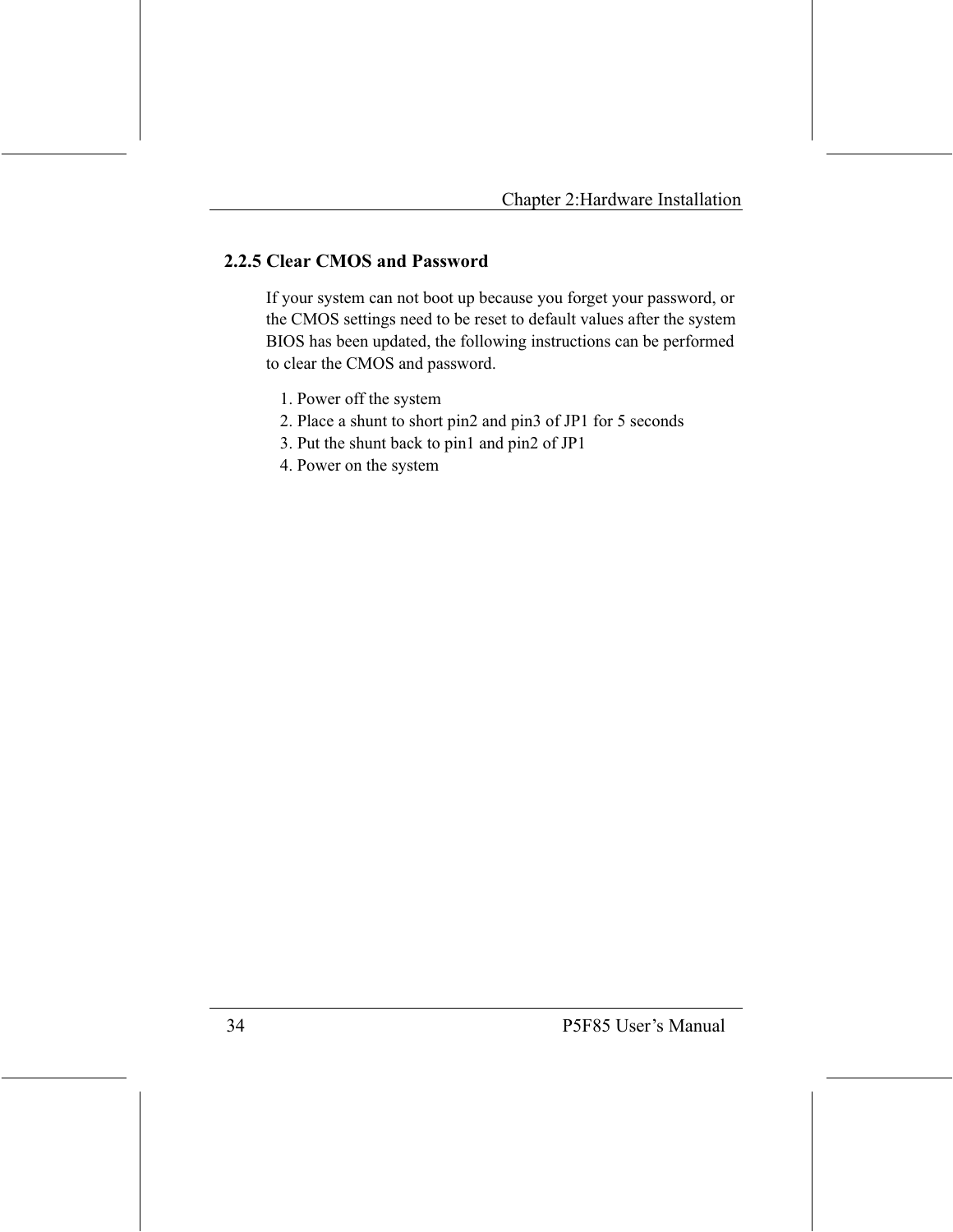#### 2.2.5 Clear CMOS and Password

If your system can not boot up because you forget your password, or the CMOS settings need to be reset to default values after the system BIOS has been updated, the following instructions can be performed to clear the CMOS and password.

- 1. Power off the system
- 2. Place a shunt to short pin2 and pin3 of JP1 for 5 seconds
- 3. Put the shunt back to pin1 and pin2 of JP1
- 4. Power on the system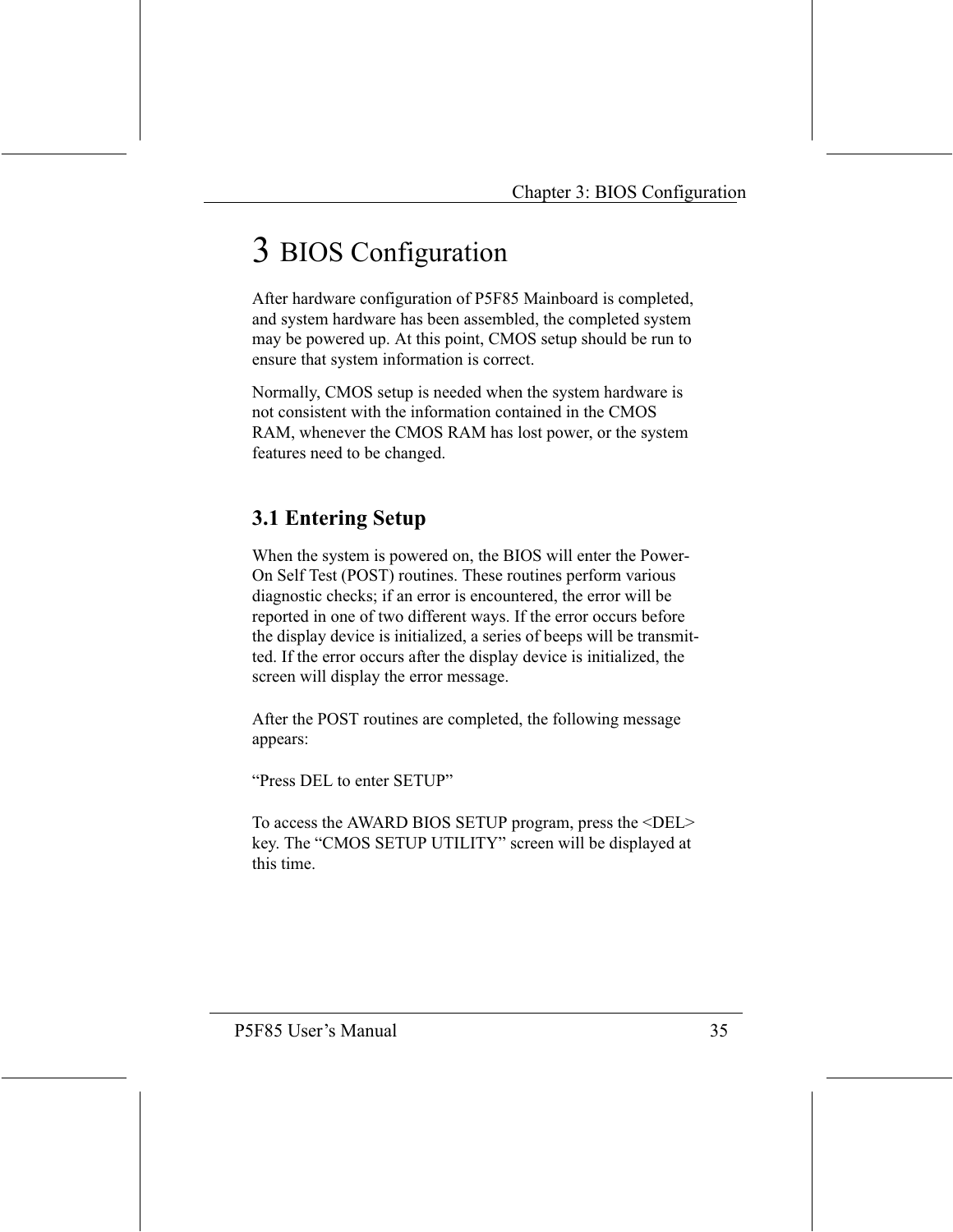# 3 BIOS Configuration

After hardware configuration of P5F85 Mainboard is completed, and system hardware has been assembled, the completed system may be powered up. At this point, CMOS setup should be run to ensure that system information is correct.

Normally, CMOS setup is needed when the system hardware is not consistent with the information contained in the CMOS RAM, whenever the CMOS RAM has lost power, or the system features need to be changed.

## **3.1 Entering Setup**

When the system is powered on, the BIOS will enter the Power-On Self Test (POST) routines. These routines perform various diagnostic checks; if an error is encountered, the error will be reported in one of two different ways. If the error occurs before the display device is initialized, a series of beeps will be transmitted. If the error occurs after the display device is initialized, the screen will display the error message.

After the POST routines are completed, the following message appears:

"Press DEL to enter SETUP"

To access the AWARD BIOS SETUP program, press the <DEL> key. The "CMOS SETUP UTILITY" screen will be displayed at this time.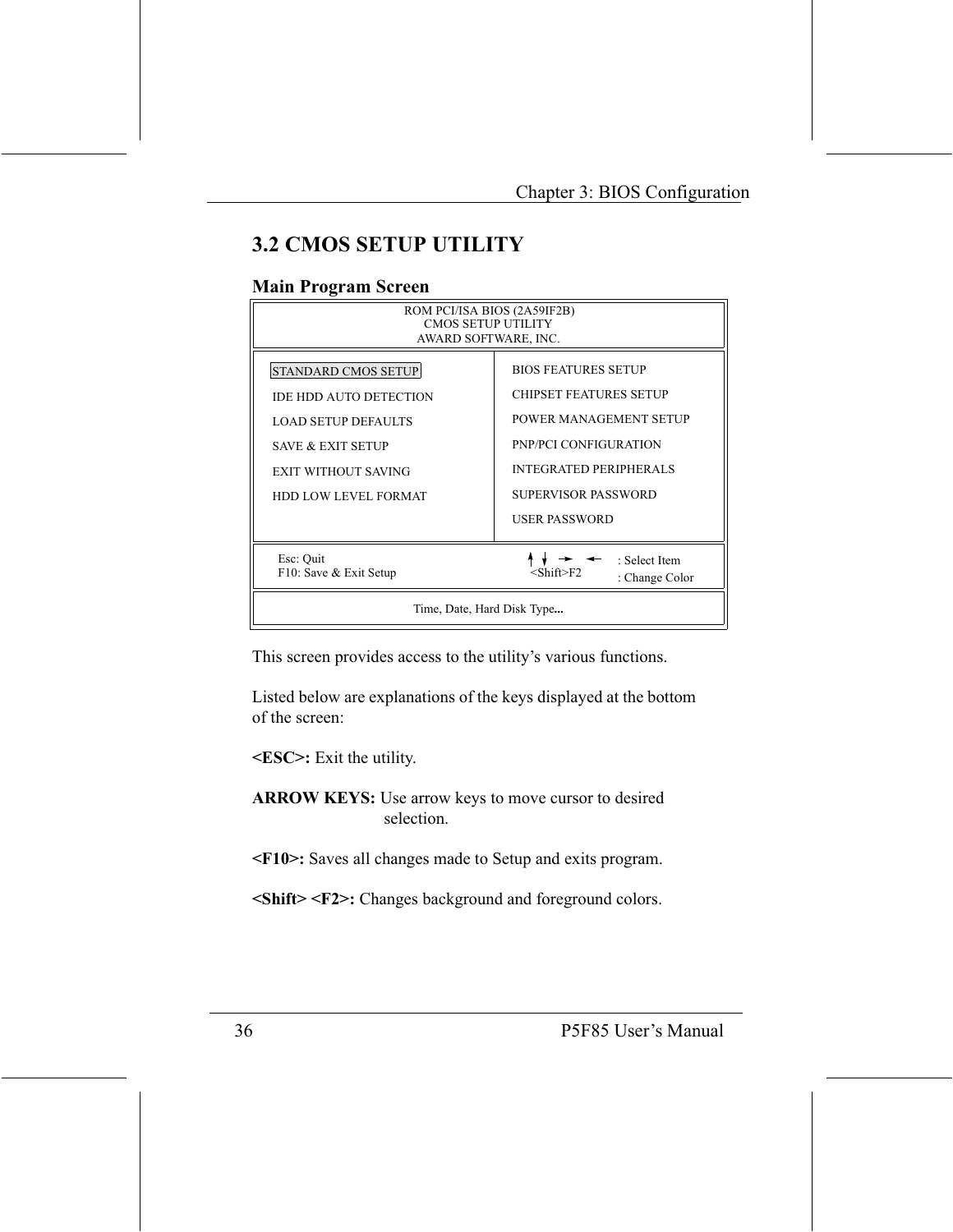## **3.2 CMOS SETUP UTILITY**

#### **Main Program Screen**

| ROM PCI/ISA BIOS (2A59IF2B)<br><b>CMOS SETUP UTILITY</b><br>AWARD SOFTWARE, INC.                                                                                                       |                                                                                                                                                                                  |  |
|----------------------------------------------------------------------------------------------------------------------------------------------------------------------------------------|----------------------------------------------------------------------------------------------------------------------------------------------------------------------------------|--|
| <b>STANDARD CMOS SETUP</b><br><b>IDE HDD AUTO DETECTION</b><br><b>LOAD SETUP DEFAULTS</b><br><b>SAVE &amp; EXIT SETUP</b><br><b>EXIT WITHOUT SAVING</b><br><b>HDD LOW LEVEL FORMAT</b> | <b>BIOS FEATURES SETUP</b><br>CHIPSET FEATURES SETUP<br>POWER MANAGEMENT SETUP<br>PNP/PCI CONFIGURATION<br><b>INTEGRATED PERIPHERALS</b><br>SUPERVISOR PASSWORD<br>USER PASSWORD |  |
| Esc: Quit<br>: Select Item<br>F10: Save & Exit Setup<br><shift>F2<br/>: Change Color<br/>Time, Date, Hard Disk Type</shift>                                                            |                                                                                                                                                                                  |  |

This screen provides access to the utility's various functions.

Listed below are explanations of the keys displayed at the bottom of the screen:

<ESC>: Exit the utility.

ARROW KEYS: Use arrow keys to move cursor to desired selection

<F10>: Saves all changes made to Setup and exits program.

<Shift> <F2>: Changes background and foreground colors.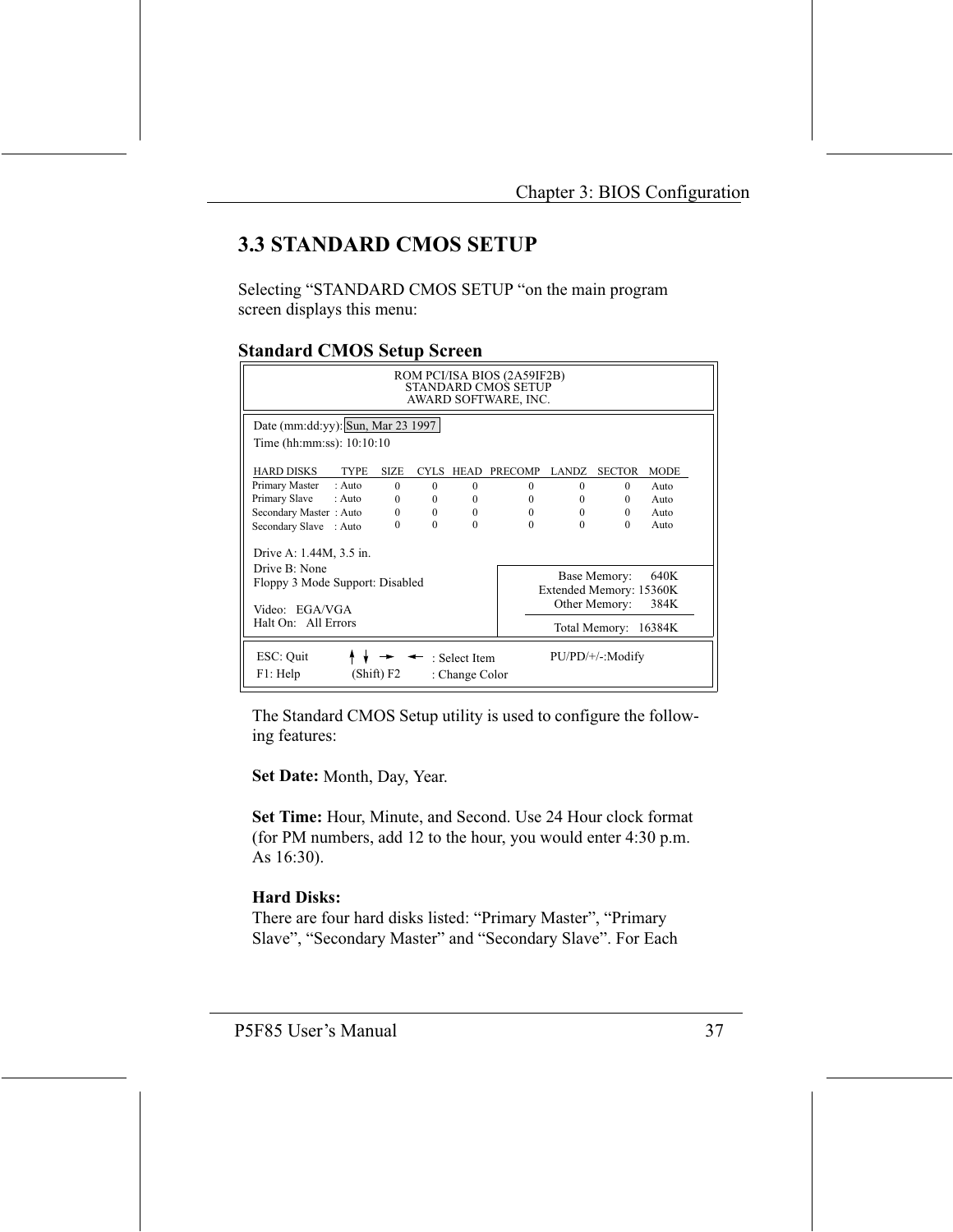## **3.3 STANDARD CMOS SETUP**

Selecting "STANDARD CMOS SETUP "on the main program screen displays this menu:

#### **Standard CMOS Setup Screen**

| ROM PCI/ISA BIOS (2A59IF2B)<br>STANDARD CMOS SETUP<br>AWARD SOFTWARE, INC.                                                                                                                                                  |          |             |          |          |               |             |
|-----------------------------------------------------------------------------------------------------------------------------------------------------------------------------------------------------------------------------|----------|-------------|----------|----------|---------------|-------------|
| Date (mm:dd:yy): Sun, Mar 23 1997<br>Time (hh:mm:ss): 10:10:10                                                                                                                                                              |          |             |          |          |               |             |
| <b>HARD DISKS</b><br><b>TYPE</b><br><b>SIZE</b>                                                                                                                                                                             | CYLS.    | <b>HEAD</b> | PRECOMP  | LANDZ    | <b>SECTOR</b> | <b>MODE</b> |
| Primary Master<br>$:$ Auto<br>$\Omega$                                                                                                                                                                                      | $\theta$ | $\Omega$    | $\Omega$ | $\Omega$ | $\Omega$      | Auto        |
| Primary Slave<br>$:$ Auto<br>$\Omega$                                                                                                                                                                                       | $\Omega$ | $\Omega$    | $\Omega$ | $\Omega$ | $\Omega$      | Auto        |
| Secondary Master: Auto<br>$\Omega$                                                                                                                                                                                          | $\Omega$ | $\theta$    | $\Omega$ | $\Omega$ | $\Omega$      | Auto        |
| 0<br>Secondary Slave : Auto                                                                                                                                                                                                 | $\Omega$ | $\Omega$    | 0        | $\Omega$ | $\Omega$      | Auto        |
| Drive A: 1.44M, 3.5 in.<br>Drive B: None<br>640K<br>Base Memory:<br>Floppy 3 Mode Support: Disabled<br>Extended Memory: 15360K<br>Other Memory:<br>384K<br>Video: EGA/VGA<br>Halt On: All Errors<br>Total Memory:<br>16384K |          |             |          |          |               |             |
| ESC: Quit<br>PU/PD/+/-:Modify<br>: Select Item<br>F1: Help<br>(Shift) F2<br>: Change Color                                                                                                                                  |          |             |          |          |               |             |

The Standard CMOS Setup utility is used to configure the following features:

Set Date: Month, Day, Year.

Set Time: Hour, Minute, and Second. Use 24 Hour clock format (for PM numbers, add 12 to the hour, you would enter 4:30 p.m.) As 16:30).

#### **Hard Disks:**

There are four hard disks listed: "Primary Master", "Primary Slave", "Secondary Master" and "Secondary Slave". For Each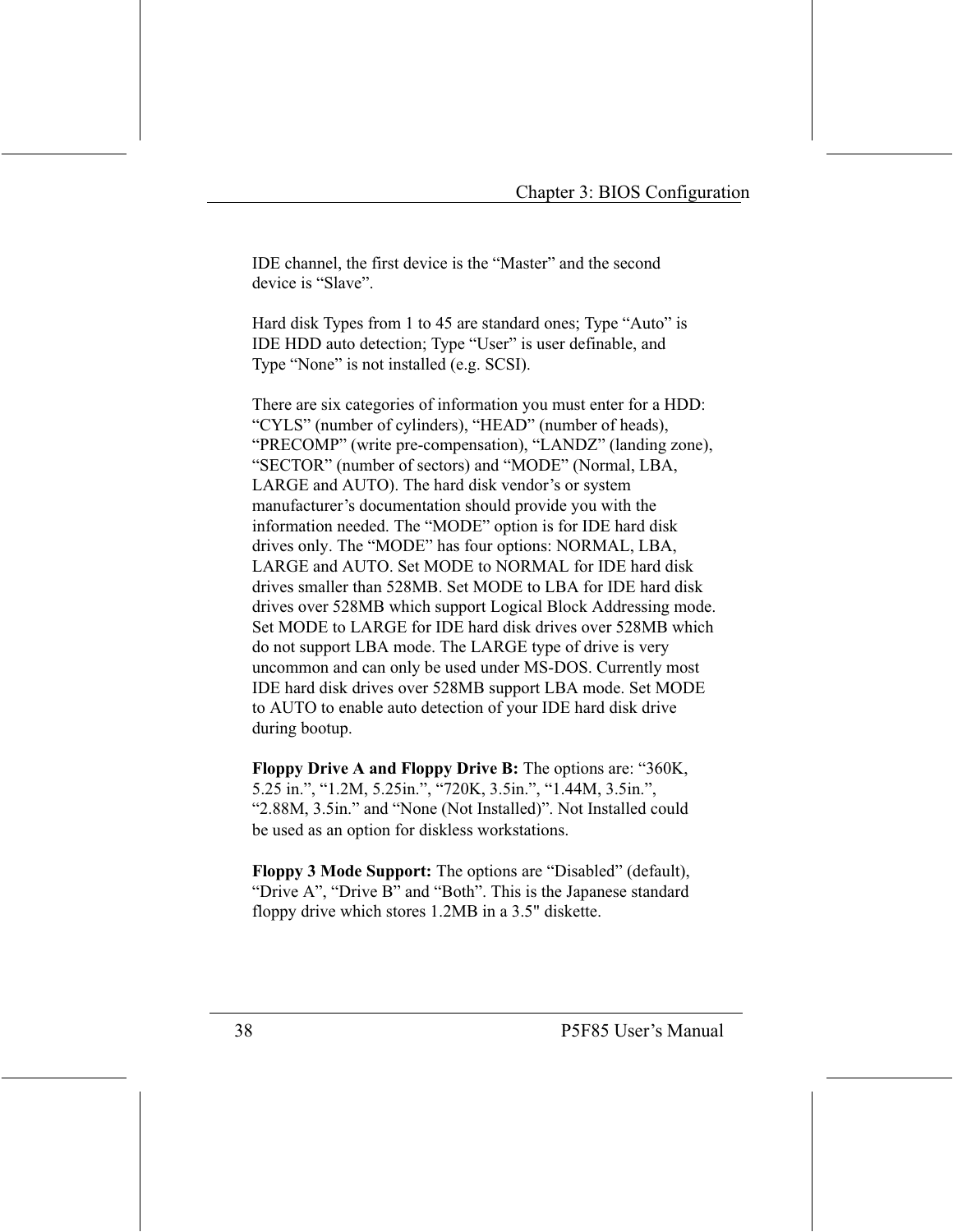IDE channel, the first device is the "Master" and the second device is "Slave".

Hard disk Types from 1 to 45 are standard ones; Type "Auto" is IDE HDD auto detection; Type "User" is user definable, and Type "None" is not installed (e.g. SCSI).

There are six categories of information you must enter for a HDD: "CYLS" (number of cylinders), "HEAD" (number of heads), "PRECOMP" (write pre-compensation), "LANDZ" (landing zone), "SECTOR" (number of sectors) and "MODE" (Normal, LBA, LARGE and AUTO). The hard disk vendor's or system manufacturer's documentation should provide you with the information needed. The "MODE" option is for IDE hard disk drives only. The "MODE" has four options: NORMAL, LBA, LARGE and AUTO. Set MODE to NORMAL for IDE hard disk drives smaller than 528MB. Set MODE to LBA for IDE hard disk drives over 528MB which support Logical Block Addressing mode. Set MODE to LARGE for IDE hard disk drives over 528MB which do not support LBA mode. The LARGE type of drive is very uncommon and can only be used under MS-DOS. Currently most IDE hard disk drives over 528MB support LBA mode. Set MODE to AUTO to enable auto detection of your IDE hard disk drive during bootup.

Floppy Drive A and Floppy Drive B: The options are: "360K, 5.25 in.", "1.2M, 5.25in.", "720K, 3.5in.", "1.44M, 3.5in.", "2.88M, 3.5in." and "None (Not Installed)". Not Installed could be used as an option for diskless workstations.

Floppy 3 Mode Support: The options are "Disabled" (default), "Drive A", "Drive B" and "Both". This is the Japanese standard floppy drive which stores 1.2MB in a 3.5" diskette.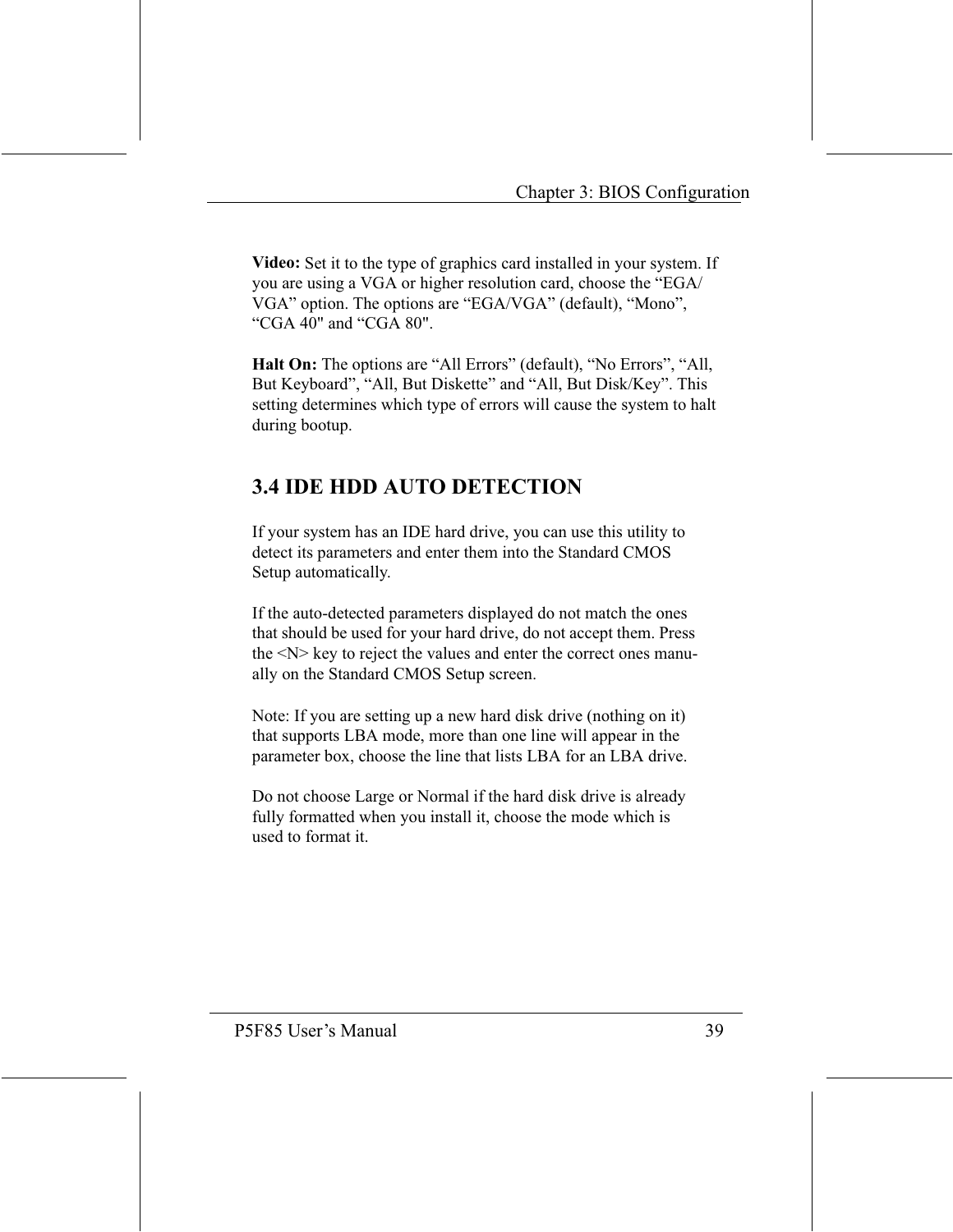Video: Set it to the type of graphics card installed in your system. If you are using a VGA or higher resolution card, choose the "EGA/ VGA" option. The options are "EGA/VGA" (default), "Mono", "CGA 40" and "CGA 80".

Halt On: The options are "All Errors" (default), "No Errors", "All, But Keyboard", "All, But Diskette" and "All, But Disk/Key". This setting determines which type of errors will cause the system to halt during bootup.

## **3.4 IDE HDD AUTO DETECTION**

If your system has an IDE hard drive, you can use this utility to detect its parameters and enter them into the Standard CMOS Setup automatically.

If the auto-detected parameters displayed do not match the ones that should be used for your hard drive, do not accept them. Press the <N> key to reject the values and enter the correct ones manually on the Standard CMOS Setup screen.

Note: If you are setting up a new hard disk drive (nothing on it) that supports LBA mode, more than one line will appear in the parameter box, choose the line that lists LBA for an LBA drive.

Do not choose Large or Normal if the hard disk drive is already fully formatted when you install it, choose the mode which is used to format it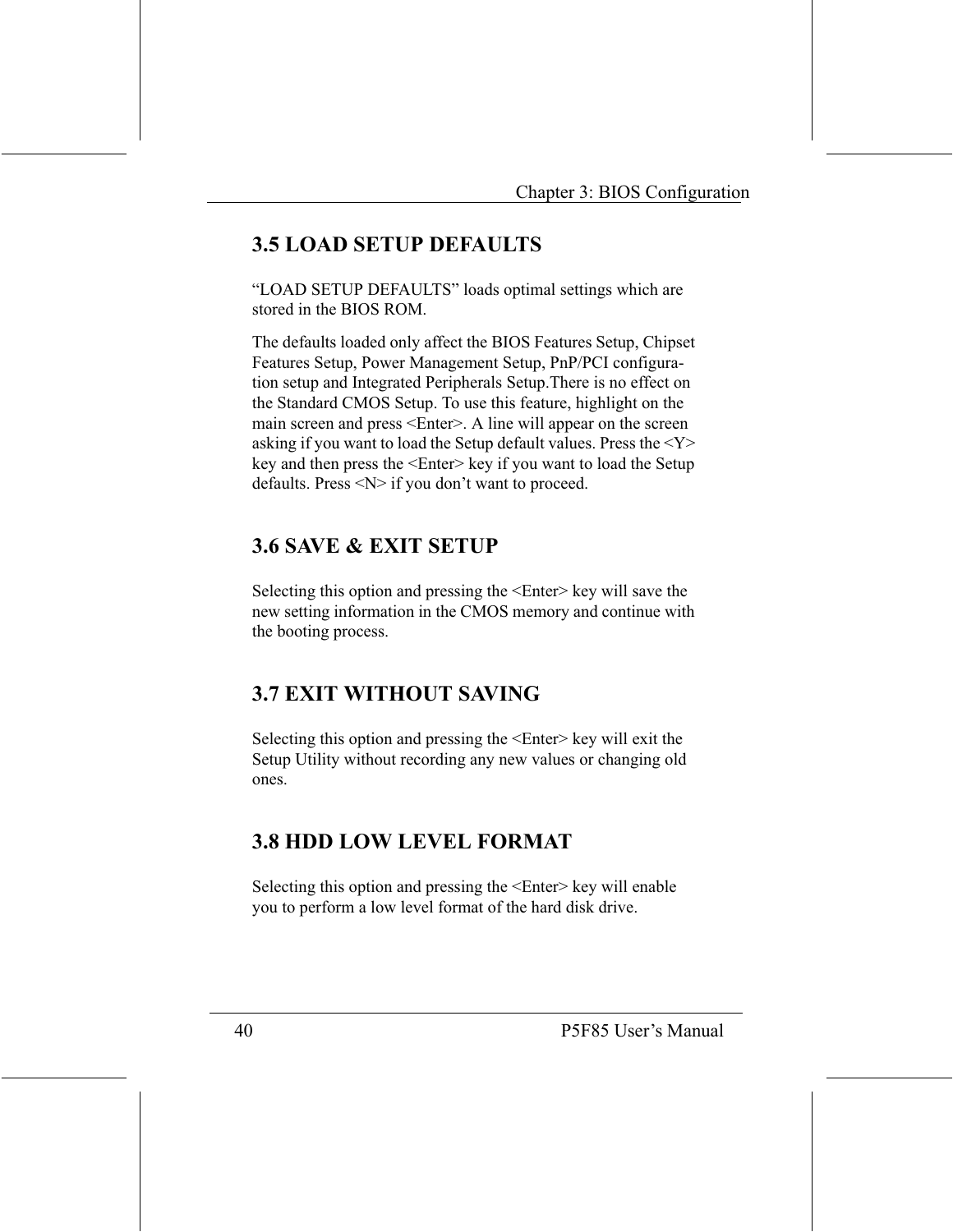## **3.5 LOAD SETUP DEFAULTS**

"LOAD SETUP DEFAULTS" loads optimal settings which are stored in the BIOS ROM.

The defaults loaded only affect the BIOS Features Setup, Chipset Features Setup, Power Management Setup, PnP/PCI configuration setup and Integrated Peripherals Setup. There is no effect on the Standard CMOS Setup. To use this feature, highlight on the main screen and press <Enter>. A line will appear on the screen asking if you want to load the Setup default values. Press the  $<$ Y $>$ key and then press the <Enter> key if you want to load the Setup defaults. Press  $\langle N \rangle$  if you don't want to proceed.

## **3.6 SAVE & EXIT SETUP**

Selecting this option and pressing the <Enter> key will save the new setting information in the CMOS memory and continue with the booting process.

## **3.7 EXIT WITHOUT SAVING**

Selecting this option and pressing the <Enter> key will exit the Setup Utility without recording any new values or changing old ones.

## **3.8 HDD LOW LEVEL FORMAT**

Selecting this option and pressing the <Enter> key will enable you to perform a low level format of the hard disk drive.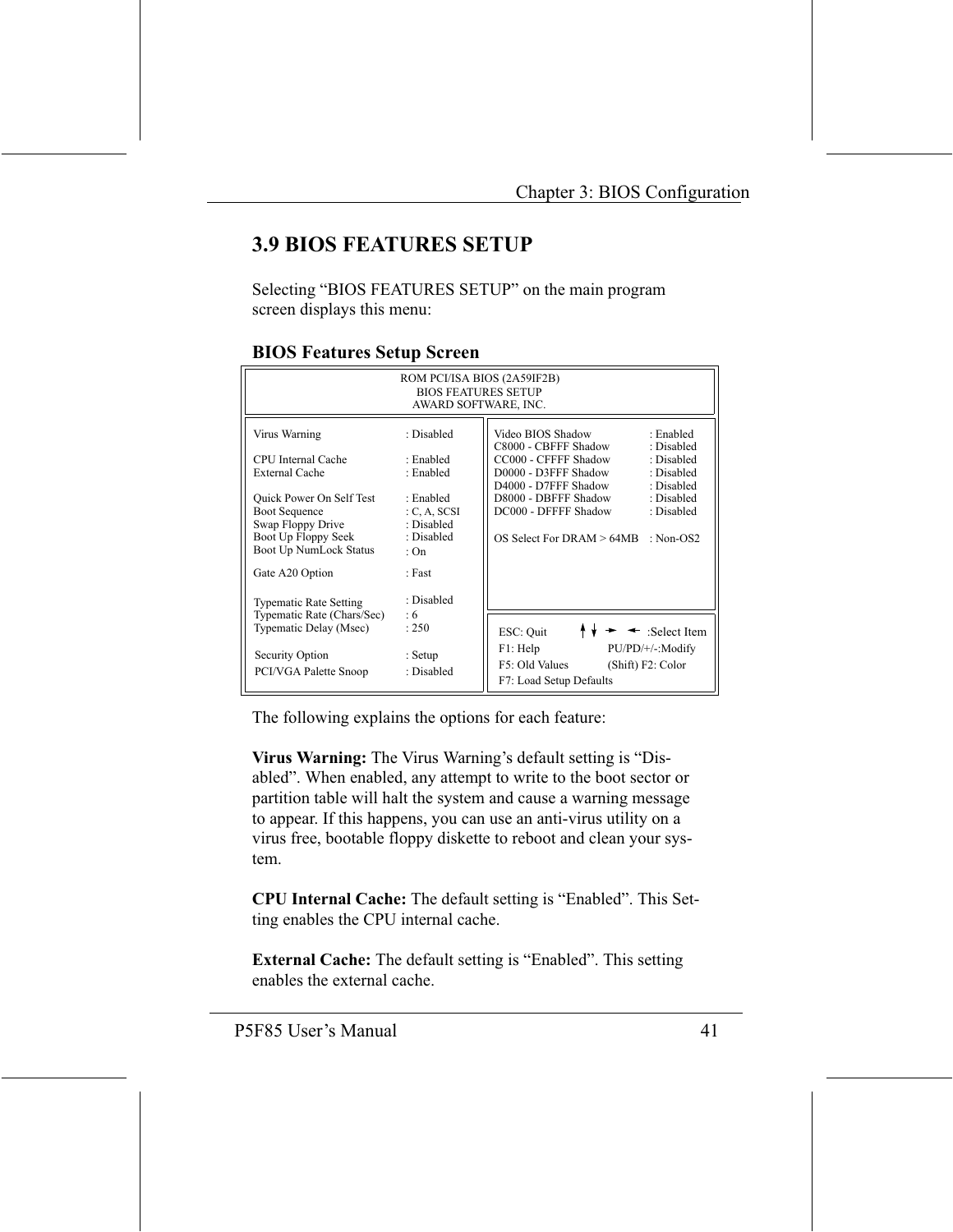## **3.9 BIOS FEATURES SETUP**

Selecting "BIOS FEATURES SETUP" on the main program screen displays this menu:

| ROM PCI/ISA BIOS (2A59IF2B)<br><b>BIOS FEATURES SETUP</b><br>AWARD SOFTWARE, INC.                         |                                                                   |                                                                                                                                                                                                                                                                    |  |
|-----------------------------------------------------------------------------------------------------------|-------------------------------------------------------------------|--------------------------------------------------------------------------------------------------------------------------------------------------------------------------------------------------------------------------------------------------------------------|--|
| Virus Warning<br>CPU Internal Cache<br>External Cache<br>Quick Power On Self Test<br><b>Boot Sequence</b> | : Disabled<br>: Enabled<br>: Enabled<br>: Enabled<br>: C. A. SCSI | Video BIOS Shadow<br>· Enabled<br>C8000 - CBFFF Shadow<br>: Disabled<br>CC000 - CFFFF Shadow<br>: Disabled<br>D0000 - D3FFF Shadow<br>: Disabled<br>D4000 - D7FFF Shadow<br>: Disabled<br>D8000 - DBFFF Shadow<br>: Disabled<br>DC000 - DFFFF Shadow<br>: Disabled |  |
| Swap Floppy Drive<br>Boot Up Floppy Seek<br>Boot Up NumLock Status                                        | : Disabled<br>: Disabled<br>: $On$                                | $OS$ Select For DRAM $> 64MB$<br>: Non-OS2                                                                                                                                                                                                                         |  |
| Gate A20 Option<br><b>Typematic Rate Setting</b>                                                          | : Fast<br>: Disabled                                              |                                                                                                                                                                                                                                                                    |  |
| Typematic Rate (Chars/Sec)<br>Typematic Delay (Msec)                                                      | :6<br>: 250                                                       | ESC: Quit<br>:Select Item<br>F1: Help<br>PU/PD/+/-:Modify                                                                                                                                                                                                          |  |
| Security Option<br>PCI/VGA Palette Snoop                                                                  | : Setup<br>: Disabled                                             | F5: Old Values<br>(Shift) F2: Color<br>F7: Load Setup Defaults                                                                                                                                                                                                     |  |

#### **BIOS Features Setup Screen**

The following explains the options for each feature:

Virus Warning: The Virus Warning's default setting is "Disabled". When enabled, any attempt to write to the boot sector or partition table will halt the system and cause a warning message to appear. If this happens, you can use an anti-virus utility on a virus free, bootable floppy diskette to reboot and clean your system.

CPU Internal Cache: The default setting is "Enabled". This Setting enables the CPU internal cache.

**External Cache:** The default setting is "Enabled". This setting enables the external cache.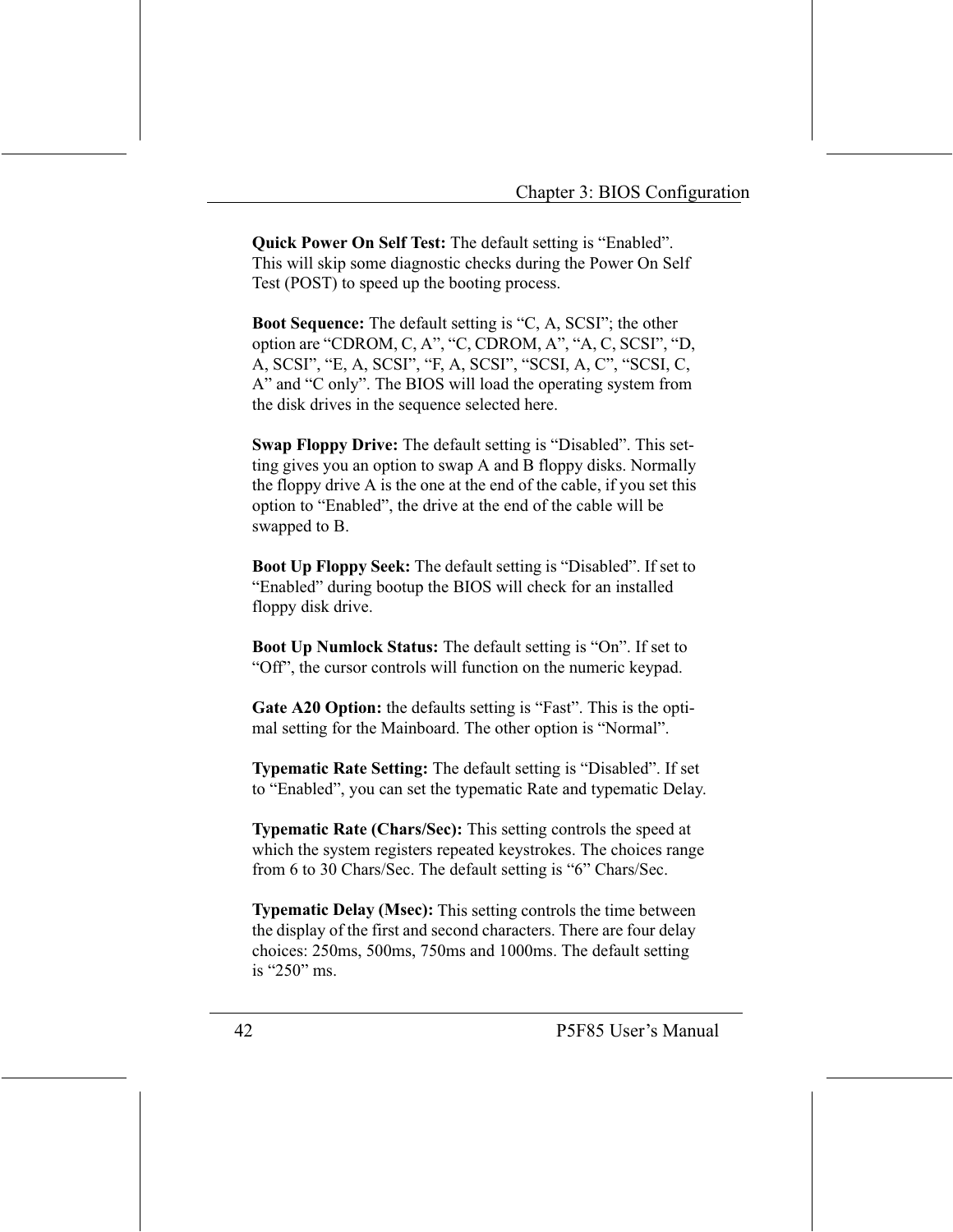**Quick Power On Self Test:** The default setting is "Enabled". This will skip some diagnostic checks during the Power On Self Test (POST) to speed up the booting process.

**Boot Sequence:** The default setting is "C, A, SCSI"; the other option are "CDROM, C, A", "C, CDROM, A", "A, C, SCSI", "D, A, SCSI", "E, A, SCSI", "F, A, SCSI", "SCSI, A, C", "SCSI, C, A" and "C only". The BIOS will load the operating system from the disk drives in the sequence selected here.

**Swap Floppy Drive:** The default setting is "Disabled". This setting gives you an option to swap A and B floppy disks. Normally the floppy drive A is the one at the end of the cable, if you set this option to "Enabled", the drive at the end of the cable will be swapped to B.

**Boot Up Floppy Seek:** The default setting is "Disabled". If set to "Enabled" during bootup the BIOS will check for an installed floppy disk drive.

**Boot Up Numlock Status:** The default setting is "On". If set to "Off", the cursor controls will function on the numeric keypad.

Gate A20 Option: the defaults setting is "Fast". This is the optimal setting for the Mainboard. The other option is "Normal".

**Typematic Rate Setting:** The default setting is "Disabled". If set to "Enabled", you can set the typematic Rate and typematic Delay.

**Typematic Rate (Chars/Sec):** This setting controls the speed at which the system registers repeated keystrokes. The choices range from 6 to 30 Chars/Sec. The default setting is "6" Chars/Sec.

**Typematic Delay (Msec):** This setting controls the time between the display of the first and second characters. There are four delay choices: 250ms, 500ms, 750ms and 1000ms. The default setting is "250" ms.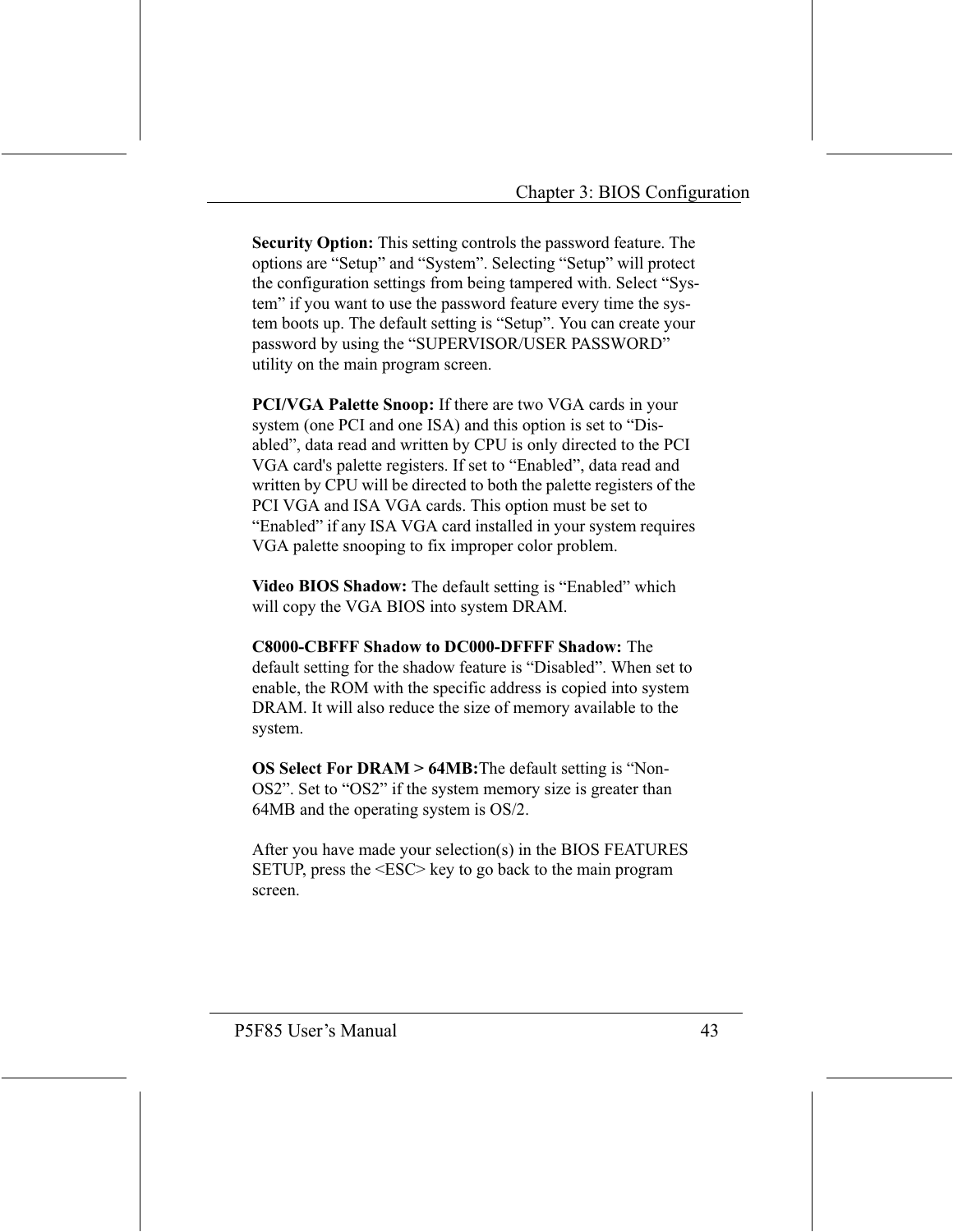**Security Option:** This setting controls the password feature. The options are "Setup" and "System". Selecting "Setup" will protect the configuration settings from being tampered with. Select "System" if you want to use the password feature every time the system boots up. The default setting is "Setup". You can create your password by using the "SUPERVISOR/USER PASSWORD" utility on the main program screen.

**PCI/VGA Palette Snoop:** If there are two VGA cards in your system (one PCI and one ISA) and this option is set to "Disabled", data read and written by CPU is only directed to the PCI VGA card's palette registers. If set to "Enabled", data read and written by CPU will be directed to both the palette registers of the PCI VGA and ISA VGA cards. This option must be set to "Enabled" if any ISA VGA card installed in your system requires VGA palette snooping to fix improper color problem.

Video BIOS Shadow: The default setting is "Enabled" which will copy the VGA BIOS into system DRAM.

**C8000-CBFFF Shadow to DC000-DFFFF Shadow:** The default setting for the shadow feature is "Disabled". When set to enable, the ROM with the specific address is copied into system DRAM. It will also reduce the size of memory available to the system.

**OS Select For DRAM > 64MB:** The default setting is "Non-OS2". Set to "OS2" if the system memory size is greater than 64MB and the operating system is OS/2.

After you have made your selection(s) in the BIOS FEATURES SETUP, press the <ESC> key to go back to the main program screen.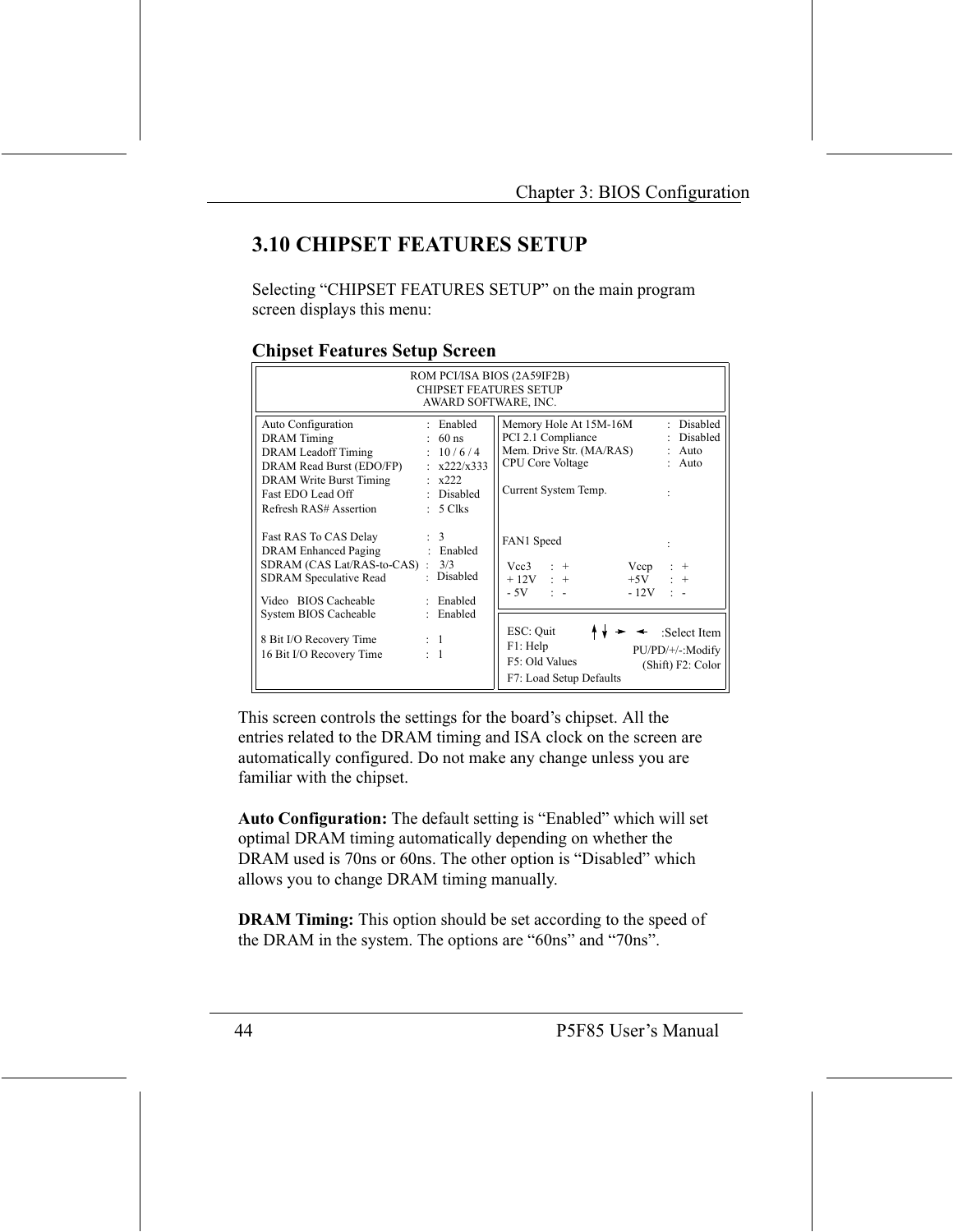## **3.10 CHIPSET FEATURES SETUP**

Selecting "CHIPSET FEATURES SETUP" on the main program screen displays this menu:

| ROM PCI/ISA BIOS (2A59IF2B)<br><b>CHIPSET FEATURES SETUP</b><br>AWARD SOFTWARE, INC.                                                                                  |                                                                                                          |                                                                                                                      |                                                       |
|-----------------------------------------------------------------------------------------------------------------------------------------------------------------------|----------------------------------------------------------------------------------------------------------|----------------------------------------------------------------------------------------------------------------------|-------------------------------------------------------|
| Auto Configuration<br><b>DRAM</b> Timing<br>DRAM Leadoff Timing<br>DRAM Read Burst (EDO/FP)<br>DRAM Write Burst Timing<br>Fast EDO Lead Off<br>Refresh RAS# Assertion | : Enabled<br>$: 60$ ns<br>: 10/6/4<br>$\pm x222/x333$<br>$\div$ x222<br>: Disabled<br>$: 5 \text{ Clks}$ | Memory Hole At 15M-16M<br>PCI 2.1 Compliance<br>Mem. Drive Str. (MA/RAS)<br>CPU Core Voltage<br>Current System Temp. | Disabled<br>$\bullet$<br>Disabled<br>Auto<br>Auto     |
| Fast RAS To CAS Delay<br><b>DRAM</b> Enhanced Paging<br>SDRAM (CAS Lat/RAS-to-CAS) : 3/3<br>SDRAM Speculative Read                                                    | $\therefore$ 3<br>: Enabled<br>: Disabled                                                                | FAN1 Speed<br>$Vec3$ : +<br>Vccp<br>$+12V$ : +<br>$+5V$<br>$-5V$ : $-$<br>- 12V                                      | :<br>$: +$<br>$: +$<br>$\mathbb{R}^n$                 |
| Video BIOS Cacheable<br>System BIOS Cacheable<br>8 Bit I/O Recovery Time<br>16 Bit I/O Recovery Time                                                                  | : Enabled<br>: Enabled<br>$\cdots$ : 1<br>$\pm$ 1                                                        | ESC: Quit<br>F1: Help<br>F5: Old Values                                                                              | :Select Item<br>PU/PD/+/-:Modify<br>(Shift) F2: Color |
|                                                                                                                                                                       |                                                                                                          | F7: Load Setup Defaults                                                                                              |                                                       |

#### **Chinset Features Setun Screen**

This screen controls the settings for the board's chipset. All the entries related to the DRAM timing and ISA clock on the screen are automatically configured. Do not make any change unless you are familiar with the chipset.

**Auto Configuration:** The default setting is "Enabled" which will set optimal DRAM timing automatically depending on whether the DRAM used is 70ns or 60ns. The other option is "Disabled" which allows you to change DRAM timing manually.

**DRAM Timing:** This option should be set according to the speed of the DRAM in the system. The options are "60ns" and "70ns".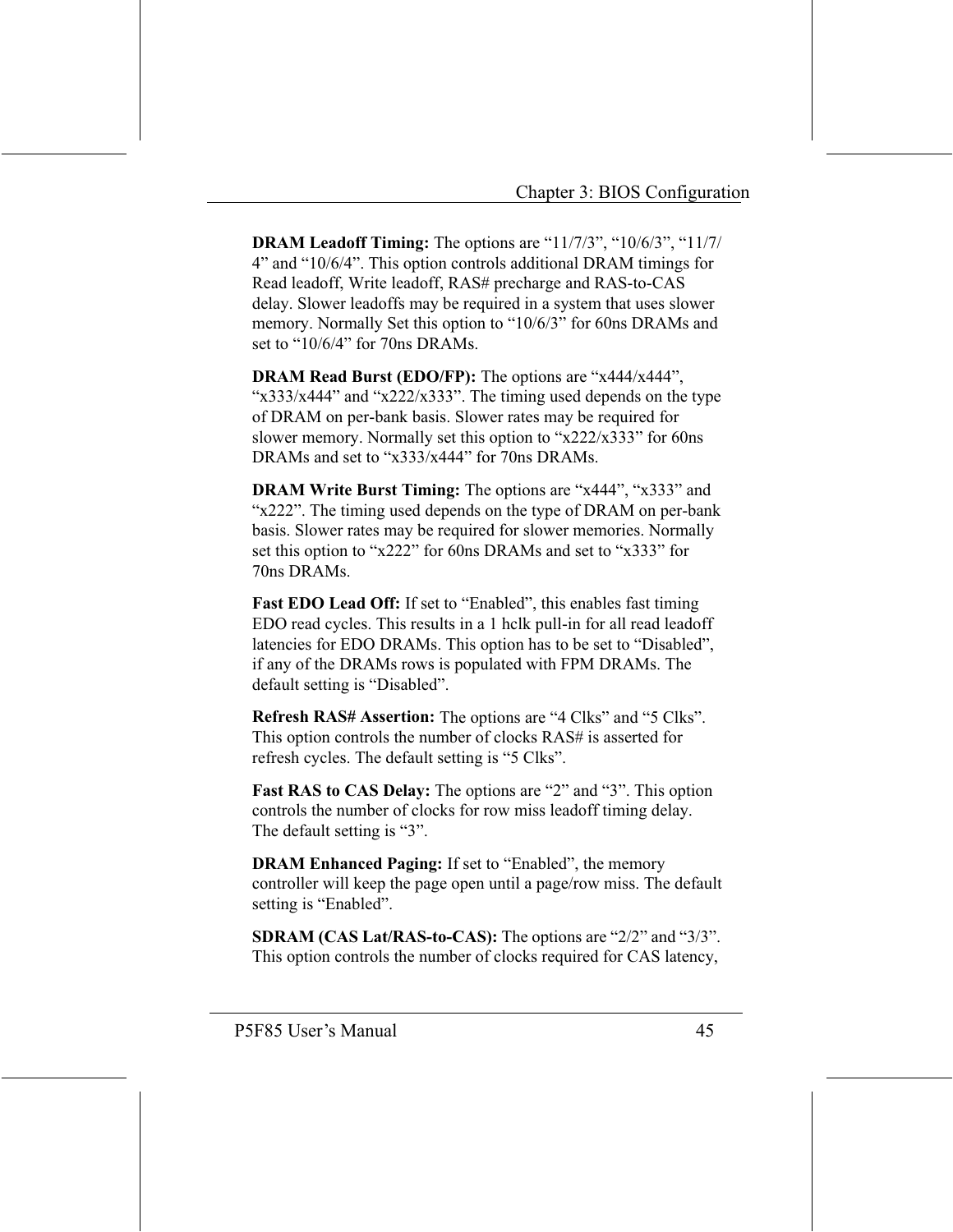**DRAM Leadoff Timing:** The options are " $11/7/3$ ", " $10/6/3$ ", " $11/7/7$ 4" and "10/6/4". This option controls additional DRAM timings for Read leadoff, Write leadoff, RAS# precharge and RAS-to-CAS delay. Slower leadoffs may be required in a system that uses slower memory. Normally Set this option to "10/6/3" for 60ns DRAMs and set to " $10/6/4$ " for 70ns DRAMs.

**DRAM Read Burst (EDO/FP):** The options are "x444/x444". "x333/x444" and "x222/x333". The timing used depends on the type of DRAM on per-bank basis. Slower rates may be required for slower memory. Normally set this option to "x222/x333" for 60ns DRAMs and set to " $x333/x444$ " for 70ns DRAMs.

**DRAM Write Burst Timing:** The options are "x444", "x333" and "x222". The timing used depends on the type of DRAM on per-bank basis. Slower rates may be required for slower memories. Normally set this option to "x222" for 60ns DRAMs and set to "x333" for 70ns DRAMs.

**Fast EDO Lead Off:** If set to "Enabled", this enables fast timing EDO read cycles. This results in a 1 hclk pull-in for all read leadoff latencies for EDO DRAMs. This option has to be set to "Disabled", if any of the DRAMs rows is populated with FPM DRAMs. The default setting is "Disabled".

Refresh RAS# Assertion: The options are "4 Clks" and "5 Clks". This option controls the number of clocks RAS# is asserted for refresh cycles. The default setting is "5 Clks".

**Fast RAS to CAS Delay:** The options are "2" and "3". This option controls the number of clocks for row miss leadoff timing delay. The default setting is "3".

**DRAM Enhanced Paging:** If set to "Enabled", the memory controller will keep the page open until a page/row miss. The default setting is "Enabled".

SDRAM (CAS Lat/RAS-to-CAS): The options are "2/2" and "3/3". This option controls the number of clocks required for CAS latency,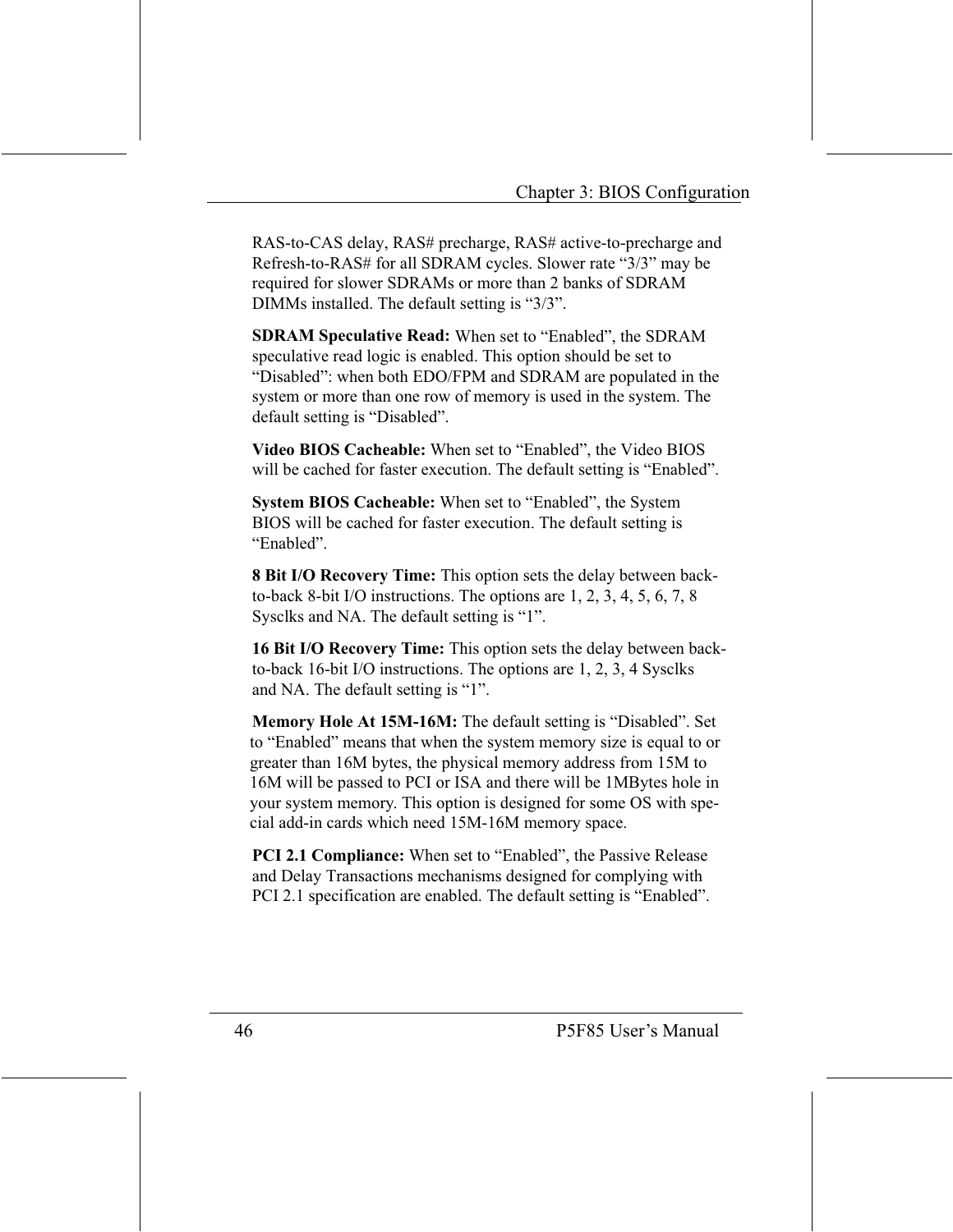RAS-to-CAS delay, RAS# precharge, RAS# active-to-precharge and Refresh-to-RAS# for all SDRAM cycles. Slower rate "3/3" may be required for slower SDRAMs or more than 2 banks of SDRAM DIMMs installed. The default setting is "3/3".

**SDRAM Speculative Read:** When set to "Enabled", the SDRAM speculative read logic is enabled. This option should be set to "Disabled": when both EDO/FPM and SDRAM are populated in the system or more than one row of memory is used in the system. The default setting is "Disabled".

Video BIOS Cacheable: When set to "Enabled", the Video BIOS will be cached for faster execution. The default setting is "Enabled".

System BIOS Cacheable: When set to "Enabled", the System BIOS will be cached for faster execution. The default setting is "Enabled"

8 Bit I/O Recovery Time: This option sets the delay between backto-back 8-bit I/O instructions. The options are  $1, 2, 3, 4, 5, 6, 7, 8$ Sysclks and NA. The default setting is "1".

16 Bit I/O Recovery Time: This option sets the delay between backto-back 16-bit I/O instructions. The options are 1, 2, 3, 4 Sysclks and NA. The default setting is "1".

Memory Hole At 15M-16M: The default setting is "Disabled". Set to "Enabled" means that when the system memory size is equal to or greater than 16M bytes, the physical memory address from 15M to 16M will be passed to PCI or ISA and there will be 1MBytes hole in your system memory. This option is designed for some OS with special add-in cards which need 15M-16M memory space.

**PCI 2.1 Compliance:** When set to "Enabled", the Passive Release and Delay Transactions mechanisms designed for complying with PCI 2.1 specification are enabled. The default setting is "Enabled".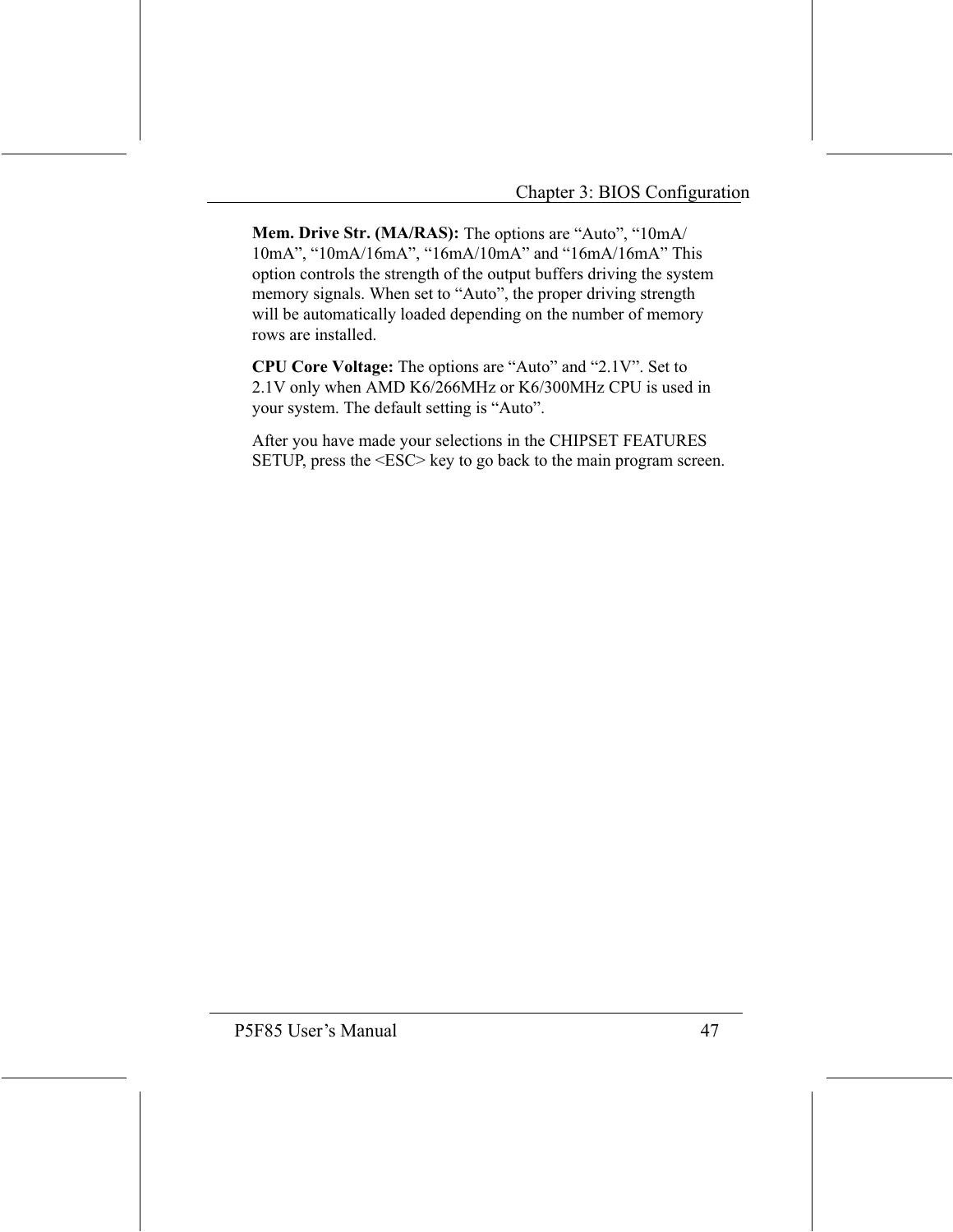Mem. Drive Str. (MA/RAS): The options are "Auto", "10mA/ 10mA", "10mA/16mA", "16mA/10mA" and "16mA/16mA" This option controls the strength of the output buffers driving the system memory signals. When set to "Auto", the proper driving strength will be automatically loaded depending on the number of memory rows are installed.

CPU Core Voltage: The options are "Auto" and "2.1V". Set to 2.1V only when AMD K6/266MHz or K6/300MHz CPU is used in your system. The default setting is "Auto".

After you have made your selections in the CHIPSET FEATURES SETUP, press the <ESC> key to go back to the main program screen.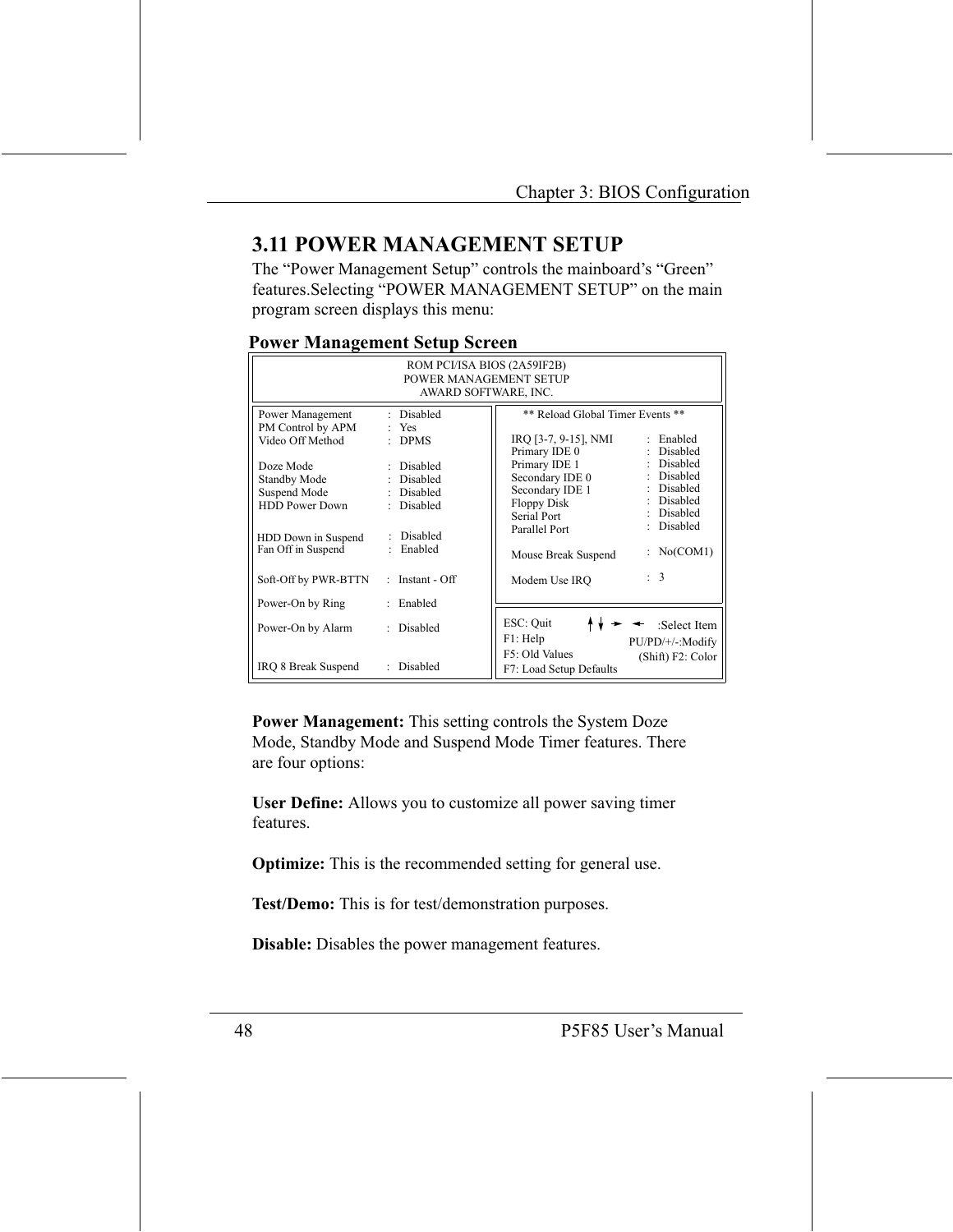## **3.11 POWER MANAGEMENT SETUP**

The "Power Management Setup" controls the mainboard's "Green" features. Selecting "POWER MANAGEMENT SETUP" on the main program screen displays this menu:

| ਣਾ                                                                            |                                                        |                                                                                                                                                       |  |
|-------------------------------------------------------------------------------|--------------------------------------------------------|-------------------------------------------------------------------------------------------------------------------------------------------------------|--|
| ROM PCI/ISA BIOS (2A59IF2B)<br>POWER MANAGEMENT SETUP<br>AWARD SOFTWARE, INC. |                                                        |                                                                                                                                                       |  |
| Power Management<br>PM Control by APM<br>Video Off Method                     | : Disabled<br>: Yes<br>$\therefore$ DPMS               | ** Reload Global Timer Events **<br>IRQ [3-7, 9-15], NMI<br>: Enabled<br>Disabled<br>Primary IDE 0                                                    |  |
| Doze Mode<br>Standby Mode<br>Suspend Mode<br><b>HDD Power Down</b>            | : Disabled<br>: Disabled<br>Disabled<br>Disabled<br>÷. | : Disabled<br>Primary IDE 1<br>: Disabled<br>Secondary IDE 0<br>: Disabled<br>Secondary IDE 1<br>: Disabled<br>Floppy Disk<br>Disabled<br>Serial Port |  |
| HDD Down in Suspend<br>Fan Off in Suspend                                     | <b>Disabled</b><br>Enabled                             | Disabled<br>Parallel Port<br>No(COM1)<br>Mouse Break Suspend                                                                                          |  |
| Soft-Off by PWR-BTTN                                                          | : Instant - $\overline{Off}$                           | : 3<br>Modem Use IRO                                                                                                                                  |  |
| Power-On by Ring                                                              | : Enabled                                              |                                                                                                                                                       |  |
| Power-On by Alarm                                                             | : Disabled                                             | ESC: Quit<br>:Select Item<br>$F1$ : Help<br>PU/PD/+/-:Modify                                                                                          |  |
| IRQ 8 Break Suspend                                                           | Disabled<br>÷                                          | F5: Old Values<br>(Shift) F2: Color<br>F7: Load Setup Defaults                                                                                        |  |

#### **Power Management Setup Screen**

**Power Management:** This setting controls the System Doze Mode, Standby Mode and Suspend Mode Timer features. There are four options:

User Define: Allows you to customize all power saving timer features

**Optimize:** This is the recommended setting for general use.

Test/Demo: This is for test/demonstration purposes.

**Disable:** Disables the power management features.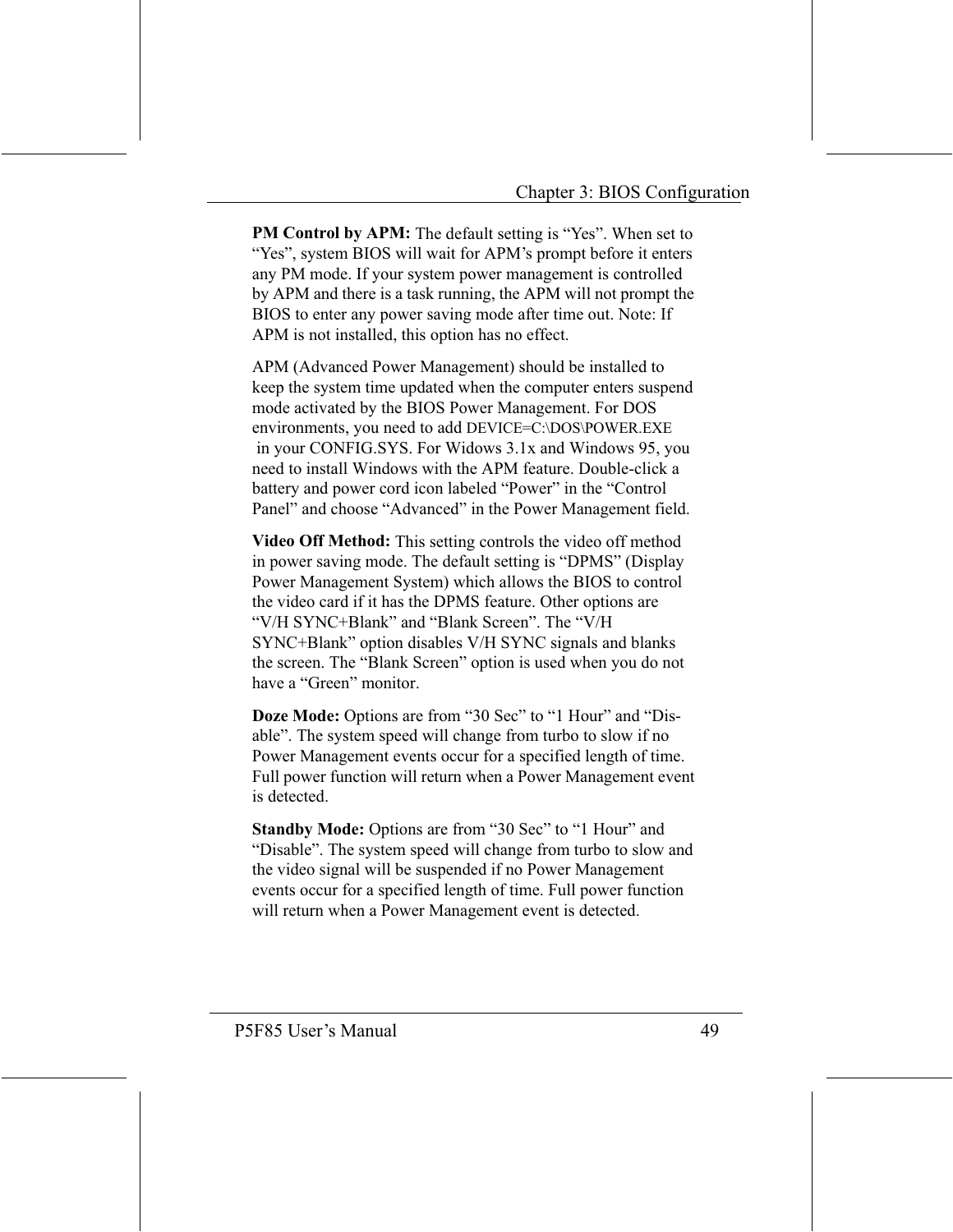**PM Control by APM:** The default setting is "Yes". When set to "Yes", system BIOS will wait for APM's prompt before it enters any PM mode. If your system power management is controlled by APM and there is a task running, the APM will not prompt the BIOS to enter any power saving mode after time out. Note: If APM is not installed, this option has no effect.

APM (Advanced Power Management) should be installed to keep the system time updated when the computer enters suspend mode activated by the BIOS Power Management. For DOS environments, you need to add DEVICE=C:\DOS\POWER.EXE in your CONFIG.SYS. For Widows 3.1x and Windows 95, you need to install Windows with the APM feature. Double-click a battery and power cord icon labeled "Power" in the "Control Panel" and choose "Advanced" in the Power Management field.

Video Off Method: This setting controls the video off method in power saving mode. The default setting is "DPMS" (Display Power Management System) which allows the BIOS to control the video card if it has the DPMS feature. Other options are "V/H SYNC+Blank" and "Blank Screen". The "V/H SYNC+Blank" option disables V/H SYNC signals and blanks the screen. The "Blank Screen" option is used when you do not have a "Green" monitor.

Doze Mode: Options are from "30 Sec" to "1 Hour" and "Disable". The system speed will change from turbo to slow if no Power Management events occur for a specified length of time. Full power function will return when a Power Management event is detected.

Standby Mode: Options are from "30 Sec" to "1 Hour" and "Disable". The system speed will change from turbo to slow and the video signal will be suspended if no Power Management events occur for a specified length of time. Full power function will return when a Power Management event is detected.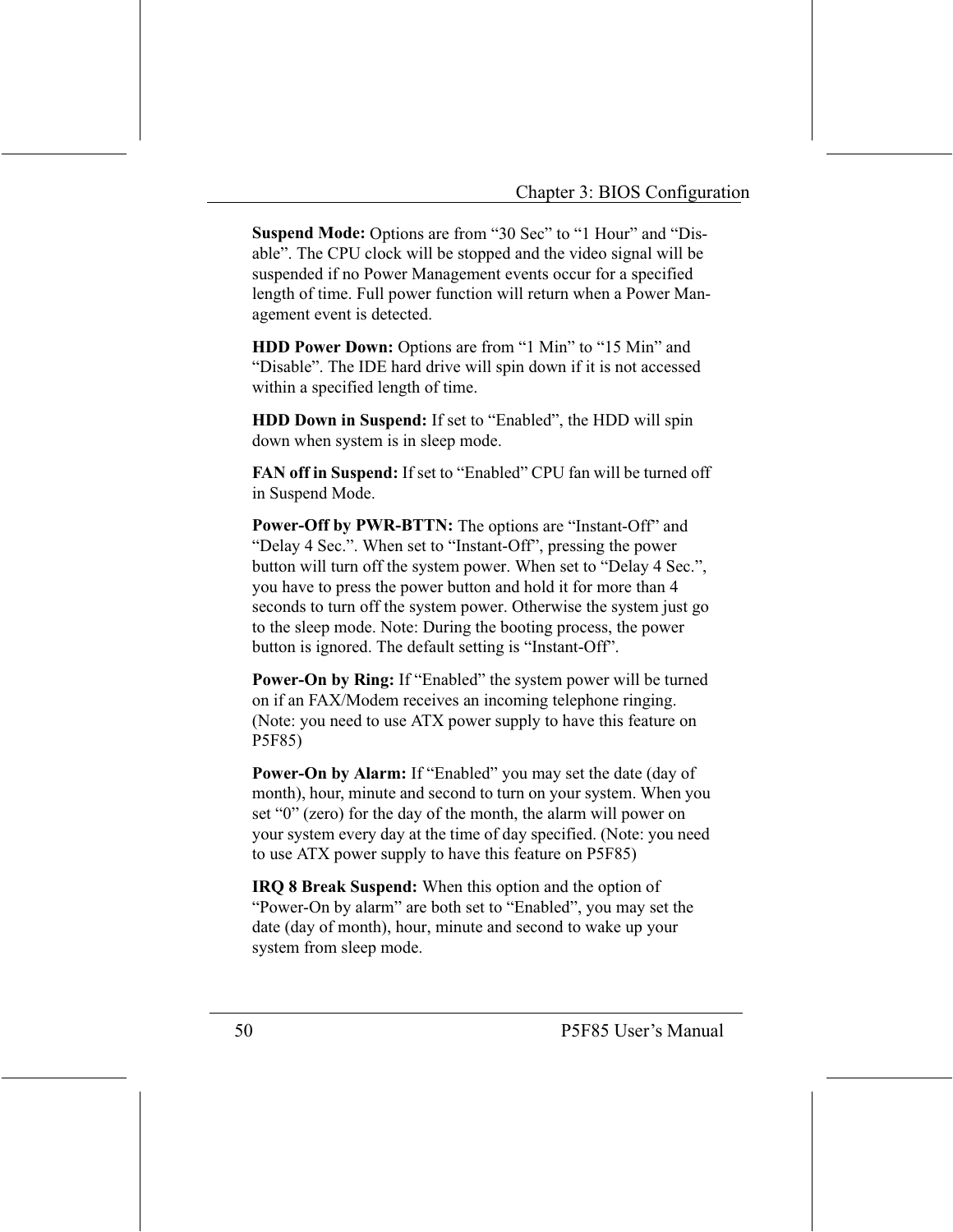Suspend Mode: Options are from "30 Sec" to "1 Hour" and "Disable". The CPU clock will be stopped and the video signal will be suspended if no Power Management events occur for a specified length of time. Full power function will return when a Power Management event is detected.

HDD Power Down: Options are from "1 Min" to "15 Min" and "Disable". The IDE hard drive will spin down if it is not accessed within a specified length of time.

**HDD Down in Suspend:** If set to "Enabled", the HDD will spin down when system is in sleep mode.

FAN off in Suspend: If set to "Enabled" CPU fan will be turned off in Suspend Mode.

Power-Off by PWR-BTTN: The options are "Instant-Off" and "Delay 4 Sec.". When set to "Instant-Off", pressing the power button will turn off the system power. When set to "Delay 4 Sec.", you have to press the power button and hold it for more than 4 seconds to turn off the system power. Otherwise the system just go to the sleep mode. Note: During the booting process, the power button is ignored. The default setting is "Instant-Off".

**Power-On by Ring:** If "Enabled" the system power will be turned on if an FAX/Modem receives an incoming telephone ringing. (Note: you need to use ATX power supply to have this feature on P5F85)

Power-On by Alarm: If "Enabled" you may set the date (day of month), hour, minute and second to turn on your system. When you set "0" (zero) for the day of the month, the alarm will power on your system every day at the time of day specified. (Note: you need to use ATX power supply to have this feature on P5F85)

**IRO 8 Break Suspend:** When this option and the option of "Power-On by alarm" are both set to "Enabled", you may set the date (day of month), hour, minute and second to wake up your system from sleep mode.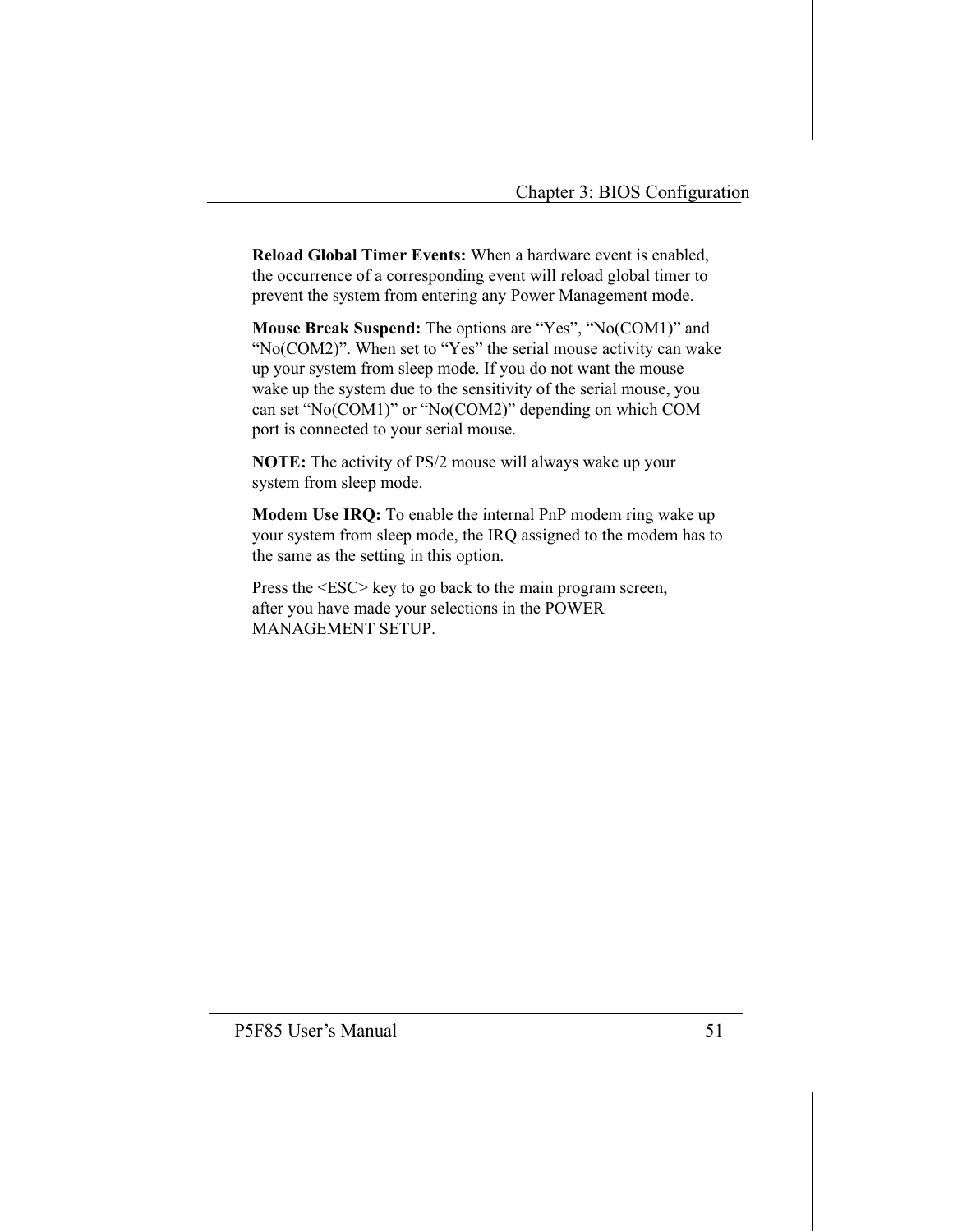Reload Global Timer Events: When a hardware event is enabled, the occurrence of a corresponding event will reload global timer to prevent the system from entering any Power Management mode.

Mouse Break Suspend: The options are "Yes", "No(COM1)" and "No(COM2)". When set to "Yes" the serial mouse activity can wake up your system from sleep mode. If you do not want the mouse wake up the system due to the sensitivity of the serial mouse, you can set "No(COM1)" or "No(COM2)" depending on which COM port is connected to your serial mouse.

**NOTE:** The activity of PS/2 mouse will always wake up your system from sleep mode.

Modem Use IRQ: To enable the internal PnP modem ring wake up your system from sleep mode, the IRQ assigned to the modem has to the same as the setting in this option.

Press the <ESC> key to go back to the main program screen, after you have made your selections in the POWER **MANAGEMENT SETUP.**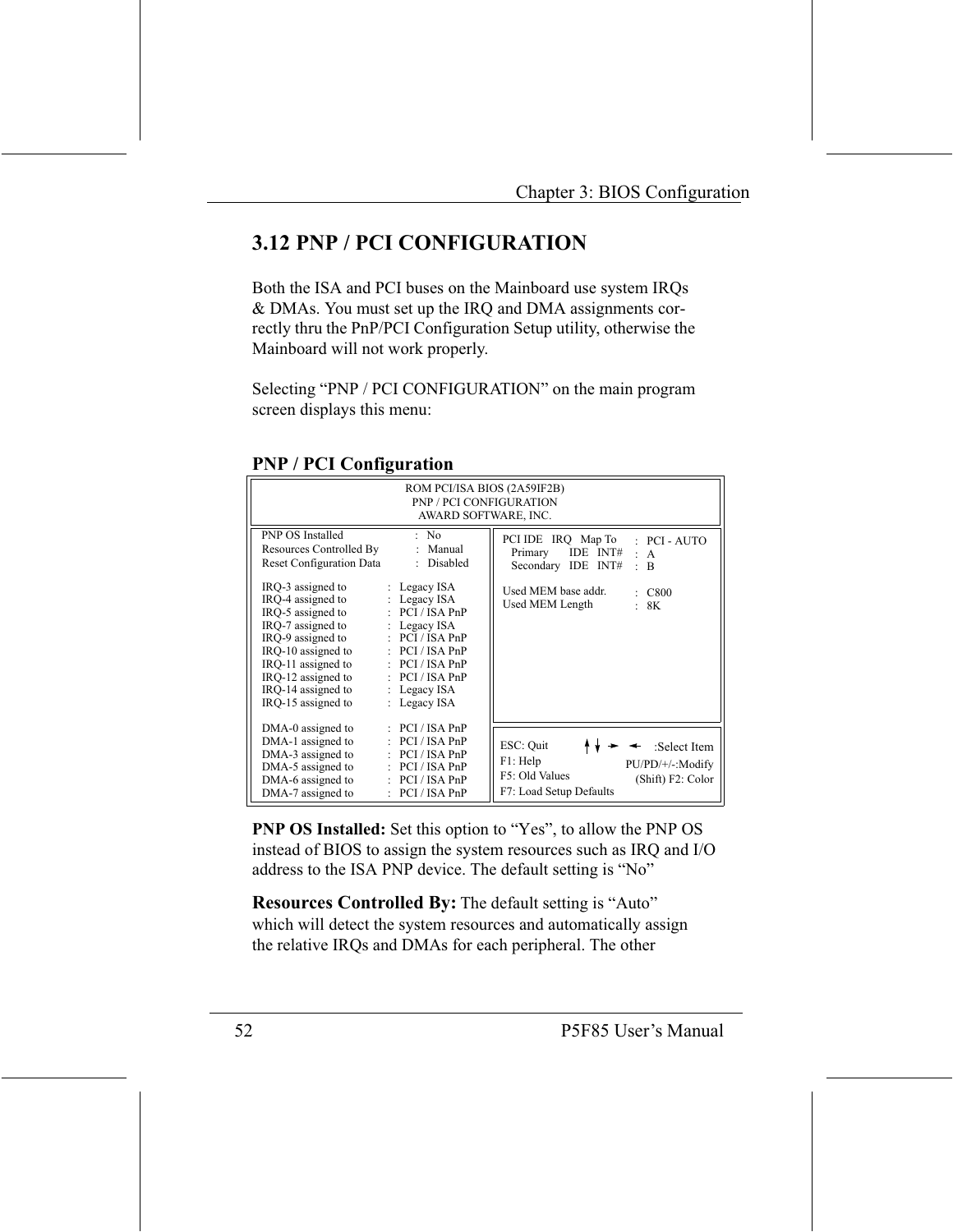## **3.12 PNP / PCI CONFIGURATION**

Both the ISA and PCI buses on the Mainboard use system IRQs & DMAs. You must set up the IRQ and DMA assignments correctly thru the PnP/PCI Configuration Setup utility, otherwise the Mainboard will not work properly.

Selecting "PNP / PCI CONFIGURATION" on the main program screen displays this menu:

| ROM PCI/ISA BIOS (2A59IF2B)<br><b>PNP / PCI CONFIGURATION</b><br>AWARD SOFTWARE, INC.                                                                                                                                                                                                                                 |                                                                                                                                                                                                                                            |                                                                                                                                                                                           |  |
|-----------------------------------------------------------------------------------------------------------------------------------------------------------------------------------------------------------------------------------------------------------------------------------------------------------------------|--------------------------------------------------------------------------------------------------------------------------------------------------------------------------------------------------------------------------------------------|-------------------------------------------------------------------------------------------------------------------------------------------------------------------------------------------|--|
| <b>PNP OS Installed</b><br>Resources Controlled By : Manual<br><b>Reset Configuration Data</b><br>IRQ-3 assigned to<br>IRQ-4 assigned to<br>IRO-5 assigned to<br>IRQ-7 assigned to<br>IRO-9 assigned to<br>IRQ-10 assigned to<br>IRO-11 assigned to<br>IRO-12 assigned to<br>IRQ-14 assigned to<br>IRQ-15 assigned to | : No<br>: Disabled<br>: Legacy $ISA$<br>: Legacy ISA<br>: PCI/ISA PnP<br>$\therefore$ Legacy ISA<br>$:$ PCI / ISA PnP<br>$:$ PCI / ISA PnP<br>$:$ PCI / ISA PnP<br>$:$ PCI / ISA PnP<br>$\therefore$ Legacy ISA<br>$\therefore$ Legacy ISA | PCI IDE IRQ Map To<br>$:$ PCI - AUTO<br>IDE INT# $: A$<br>Primary<br>Secondary IDE INT#<br>$\cdot$<br><sup>B</sup><br>Used MEM base addr.<br>$\therefore$ C800<br>Used MEM Length<br>: 8K |  |
| DMA-0 assigned to<br>DMA-1 assigned to<br>DMA-3 assigned to<br>DMA-5 assigned to<br>DMA-6 assigned to<br>DMA-7 assigned to                                                                                                                                                                                            | $\therefore$ PCI / ISA PnP<br>$:$ PCI / ISA PnP<br>$\therefore$ PCI / ISA PnP<br>$\therefore$ PCI / ISA PnP<br>$\therefore$ PCI / ISA PnP<br>$\therefore$ PCI / ISA PnP                                                                    | ESC: Quit<br>:Select Item<br>F1: Help<br>PU/PD/+/-:Modify<br>F5: Old Values<br>(Shift) F2: Color<br>F7: Load Setup Defaults                                                               |  |

#### **PNP / PCI Configuration**

**PNP OS Installed:** Set this option to "Yes", to allow the PNP OS instead of BIOS to assign the system resources such as IRQ and I/O address to the ISA PNP device. The default setting is "No"

**Resources Controlled By: The default setting is "Auto"** which will detect the system resources and automatically assign the relative IRQs and DMAs for each peripheral. The other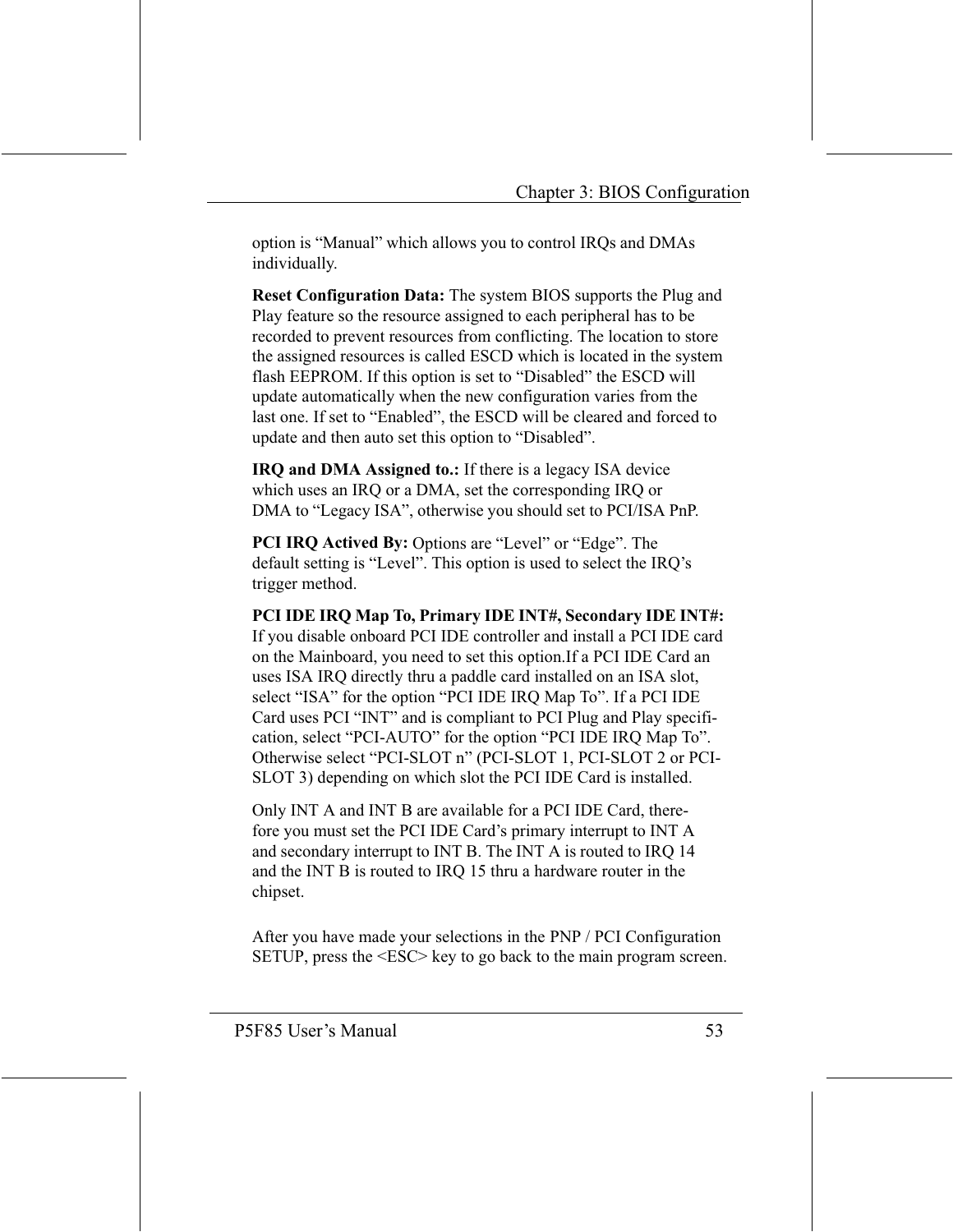option is "Manual" which allows you to control IRQs and DMAs individually.

**Reset Configuration Data:** The system BIOS supports the Plug and Play feature so the resource assigned to each peripheral has to be recorded to prevent resources from conflicting. The location to store the assigned resources is called ESCD which is located in the system flash EEPROM. If this option is set to "Disabled" the ESCD will update automatically when the new configuration varies from the last one. If set to "Enabled", the ESCD will be cleared and forced to update and then auto set this option to "Disabled".

**IRO and DMA Assigned to.:** If there is a legacy ISA device which uses an IRQ or a DMA, set the corresponding IRQ or DMA to "Legacy ISA", otherwise you should set to PCI/ISA PnP.

**PCI IRQ Actived By:** Options are "Level" or "Edge". The default setting is "Level". This option is used to select the IRO's trigger method.

PCI IDE IRO Map To, Primary IDE INT#, Secondary IDE INT#: If you disable onboard PCI IDE controller and install a PCI IDE card on the Mainboard, you need to set this option. If a PCI IDE Card an uses ISA IRQ directly thru a paddle card installed on an ISA slot, select "ISA" for the option "PCI IDE IRQ Map To". If a PCI IDE Card uses PCI "INT" and is compliant to PCI Plug and Play specification, select "PCI-AUTO" for the option "PCI IDE IRQ Map To". Otherwise select "PCI-SLOT n" (PCI-SLOT 1, PCI-SLOT 2 or PCI-SLOT 3) depending on which slot the PCI IDE Card is installed.

Only INT A and INT B are available for a PCI IDE Card, therefore you must set the PCI IDE Card's primary interrupt to INT A and secondary interrupt to INT B. The INT A is routed to IRQ 14 and the INT B is routed to IRQ 15 thru a hardware router in the chipset.

After you have made your selections in the PNP / PCI Configuration SETUP, press the <ESC> key to go back to the main program screen.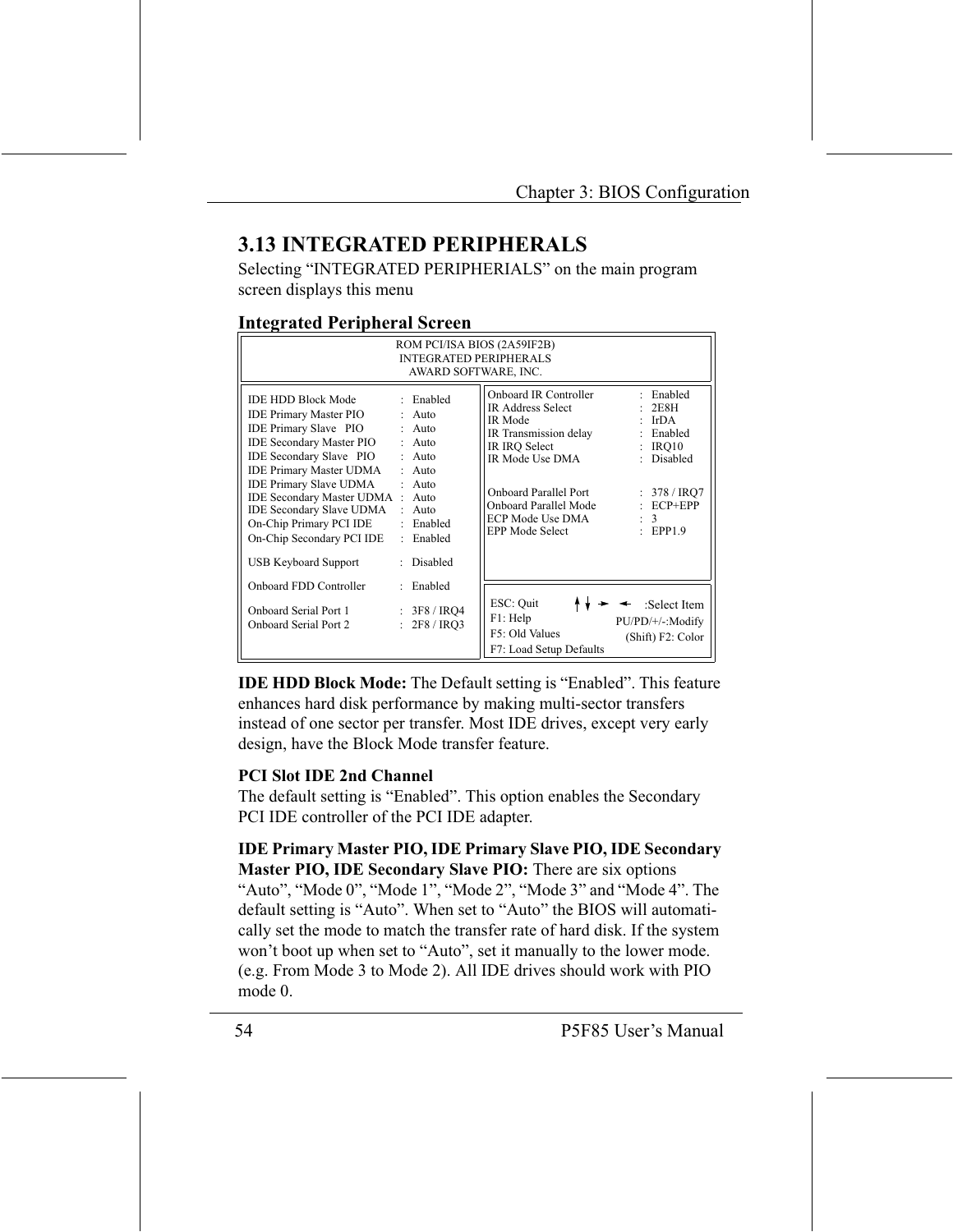## **3.13 INTEGRATED PERIPHERALS**

Selecting "INTEGRATED PERIPHERIALS" on the main program screen displays this menu

#### **Integrated Peripheral Screen**

| ROM PCI/ISA BIOS (2A59IF2B)<br><b>INTEGRATED PERIPHERALS</b><br>AWARD SOFTWARE, INC.                                                                                                                                                                                                                                                                                                             |                                                                                                                                                                         |                                                                                                                                                                                                                                         |                                                                                                                                                 |
|--------------------------------------------------------------------------------------------------------------------------------------------------------------------------------------------------------------------------------------------------------------------------------------------------------------------------------------------------------------------------------------------------|-------------------------------------------------------------------------------------------------------------------------------------------------------------------------|-----------------------------------------------------------------------------------------------------------------------------------------------------------------------------------------------------------------------------------------|-------------------------------------------------------------------------------------------------------------------------------------------------|
| <b>IDE HDD Block Mode</b><br><b>IDE Primary Master PIO</b><br><b>IDE Primary Slave PIO</b><br><b>IDE Secondary Master PIO</b><br><b>IDE Secondary Slave PIO</b><br><b>IDE Primary Master UDMA</b><br><b>IDE Primary Slave UDMA</b><br><b>IDE Secondary Master UDMA</b><br><b>IDE Secondary Slave UDMA</b><br>On-Chip Primary PCI IDE<br>On-Chip Secondary PCI IDE<br><b>USB Keyboard Support</b> | $\cdot$ Enabled<br>$:$ Auto<br>$:$ Auto<br>$\cdot$ Auto<br>$:$ Auto<br>$\cdot$ Auto<br>$\cdot$ Auto<br>$:$ Auto<br>$\cdot$ Auto<br>: Enabled<br>: Enabled<br>: Disabled | Onboard IR Controller<br><b>IR Address Select</b><br>IR Mode<br>IR Transmission delay<br>IR IRO Select<br>IR Mode Use DMA<br><b>Onboard Parallel Port</b><br><b>Onboard Parallel Mode</b><br>ECP Mode Use DMA<br><b>EPP Mode Select</b> | : Enabled<br>2E8H<br>IrDA<br>Enabled<br>IRO10<br>$\ddot{\phantom{a}}$<br>Disabled<br>$\cdot$<br>: $378 / IRO7$<br>$\div$ ECP+EPP<br>3<br>EPP1.9 |
| Onboard FDD Controller                                                                                                                                                                                                                                                                                                                                                                           | Enabled<br>÷                                                                                                                                                            |                                                                                                                                                                                                                                         |                                                                                                                                                 |
| Onboard Serial Port 1<br><b>Onboard Serial Port 2</b>                                                                                                                                                                                                                                                                                                                                            | : 3F8 / IRO4<br>: 2F8 / IRO3                                                                                                                                            | ESC: Quit<br>F1: Help<br>F5: Old Values<br>F7: Load Setup Defaults                                                                                                                                                                      | $\leftarrow$ : Select Item<br>PU/PD/+/-:Modify<br>(Shift) F2: Color                                                                             |

**IDE HDD Block Mode:** The Default setting is "Enabled". This feature enhances hard disk performance by making multi-sector transfers instead of one sector per transfer. Most IDE drives, except very early design, have the Block Mode transfer feature.

#### **PCI Slot IDE 2nd Channel**

The default setting is "Enabled". This option enables the Secondary PCI IDE controller of the PCI IDE adapter.

#### **IDE Primary Master PIO, IDE Primary Slave PIO, IDE Secondary Master PIO, IDE Secondary Slave PIO:** There are six options

"Auto", "Mode 0", "Mode 1", "Mode 2", "Mode 3" and "Mode 4". The default setting is "Auto". When set to "Auto" the BIOS will automatically set the mode to match the transfer rate of hard disk. If the system won't boot up when set to "Auto", set it manually to the lower mode. (e.g. From Mode 3 to Mode 2). All IDE drives should work with PIO  $mode<sub>0</sub>$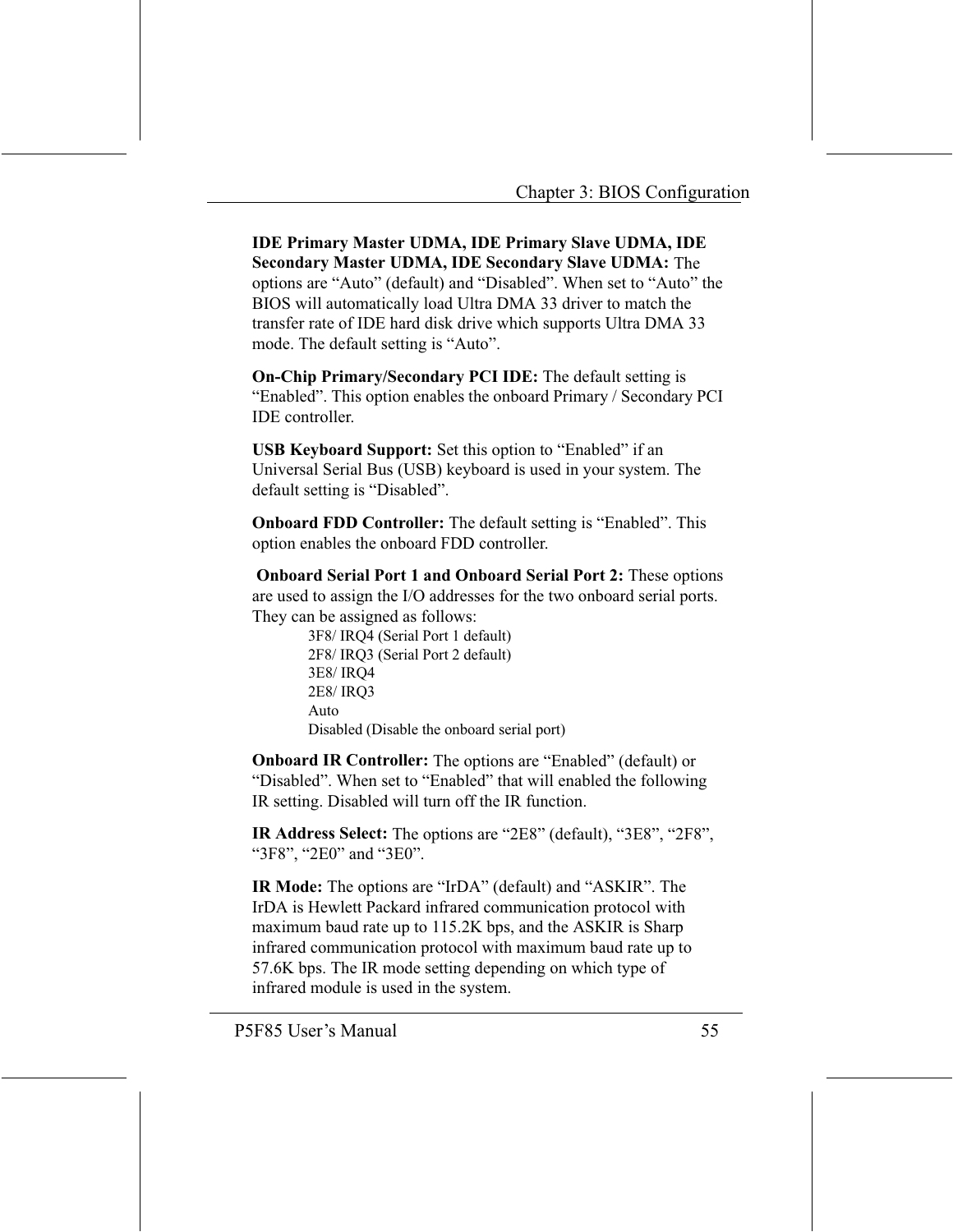**IDE Primary Master UDMA, IDE Primary Slave UDMA, IDE** Secondary Master UDMA, IDE Secondary Slave UDMA: The options are "Auto" (default) and "Disabled". When set to "Auto" the BIOS will automatically load Ultra DMA 33 driver to match the transfer rate of IDE hard disk drive which supports Ultra DMA 33 mode. The default setting is "Auto".

**On-Chip Primary/Secondary PCI IDE:** The default setting is "Enabled". This option enables the onboard Primary / Secondary PCI **IDE** controller.

**USB Keyboard Support:** Set this option to "Enabled" if an Universal Serial Bus (USB) keyboard is used in your system. The default setting is "Disabled".

**Onboard FDD Controller:** The default setting is "Enabled". This option enables the onboard FDD controller.

**Onboard Serial Port 1 and Onboard Serial Port 2:** These options are used to assign the I/O addresses for the two onboard serial ports. They can be assigned as follows:

> 3F8/IRO4 (Serial Port 1 default) 2F8/IRQ3 (Serial Port 2 default) 3E8/IRO4 2E8/IRO3  $A$ uto Disabled (Disable the onboard serial port)

**Onboard IR Controller:** The options are "Enabled" (default) or "Disabled". When set to "Enabled" that will enabled the following IR setting. Disabled will turn off the IR function.

IR Address Select: The options are "2E8" (default), "3E8", "2F8", "3F8", "2E0" and "3E0".

IR Mode: The options are "IrDA" (default) and "ASKIR". The IrDA is Hewlett Packard infrared communication protocol with maximum baud rate up to 115.2K bps, and the ASKIR is Sharp infrared communication protocol with maximum baud rate up to 57.6K bps. The IR mode setting depending on which type of infrared module is used in the system.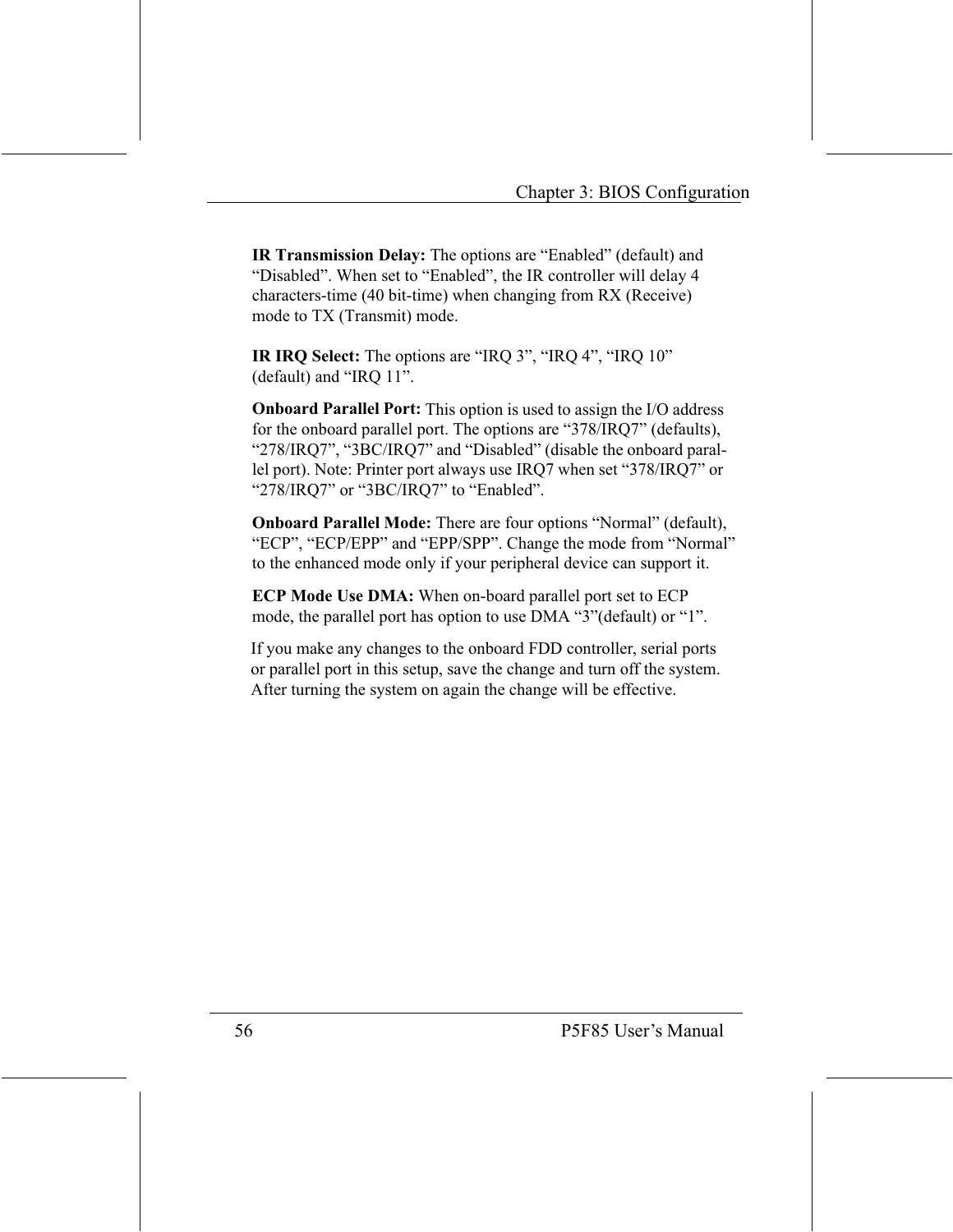IR Transmission Delay: The options are "Enabled" (default) and "Disabled". When set to "Enabled", the IR controller will delay 4 characters-time  $(40 \text{ bit-time})$  when changing from RX (Receive) mode to TX (Transmit) mode.

**IR IRQ Select:** The options are "IRQ 3", "IRQ 4", "IRQ  $10"$ (default) and "IRQ  $11$ ".

**Onboard Parallel Port:** This option is used to assign the I/O address for the onboard parallel port. The options are " $378/IRQ7$ " (defaults), "278/IRQ7", "3BC/IRQ7" and "Disabled" (disable the onboard parallel port). Note: Printer port always use IRQ7 when set "378/IRQ7" or " $278/IRQ7$ " or " $3BC/IRQ7$ " to "Enabled".

**Onboard Parallel Mode:** There are four options "Normal" (default), "ECP", "ECP/EPP" and "EPP/SPP". Change the mode from "Normal" to the enhanced mode only if your peripheral device can support it.

**ECP Mode Use DMA:** When on-board parallel port set to ECP mode, the parallel port has option to use DMA "3" (default) or "1".

If you make any changes to the onboard FDD controller, serial ports or parallel port in this setup, save the change and turn off the system. After turning the system on again the change will be effective.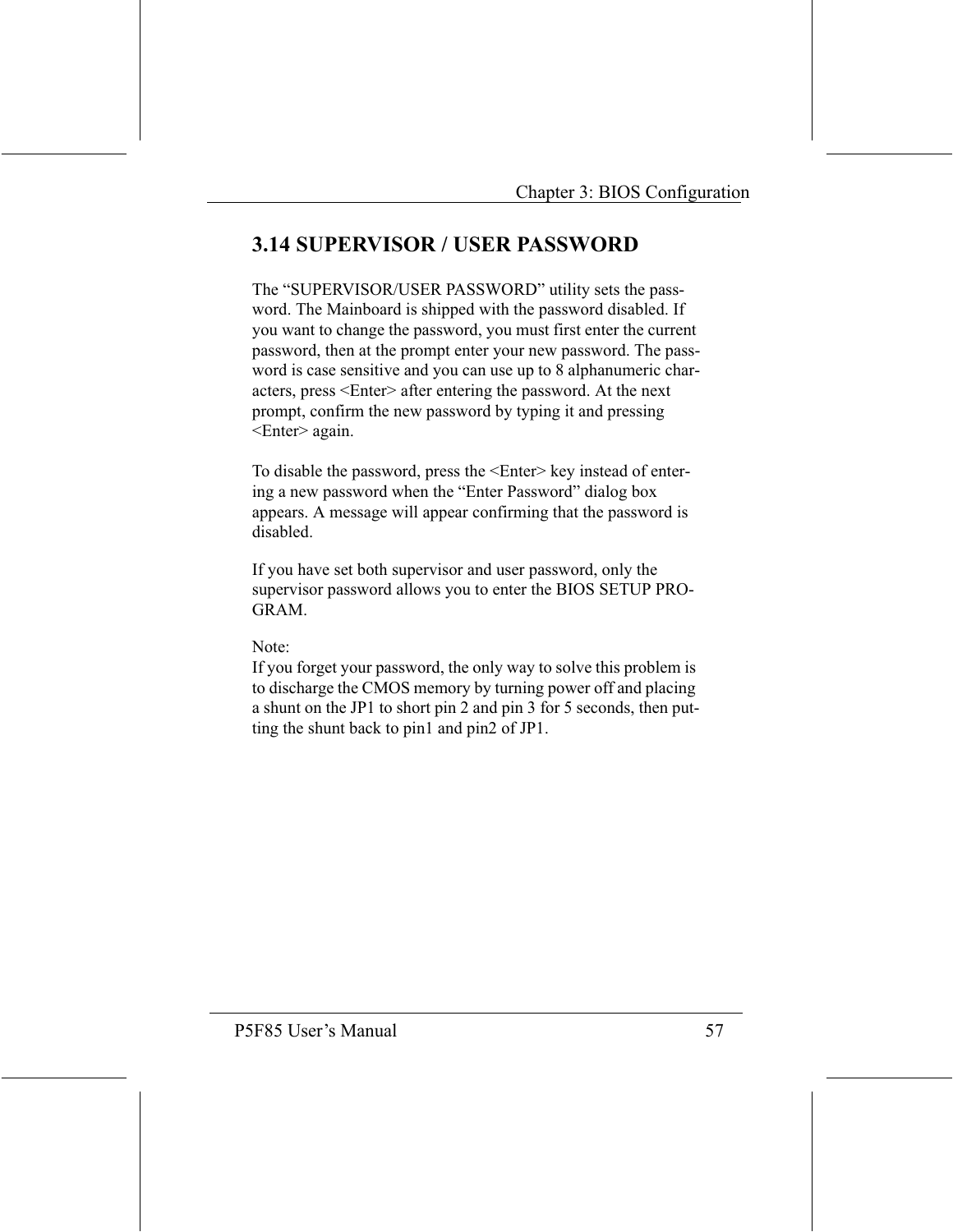## **3.14 SUPERVISOR / USER PASSWORD**

The "SUPERVISOR/USER PASSWORD" utility sets the password. The Mainboard is shipped with the password disabled. If you want to change the password, you must first enter the current password, then at the prompt enter your new password. The password is case sensitive and you can use up to 8 alphanumeric characters, press <Enter> after entering the password. At the next prompt, confirm the new password by typing it and pressing <Enter> again.

To disable the password, press the <Enter> key instead of entering a new password when the "Enter Password" dialog box appears. A message will appear confirming that the password is disabled.

If you have set both supervisor and user password, only the supervisor password allows you to enter the BIOS SETUP PRO-GRAM.

Note:

If you forget your password, the only way to solve this problem is to discharge the CMOS memory by turning power off and placing a shunt on the JP1 to short pin 2 and pin 3 for 5 seconds, then putting the shunt back to pin1 and pin2 of JP1.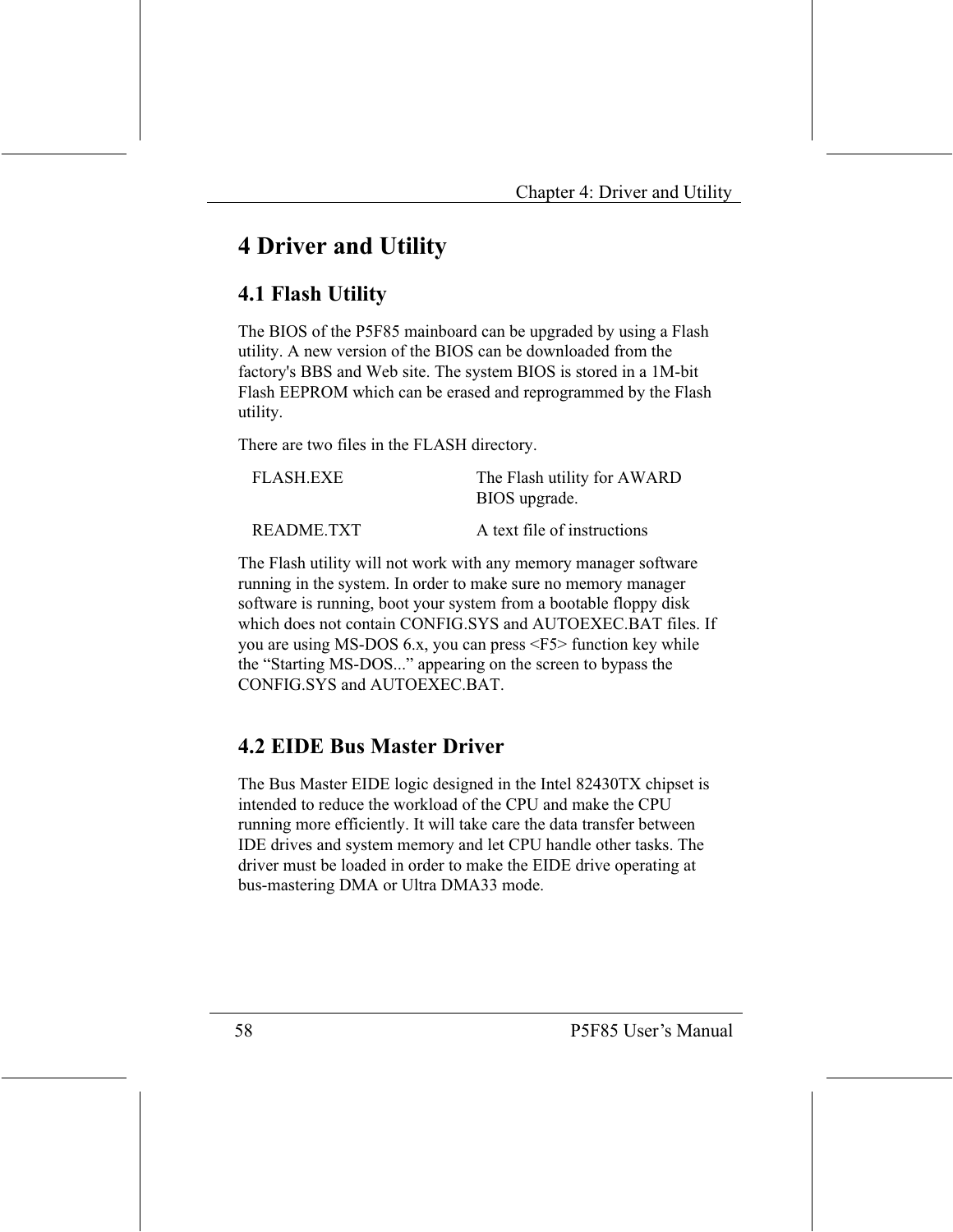## **4 Driver and Utility**

## **4.1 Flash Utility**

The BIOS of the P5F85 mainboard can be upgraded by using a Flash utility. A new version of the BIOS can be downloaded from the factory's BBS and Web site. The system BIOS is stored in a 1M-bit Flash EEPROM which can be erased and reprogrammed by the Flash utility.

There are two files in the FLASH directory.

| <b>FLASH.EXE</b> | The Flash utility for AWARD<br>BIOS upgrade. |
|------------------|----------------------------------------------|
| README.TXT       | A text file of instructions                  |

The Flash utility will not work with any memory manager software running in the system. In order to make sure no memory manager software is running, boot your system from a bootable floppy disk which does not contain CONFIG.SYS and AUTOEXEC.BAT files. If you are using MS-DOS 6.x, you can press <F5> function key while the "Starting MS-DOS..." appearing on the screen to bypass the CONFIG.SYS and AUTOEXEC.BAT.

## **4.2 EIDE Bus Master Driver**

The Bus Master EIDE logic designed in the Intel 82430TX chipset is intended to reduce the workload of the CPU and make the CPU running more efficiently. It will take care the data transfer between IDE drives and system memory and let CPU handle other tasks. The driver must be loaded in order to make the EIDE drive operating at bus-mastering DMA or Ultra DMA33 mode.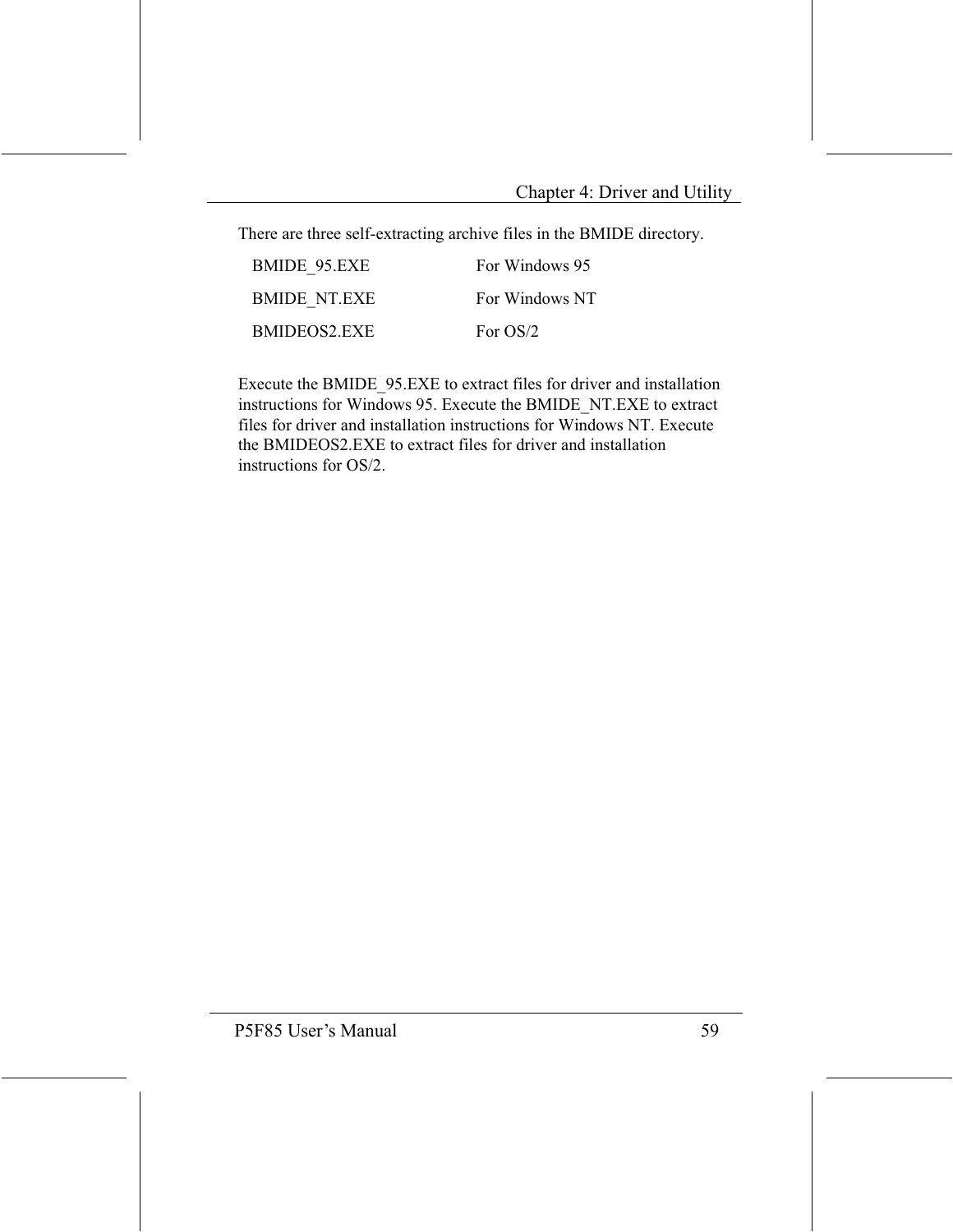There are three self-extracting archive files in the BMIDE directory.

| BMIDE 95.EXE        | For Windows 95 |
|---------------------|----------------|
| <b>BMIDE NT EXE</b> | For Windows NT |
| BMIDEOS2.EXE        | For $OS/2$     |

Execute the BMIDE 95.EXE to extract files for driver and installation instructions for Windows 95. Execute the BMIDE NT.EXE to extract files for driver and installation instructions for Windows NT. Execute the BMIDEOS2.EXE to extract files for driver and installation instructions for OS/2.